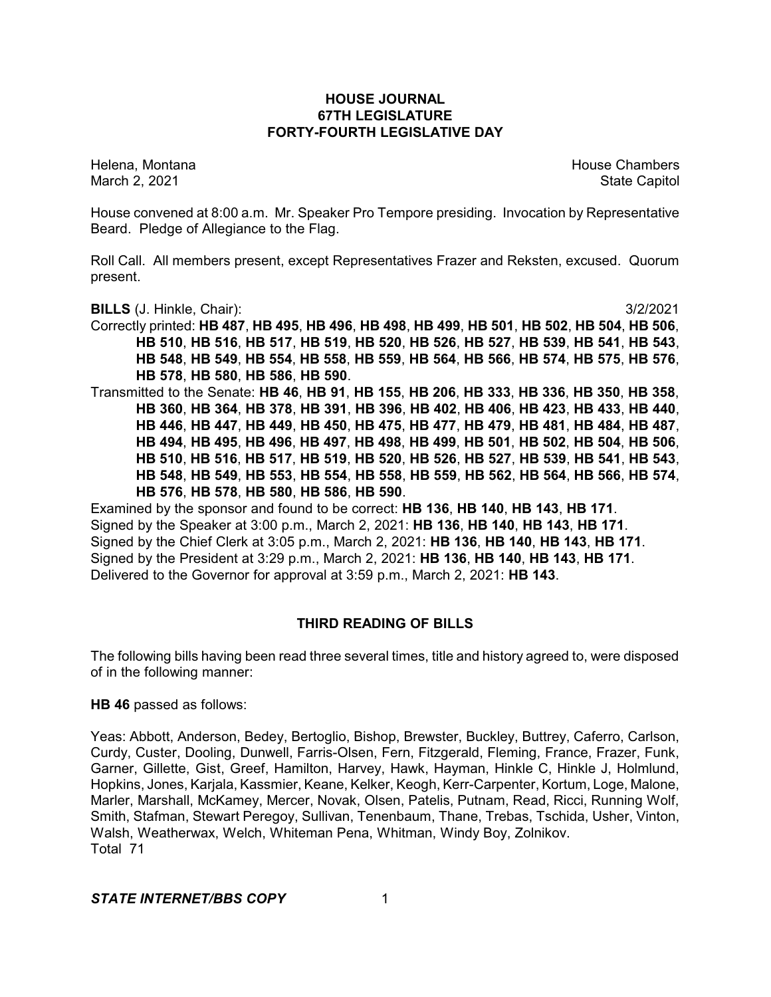### **HOUSE JOURNAL 67TH LEGISLATURE FORTY-FOURTH LEGISLATIVE DAY**

Helena, Montana House Chambers Chambers Chambers and House Chambers Chambers Chambers Chambers Chambers Chambers Chambers Chambers Chambers Chambers Chambers Chambers Chambers Chambers Chambers Chambers Chambers Chambers C March 2, 2021 **State Capitol** 

House convened at 8:00 a.m. Mr. Speaker Pro Tempore presiding. Invocation by Representative Beard. Pledge of Allegiance to the Flag.

Roll Call. All members present, except Representatives Frazer and Reksten, excused. Quorum present.

**BILLS** (J. Hinkle, Chair): 3/2/2021

Correctly printed: **HB 487**, **HB 495**, **HB 496**, **HB 498**, **HB 499**, **HB 501**, **HB 502**, **HB 504**, **HB 506**, **HB 510**, **HB 516**, **HB 517**, **HB 519**, **HB 520**, **HB 526**, **HB 527**, **HB 539**, **HB 541**, **HB 543**, **HB 548**, **HB 549**, **HB 554**, **HB 558**, **HB 559**, **HB 564**, **HB 566**, **HB 574**, **HB 575**, **HB 576**, **HB 578**, **HB 580**, **HB 586**, **HB 590**. Transmitted to the Senate: **HB 46**, **HB 91**, **HB 155**, **HB 206**, **HB 333**, **HB 336**, **HB 350**, **HB 358**, **HB 360**, **HB 364**, **HB 378**, **HB 391**, **HB 396**, **HB 402**, **HB 406**, **HB 423**, **HB 433**, **HB 440**,

**HB 446**, **HB 447**, **HB 449**, **HB 450**, **HB 475**, **HB 477**, **HB 479**, **HB 481**, **HB 484**, **HB 487**, **HB 494**, **HB 495**, **HB 496**, **HB 497**, **HB 498**, **HB 499**, **HB 501**, **HB 502**, **HB 504**, **HB 506**, **HB 510**, **HB 516**, **HB 517**, **HB 519**, **HB 520**, **HB 526**, **HB 527**, **HB 539**, **HB 541**, **HB 543**, **HB 548**, **HB 549**, **HB 553**, **HB 554**, **HB 558**, **HB 559**, **HB 562**, **HB 564**, **HB 566**, **HB 574**, **HB 576**, **HB 578**, **HB 580**, **HB 586**, **HB 590**.

Examined by the sponsor and found to be correct: **HB 136**, **HB 140**, **HB 143**, **HB 171**. Signed by the Speaker at 3:00 p.m., March 2, 2021: **HB 136**, **HB 140**, **HB 143**, **HB 171**. Signed by the Chief Clerk at 3:05 p.m., March 2, 2021: **HB 136**, **HB 140**, **HB 143**, **HB 171**. Signed by the President at 3:29 p.m., March 2, 2021: **HB 136**, **HB 140**, **HB 143**, **HB 171**. Delivered to the Governor for approval at 3:59 p.m., March 2, 2021: **HB 143**.

# **THIRD READING OF BILLS**

The following bills having been read three several times, title and history agreed to, were disposed of in the following manner:

### **HB 46** passed as follows:

Yeas: Abbott, Anderson, Bedey, Bertoglio, Bishop, Brewster, Buckley, Buttrey, Caferro, Carlson, Curdy, Custer, Dooling, Dunwell, Farris-Olsen, Fern, Fitzgerald, Fleming, France, Frazer, Funk, Garner, Gillette, Gist, Greef, Hamilton, Harvey, Hawk, Hayman, Hinkle C, Hinkle J, Holmlund, Hopkins, Jones, Karjala, Kassmier, Keane, Kelker, Keogh, Kerr-Carpenter, Kortum, Loge, Malone, Marler, Marshall, McKamey, Mercer, Novak, Olsen, Patelis, Putnam, Read, Ricci, Running Wolf, Smith, Stafman, Stewart Peregoy, Sullivan, Tenenbaum, Thane, Trebas, Tschida, Usher, Vinton, Walsh, Weatherwax, Welch, Whiteman Pena, Whitman, Windy Boy, Zolnikov. Total 71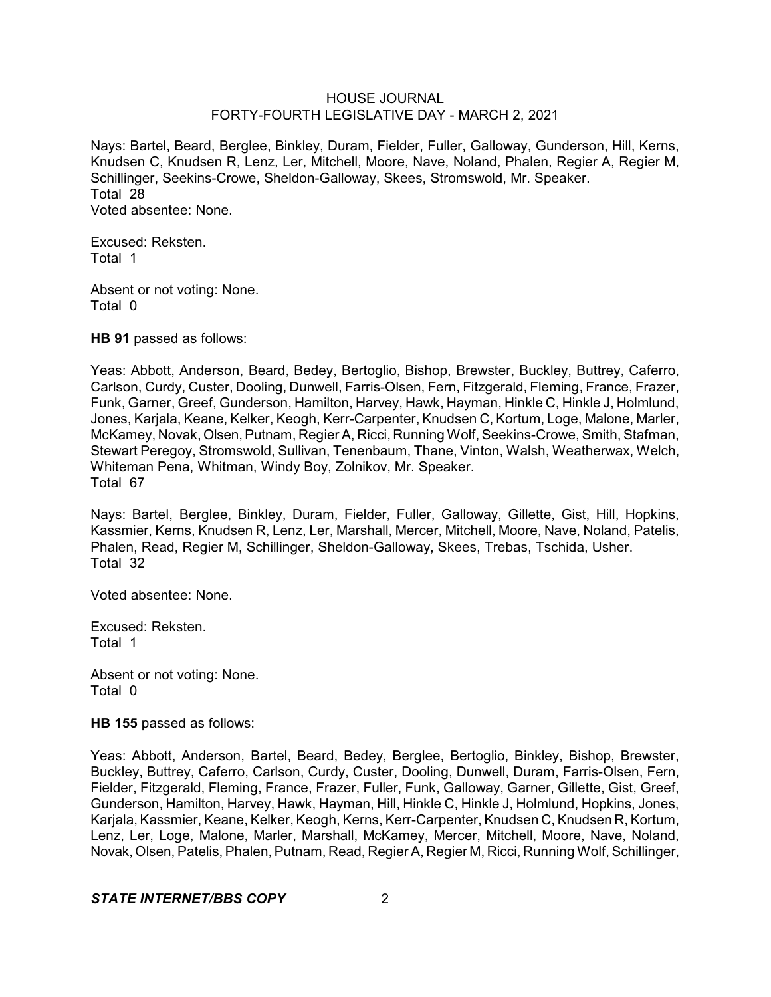Nays: Bartel, Beard, Berglee, Binkley, Duram, Fielder, Fuller, Galloway, Gunderson, Hill, Kerns, Knudsen C, Knudsen R, Lenz, Ler, Mitchell, Moore, Nave, Noland, Phalen, Regier A, Regier M, Schillinger, Seekins-Crowe, Sheldon-Galloway, Skees, Stromswold, Mr. Speaker. Total 28 Voted absentee: None.

Excused: Reksten. Total 1

Absent or not voting: None. Total 0

**HB 91** passed as follows:

Yeas: Abbott, Anderson, Beard, Bedey, Bertoglio, Bishop, Brewster, Buckley, Buttrey, Caferro, Carlson, Curdy, Custer, Dooling, Dunwell, Farris-Olsen, Fern, Fitzgerald, Fleming, France, Frazer, Funk, Garner, Greef, Gunderson, Hamilton, Harvey, Hawk, Hayman, Hinkle C, Hinkle J, Holmlund, Jones, Karjala, Keane, Kelker, Keogh, Kerr-Carpenter, Knudsen C, Kortum, Loge, Malone, Marler, McKamey, Novak, Olsen, Putnam, Regier A, Ricci, Running Wolf, Seekins-Crowe, Smith, Stafman, Stewart Peregoy, Stromswold, Sullivan, Tenenbaum, Thane, Vinton, Walsh, Weatherwax, Welch, Whiteman Pena, Whitman, Windy Boy, Zolnikov, Mr. Speaker. Total 67

Nays: Bartel, Berglee, Binkley, Duram, Fielder, Fuller, Galloway, Gillette, Gist, Hill, Hopkins, Kassmier, Kerns, Knudsen R, Lenz, Ler, Marshall, Mercer, Mitchell, Moore, Nave, Noland, Patelis, Phalen, Read, Regier M, Schillinger, Sheldon-Galloway, Skees, Trebas, Tschida, Usher. Total 32

Voted absentee: None.

Excused: Reksten. Total 1

Absent or not voting: None. Total 0

**HB 155** passed as follows:

Yeas: Abbott, Anderson, Bartel, Beard, Bedey, Berglee, Bertoglio, Binkley, Bishop, Brewster, Buckley, Buttrey, Caferro, Carlson, Curdy, Custer, Dooling, Dunwell, Duram, Farris-Olsen, Fern, Fielder, Fitzgerald, Fleming, France, Frazer, Fuller, Funk, Galloway, Garner, Gillette, Gist, Greef, Gunderson, Hamilton, Harvey, Hawk, Hayman, Hill, Hinkle C, Hinkle J, Holmlund, Hopkins, Jones, Karjala, Kassmier, Keane, Kelker, Keogh, Kerns, Kerr-Carpenter, Knudsen C, Knudsen R, Kortum, Lenz, Ler, Loge, Malone, Marler, Marshall, McKamey, Mercer, Mitchell, Moore, Nave, Noland, Novak, Olsen, Patelis, Phalen, Putnam, Read, Regier A, Regier M, Ricci, Running Wolf, Schillinger.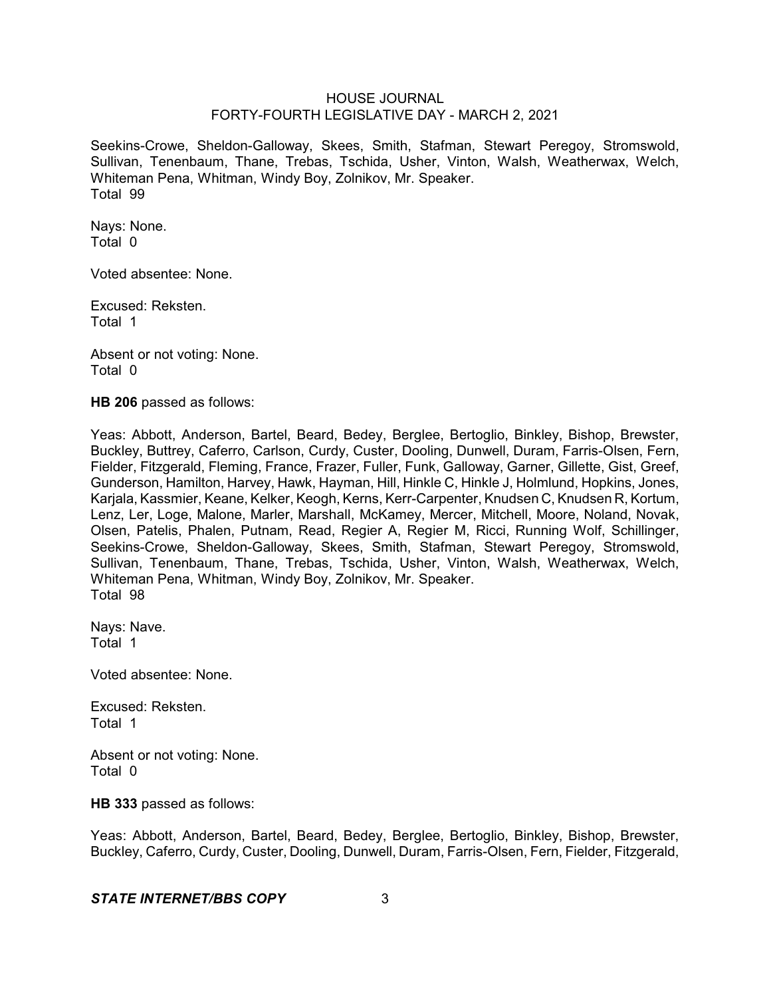Seekins-Crowe, Sheldon-Galloway, Skees, Smith, Stafman, Stewart Peregoy, Stromswold, Sullivan, Tenenbaum, Thane, Trebas, Tschida, Usher, Vinton, Walsh, Weatherwax, Welch, Whiteman Pena, Whitman, Windy Boy, Zolnikov, Mr. Speaker. Total 99

Nays: None. Total 0

Voted absentee: None.

Excused: Reksten. Total 1

Absent or not voting: None. Total 0

**HB 206** passed as follows:

Yeas: Abbott, Anderson, Bartel, Beard, Bedey, Berglee, Bertoglio, Binkley, Bishop, Brewster, Buckley, Buttrey, Caferro, Carlson, Curdy, Custer, Dooling, Dunwell, Duram, Farris-Olsen, Fern, Fielder, Fitzgerald, Fleming, France, Frazer, Fuller, Funk, Galloway, Garner, Gillette, Gist, Greef, Gunderson, Hamilton, Harvey, Hawk, Hayman, Hill, Hinkle C, Hinkle J, Holmlund, Hopkins, Jones, Karjala, Kassmier, Keane, Kelker, Keogh, Kerns, Kerr-Carpenter, Knudsen C, Knudsen R, Kortum, Lenz, Ler, Loge, Malone, Marler, Marshall, McKamey, Mercer, Mitchell, Moore, Noland, Novak, Olsen, Patelis, Phalen, Putnam, Read, Regier A, Regier M, Ricci, Running Wolf, Schillinger, Seekins-Crowe, Sheldon-Galloway, Skees, Smith, Stafman, Stewart Peregoy, Stromswold, Sullivan, Tenenbaum, Thane, Trebas, Tschida, Usher, Vinton, Walsh, Weatherwax, Welch, Whiteman Pena, Whitman, Windy Boy, Zolnikov, Mr. Speaker. Total 98

Nays: Nave. Total 1

Voted absentee: None.

Excused: Reksten. Total 1

Absent or not voting: None. Total 0

**HB 333** passed as follows:

Yeas: Abbott, Anderson, Bartel, Beard, Bedey, Berglee, Bertoglio, Binkley, Bishop, Brewster, Buckley, Caferro, Curdy, Custer, Dooling, Dunwell, Duram, Farris-Olsen, Fern, Fielder, Fitzgerald,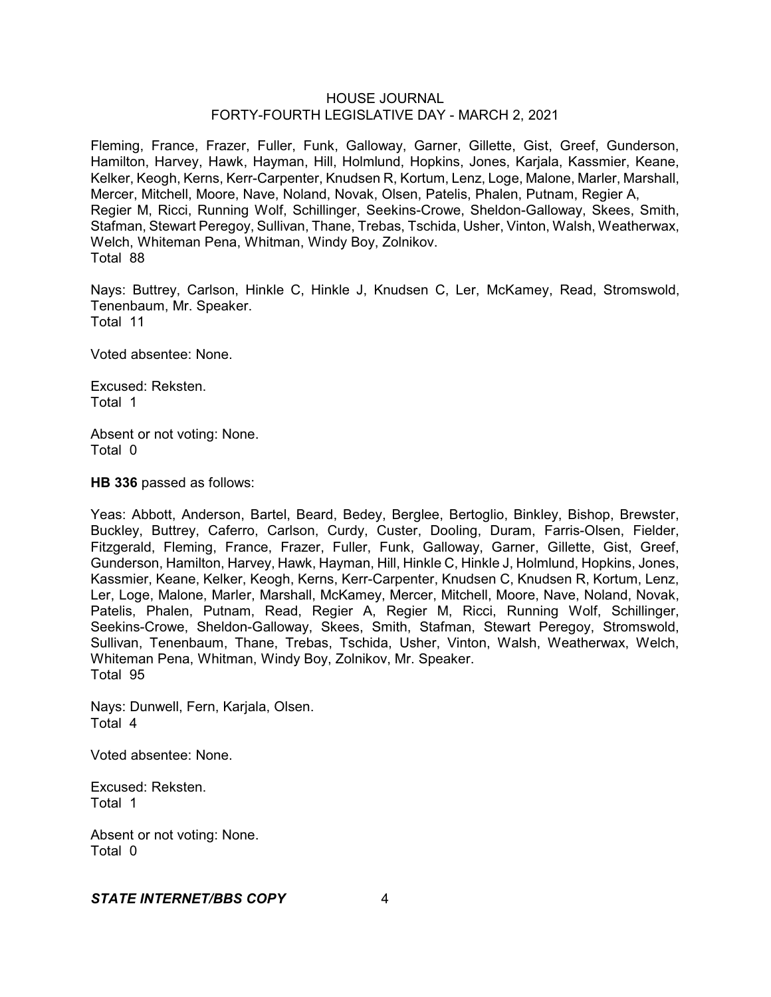Fleming, France, Frazer, Fuller, Funk, Galloway, Garner, Gillette, Gist, Greef, Gunderson, Hamilton, Harvey, Hawk, Hayman, Hill, Holmlund, Hopkins, Jones, Karjala, Kassmier, Keane, Kelker, Keogh, Kerns, Kerr-Carpenter, Knudsen R, Kortum, Lenz, Loge, Malone, Marler, Marshall, Mercer, Mitchell, Moore, Nave, Noland, Novak, Olsen, Patelis, Phalen, Putnam, Regier A, Regier M, Ricci, Running Wolf, Schillinger, Seekins-Crowe, Sheldon-Galloway, Skees, Smith, Stafman, Stewart Peregoy, Sullivan, Thane, Trebas, Tschida, Usher, Vinton, Walsh, Weatherwax, Welch, Whiteman Pena, Whitman, Windy Boy, Zolnikov. Total 88

Nays: Buttrey, Carlson, Hinkle C, Hinkle J, Knudsen C, Ler, McKamey, Read, Stromswold, Tenenbaum, Mr. Speaker. Total 11

Voted absentee: None.

Excused: Reksten. Total 1

Absent or not voting: None. Total 0

**HB 336** passed as follows:

Yeas: Abbott, Anderson, Bartel, Beard, Bedey, Berglee, Bertoglio, Binkley, Bishop, Brewster, Buckley, Buttrey, Caferro, Carlson, Curdy, Custer, Dooling, Duram, Farris-Olsen, Fielder, Fitzgerald, Fleming, France, Frazer, Fuller, Funk, Galloway, Garner, Gillette, Gist, Greef, Gunderson, Hamilton, Harvey, Hawk, Hayman, Hill, Hinkle C, Hinkle J, Holmlund, Hopkins, Jones, Kassmier, Keane, Kelker, Keogh, Kerns, Kerr-Carpenter, Knudsen C, Knudsen R, Kortum, Lenz, Ler, Loge, Malone, Marler, Marshall, McKamey, Mercer, Mitchell, Moore, Nave, Noland, Novak, Patelis, Phalen, Putnam, Read, Regier A, Regier M, Ricci, Running Wolf, Schillinger, Seekins-Crowe, Sheldon-Galloway, Skees, Smith, Stafman, Stewart Peregoy, Stromswold, Sullivan, Tenenbaum, Thane, Trebas, Tschida, Usher, Vinton, Walsh, Weatherwax, Welch, Whiteman Pena, Whitman, Windy Boy, Zolnikov, Mr. Speaker. Total 95

Nays: Dunwell, Fern, Karjala, Olsen. Total 4

Voted absentee: None.

Excused: Reksten. Total 1

Absent or not voting: None. Total 0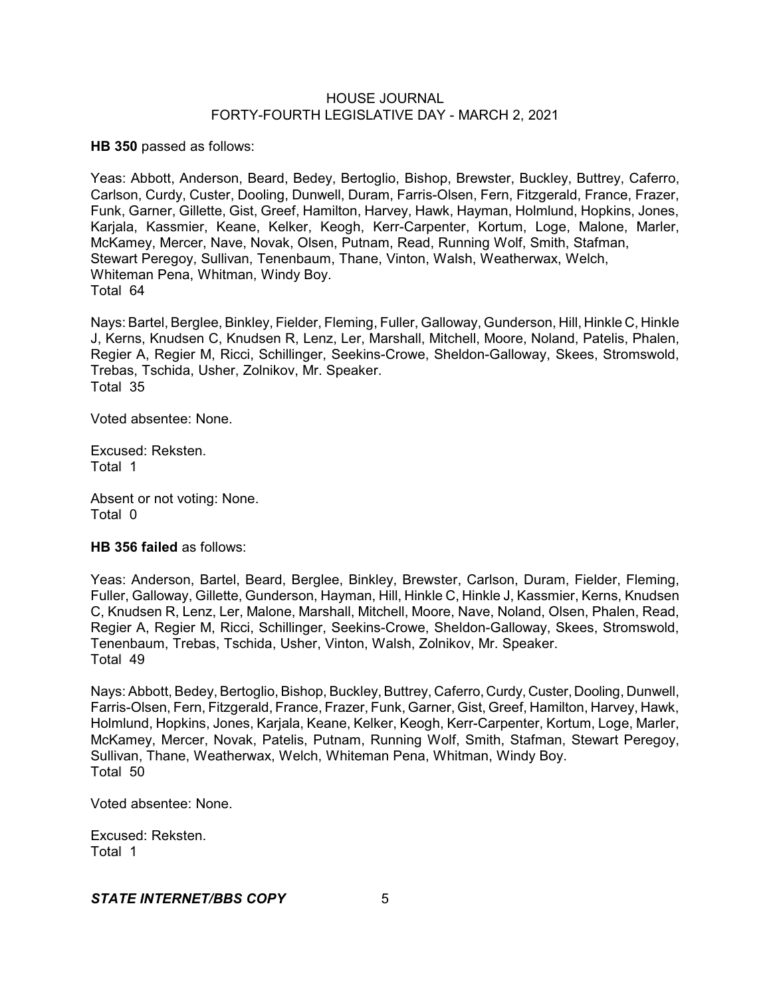**HB 350** passed as follows:

Yeas: Abbott, Anderson, Beard, Bedey, Bertoglio, Bishop, Brewster, Buckley, Buttrey, Caferro, Carlson, Curdy, Custer, Dooling, Dunwell, Duram, Farris-Olsen, Fern, Fitzgerald, France, Frazer, Funk, Garner, Gillette, Gist, Greef, Hamilton, Harvey, Hawk, Hayman, Holmlund, Hopkins, Jones, Karjala, Kassmier, Keane, Kelker, Keogh, Kerr-Carpenter, Kortum, Loge, Malone, Marler, McKamey, Mercer, Nave, Novak, Olsen, Putnam, Read, Running Wolf, Smith, Stafman, Stewart Peregoy, Sullivan, Tenenbaum, Thane, Vinton, Walsh, Weatherwax, Welch, Whiteman Pena, Whitman, Windy Boy. Total 64

Nays: Bartel, Berglee, Binkley, Fielder, Fleming, Fuller, Galloway, Gunderson, Hill, Hinkle C, Hinkle J, Kerns, Knudsen C, Knudsen R, Lenz, Ler, Marshall, Mitchell, Moore, Noland, Patelis, Phalen, Regier A, Regier M, Ricci, Schillinger, Seekins-Crowe, Sheldon-Galloway, Skees, Stromswold, Trebas, Tschida, Usher, Zolnikov, Mr. Speaker. Total 35

Voted absentee: None.

Excused: Reksten. Total 1

Absent or not voting: None. Total 0

**HB 356 failed** as follows:

Yeas: Anderson, Bartel, Beard, Berglee, Binkley, Brewster, Carlson, Duram, Fielder, Fleming, Fuller, Galloway, Gillette, Gunderson, Hayman, Hill, Hinkle C, Hinkle J, Kassmier, Kerns, Knudsen C, Knudsen R, Lenz, Ler, Malone, Marshall, Mitchell, Moore, Nave, Noland, Olsen, Phalen, Read, Regier A, Regier M, Ricci, Schillinger, Seekins-Crowe, Sheldon-Galloway, Skees, Stromswold, Tenenbaum, Trebas, Tschida, Usher, Vinton, Walsh, Zolnikov, Mr. Speaker. Total 49

Nays: Abbott, Bedey, Bertoglio, Bishop, Buckley, Buttrey, Caferro, Curdy, Custer, Dooling, Dunwell, Farris-Olsen, Fern, Fitzgerald, France, Frazer, Funk, Garner, Gist, Greef, Hamilton, Harvey, Hawk, Holmlund, Hopkins, Jones, Karjala, Keane, Kelker, Keogh, Kerr-Carpenter, Kortum, Loge, Marler, McKamey, Mercer, Novak, Patelis, Putnam, Running Wolf, Smith, Stafman, Stewart Peregoy, Sullivan, Thane, Weatherwax, Welch, Whiteman Pena, Whitman, Windy Boy. Total 50

Voted absentee: None.

Excused: Reksten. Total 1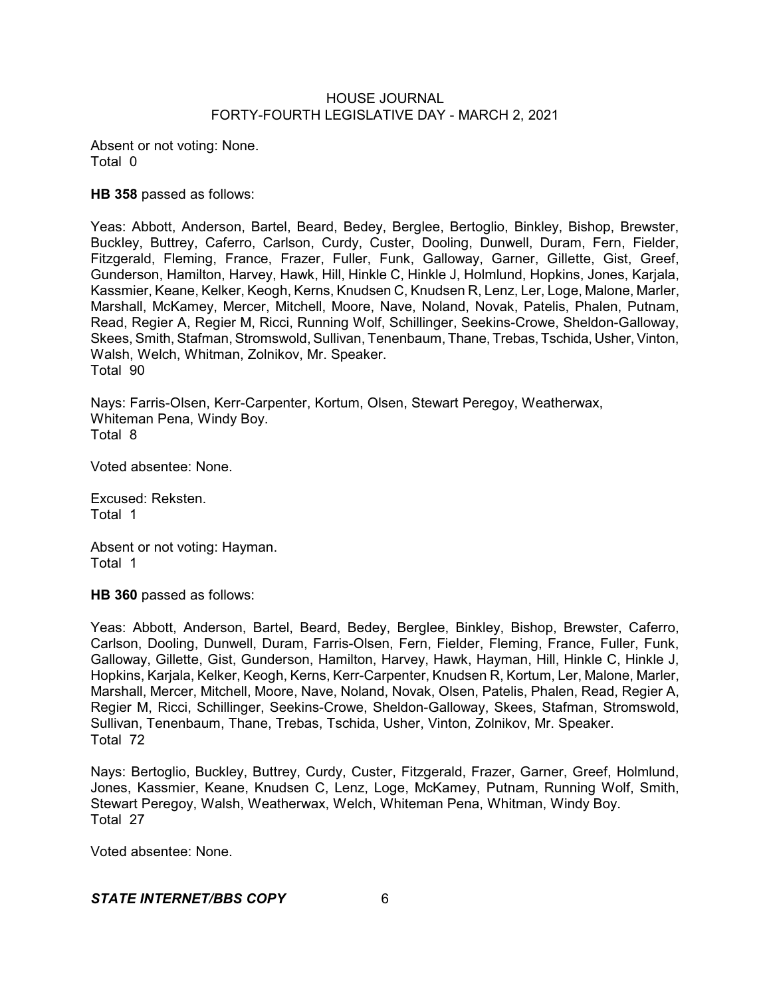Absent or not voting: None. Total 0

**HB 358** passed as follows:

Yeas: Abbott, Anderson, Bartel, Beard, Bedey, Berglee, Bertoglio, Binkley, Bishop, Brewster, Buckley, Buttrey, Caferro, Carlson, Curdy, Custer, Dooling, Dunwell, Duram, Fern, Fielder, Fitzgerald, Fleming, France, Frazer, Fuller, Funk, Galloway, Garner, Gillette, Gist, Greef, Gunderson, Hamilton, Harvey, Hawk, Hill, Hinkle C, Hinkle J, Holmlund, Hopkins, Jones, Karjala, Kassmier, Keane, Kelker, Keogh, Kerns, Knudsen C, Knudsen R, Lenz, Ler, Loge, Malone, Marler, Marshall, McKamey, Mercer, Mitchell, Moore, Nave, Noland, Novak, Patelis, Phalen, Putnam, Read, Regier A, Regier M, Ricci, Running Wolf, Schillinger, Seekins-Crowe, Sheldon-Galloway, Skees, Smith, Stafman, Stromswold, Sullivan, Tenenbaum, Thane, Trebas, Tschida, Usher, Vinton, Walsh, Welch, Whitman, Zolnikov, Mr. Speaker. Total 90

Nays: Farris-Olsen, Kerr-Carpenter, Kortum, Olsen, Stewart Peregoy, Weatherwax, Whiteman Pena, Windy Boy. Total 8

Voted absentee: None.

Excused: Reksten. Total 1

Absent or not voting: Hayman. Total 1

**HB 360** passed as follows:

Yeas: Abbott, Anderson, Bartel, Beard, Bedey, Berglee, Binkley, Bishop, Brewster, Caferro, Carlson, Dooling, Dunwell, Duram, Farris-Olsen, Fern, Fielder, Fleming, France, Fuller, Funk, Galloway, Gillette, Gist, Gunderson, Hamilton, Harvey, Hawk, Hayman, Hill, Hinkle C, Hinkle J, Hopkins, Karjala, Kelker, Keogh, Kerns, Kerr-Carpenter, Knudsen R, Kortum, Ler, Malone, Marler, Marshall, Mercer, Mitchell, Moore, Nave, Noland, Novak, Olsen, Patelis, Phalen, Read, Regier A, Regier M, Ricci, Schillinger, Seekins-Crowe, Sheldon-Galloway, Skees, Stafman, Stromswold, Sullivan, Tenenbaum, Thane, Trebas, Tschida, Usher, Vinton, Zolnikov, Mr. Speaker. Total 72

Nays: Bertoglio, Buckley, Buttrey, Curdy, Custer, Fitzgerald, Frazer, Garner, Greef, Holmlund, Jones, Kassmier, Keane, Knudsen C, Lenz, Loge, McKamey, Putnam, Running Wolf, Smith, Stewart Peregoy, Walsh, Weatherwax, Welch, Whiteman Pena, Whitman, Windy Boy. Total 27

Voted absentee: None.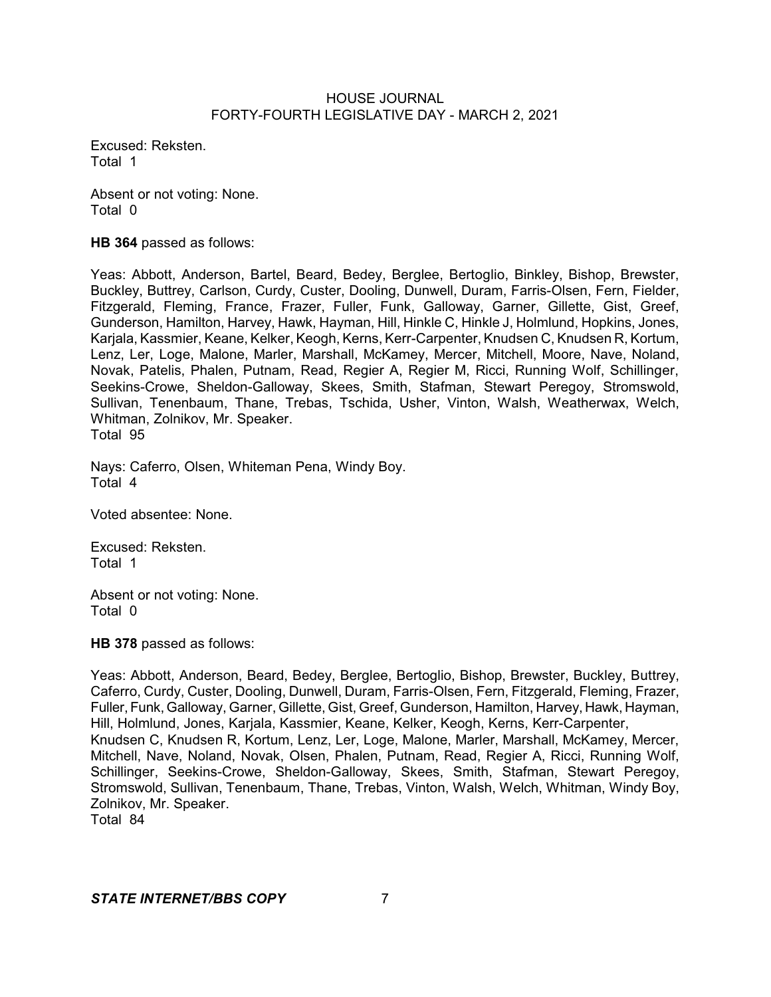Excused: Reksten. Total 1

Absent or not voting: None. Total 0

**HB 364** passed as follows:

Yeas: Abbott, Anderson, Bartel, Beard, Bedey, Berglee, Bertoglio, Binkley, Bishop, Brewster, Buckley, Buttrey, Carlson, Curdy, Custer, Dooling, Dunwell, Duram, Farris-Olsen, Fern, Fielder, Fitzgerald, Fleming, France, Frazer, Fuller, Funk, Galloway, Garner, Gillette, Gist, Greef, Gunderson, Hamilton, Harvey, Hawk, Hayman, Hill, Hinkle C, Hinkle J, Holmlund, Hopkins, Jones, Karjala, Kassmier, Keane, Kelker, Keogh, Kerns, Kerr-Carpenter, Knudsen C, Knudsen R, Kortum, Lenz, Ler, Loge, Malone, Marler, Marshall, McKamey, Mercer, Mitchell, Moore, Nave, Noland, Novak, Patelis, Phalen, Putnam, Read, Regier A, Regier M, Ricci, Running Wolf, Schillinger, Seekins-Crowe, Sheldon-Galloway, Skees, Smith, Stafman, Stewart Peregoy, Stromswold, Sullivan, Tenenbaum, Thane, Trebas, Tschida, Usher, Vinton, Walsh, Weatherwax, Welch, Whitman, Zolnikov, Mr. Speaker. Total 95

Nays: Caferro, Olsen, Whiteman Pena, Windy Boy. Total 4

Voted absentee: None.

Excused: Reksten. Total 1

Absent or not voting: None. Total 0

**HB 378** passed as follows:

Yeas: Abbott, Anderson, Beard, Bedey, Berglee, Bertoglio, Bishop, Brewster, Buckley, Buttrey, Caferro, Curdy, Custer, Dooling, Dunwell, Duram, Farris-Olsen, Fern, Fitzgerald, Fleming, Frazer, Fuller, Funk, Galloway, Garner, Gillette, Gist, Greef, Gunderson, Hamilton, Harvey, Hawk, Hayman, Hill, Holmlund, Jones, Karjala, Kassmier, Keane, Kelker, Keogh, Kerns, Kerr-Carpenter, Knudsen C, Knudsen R, Kortum, Lenz, Ler, Loge, Malone, Marler, Marshall, McKamey, Mercer, Mitchell, Nave, Noland, Novak, Olsen, Phalen, Putnam, Read, Regier A, Ricci, Running Wolf, Schillinger, Seekins-Crowe, Sheldon-Galloway, Skees, Smith, Stafman, Stewart Peregoy, Stromswold, Sullivan, Tenenbaum, Thane, Trebas, Vinton, Walsh, Welch, Whitman, Windy Boy, Zolnikov, Mr. Speaker.

Total 84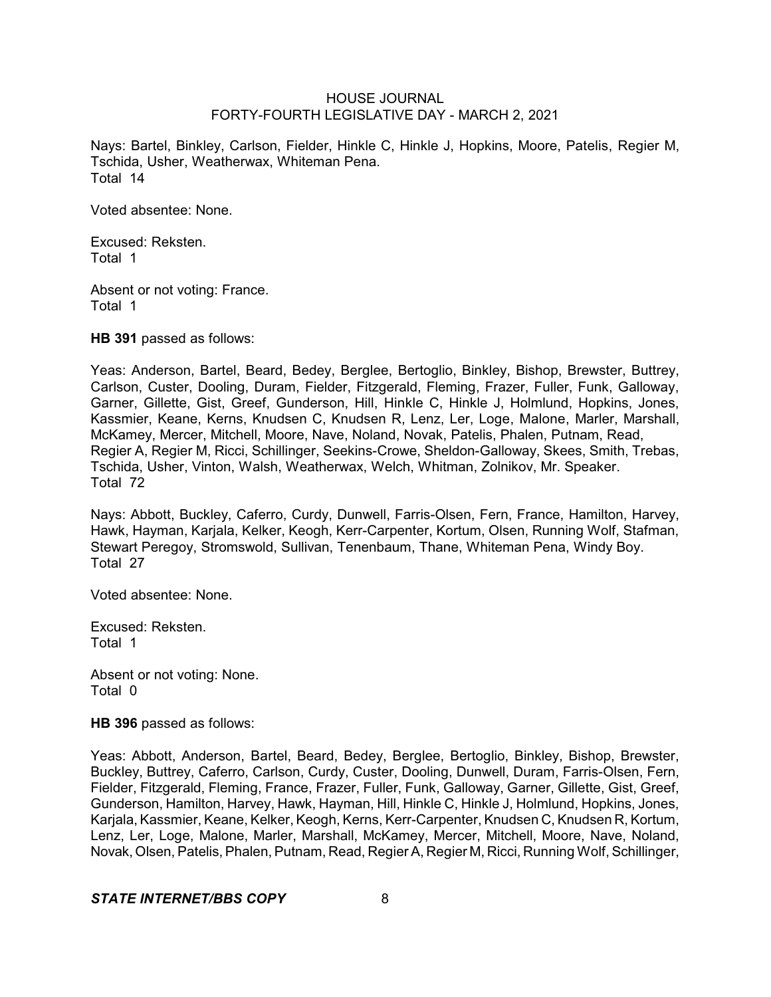Nays: Bartel, Binkley, Carlson, Fielder, Hinkle C, Hinkle J, Hopkins, Moore, Patelis, Regier M, Tschida, Usher, Weatherwax, Whiteman Pena. Total 14

Voted absentee: None.

Excused: Reksten. Total 1

Absent or not voting: France. Total 1

**HB 391** passed as follows:

Yeas: Anderson, Bartel, Beard, Bedey, Berglee, Bertoglio, Binkley, Bishop, Brewster, Buttrey, Carlson, Custer, Dooling, Duram, Fielder, Fitzgerald, Fleming, Frazer, Fuller, Funk, Galloway, Garner, Gillette, Gist, Greef, Gunderson, Hill, Hinkle C, Hinkle J, Holmlund, Hopkins, Jones, Kassmier, Keane, Kerns, Knudsen C, Knudsen R, Lenz, Ler, Loge, Malone, Marler, Marshall, McKamey, Mercer, Mitchell, Moore, Nave, Noland, Novak, Patelis, Phalen, Putnam, Read, Regier A, Regier M, Ricci, Schillinger, Seekins-Crowe, Sheldon-Galloway, Skees, Smith, Trebas, Tschida, Usher, Vinton, Walsh, Weatherwax, Welch, Whitman, Zolnikov, Mr. Speaker. Total 72

Nays: Abbott, Buckley, Caferro, Curdy, Dunwell, Farris-Olsen, Fern, France, Hamilton, Harvey, Hawk, Hayman, Karjala, Kelker, Keogh, Kerr-Carpenter, Kortum, Olsen, Running Wolf, Stafman, Stewart Peregoy, Stromswold, Sullivan, Tenenbaum, Thane, Whiteman Pena, Windy Boy. Total 27

Voted absentee: None.

Excused: Reksten. Total 1

Absent or not voting: None. Total 0

**HB 396** passed as follows:

Yeas: Abbott, Anderson, Bartel, Beard, Bedey, Berglee, Bertoglio, Binkley, Bishop, Brewster, Buckley, Buttrey, Caferro, Carlson, Curdy, Custer, Dooling, Dunwell, Duram, Farris-Olsen, Fern, Fielder, Fitzgerald, Fleming, France, Frazer, Fuller, Funk, Galloway, Garner, Gillette, Gist, Greef, Gunderson, Hamilton, Harvey, Hawk, Hayman, Hill, Hinkle C, Hinkle J, Holmlund, Hopkins, Jones, Karjala, Kassmier, Keane, Kelker, Keogh, Kerns, Kerr-Carpenter, Knudsen C, Knudsen R, Kortum, Lenz, Ler, Loge, Malone, Marler, Marshall, McKamey, Mercer, Mitchell, Moore, Nave, Noland, Novak, Olsen, Patelis, Phalen, Putnam, Read, Regier A, Regier M, Ricci, Running Wolf, Schillinger,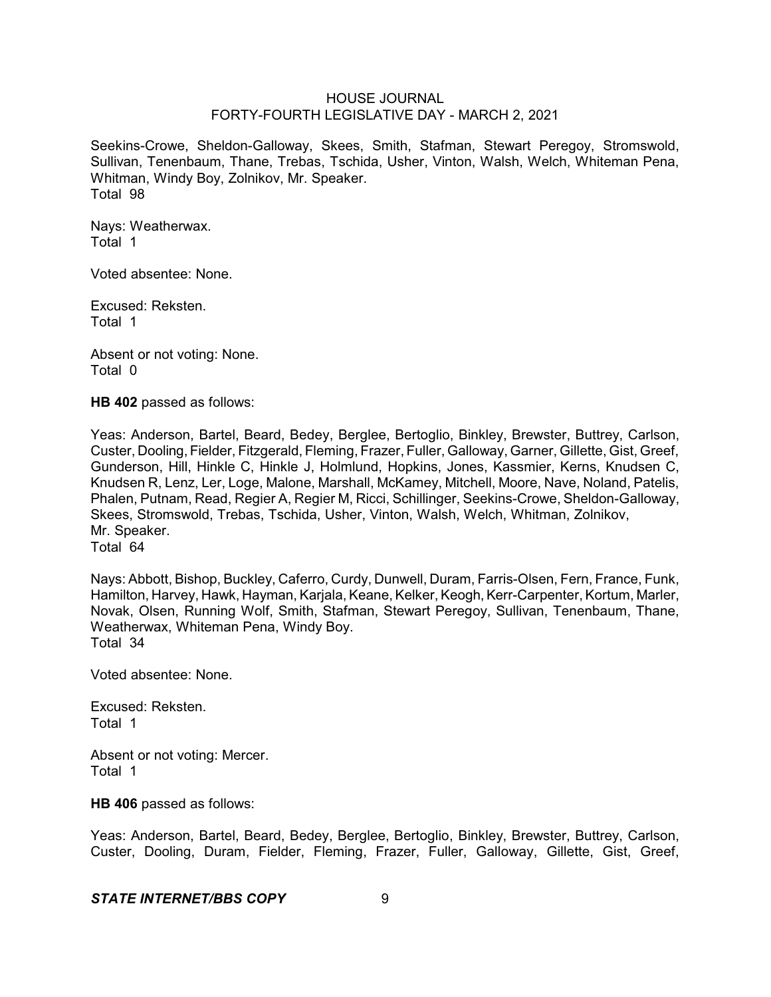Seekins-Crowe, Sheldon-Galloway, Skees, Smith, Stafman, Stewart Peregoy, Stromswold, Sullivan, Tenenbaum, Thane, Trebas, Tschida, Usher, Vinton, Walsh, Welch, Whiteman Pena, Whitman, Windy Boy, Zolnikov, Mr. Speaker. Total 98

Nays: Weatherwax. Total 1

Voted absentee: None.

Excused: Reksten. Total 1

Absent or not voting: None. Total 0

**HB 402** passed as follows:

Yeas: Anderson, Bartel, Beard, Bedey, Berglee, Bertoglio, Binkley, Brewster, Buttrey, Carlson, Custer, Dooling, Fielder, Fitzgerald, Fleming, Frazer, Fuller, Galloway, Garner, Gillette, Gist, Greef, Gunderson, Hill, Hinkle C, Hinkle J, Holmlund, Hopkins, Jones, Kassmier, Kerns, Knudsen C, Knudsen R, Lenz, Ler, Loge, Malone, Marshall, McKamey, Mitchell, Moore, Nave, Noland, Patelis, Phalen, Putnam, Read, Regier A, Regier M, Ricci, Schillinger, Seekins-Crowe, Sheldon-Galloway, Skees, Stromswold, Trebas, Tschida, Usher, Vinton, Walsh, Welch, Whitman, Zolnikov, Mr. Speaker.

Total 64

Nays: Abbott, Bishop, Buckley, Caferro, Curdy, Dunwell, Duram, Farris-Olsen, Fern, France, Funk, Hamilton, Harvey, Hawk, Hayman, Karjala, Keane, Kelker, Keogh,Kerr-Carpenter, Kortum, Marler, Novak, Olsen, Running Wolf, Smith, Stafman, Stewart Peregoy, Sullivan, Tenenbaum, Thane, Weatherwax, Whiteman Pena, Windy Boy. Total 34

Voted absentee: None.

Excused: Reksten. Total 1

Absent or not voting: Mercer. Total 1

**HB 406** passed as follows:

Yeas: Anderson, Bartel, Beard, Bedey, Berglee, Bertoglio, Binkley, Brewster, Buttrey, Carlson, Custer, Dooling, Duram, Fielder, Fleming, Frazer, Fuller, Galloway, Gillette, Gist, Greef,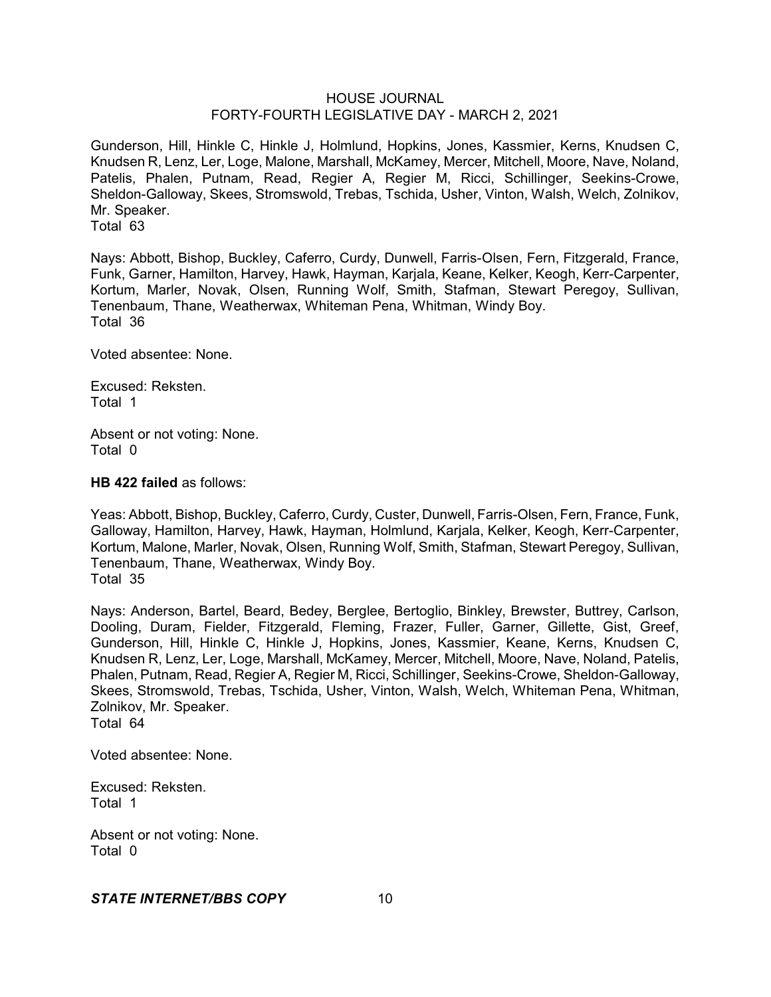Gunderson, Hill, Hinkle C, Hinkle J, Holmlund, Hopkins, Jones, Kassmier, Kerns, Knudsen C, Knudsen R, Lenz, Ler, Loge, Malone, Marshall, McKamey, Mercer, Mitchell, Moore, Nave, Noland, Patelis, Phalen, Putnam, Read, Regier A, Regier M, Ricci, Schillinger, Seekins-Crowe, Sheldon-Galloway, Skees, Stromswold, Trebas, Tschida, Usher, Vinton, Walsh, Welch, Zolnikov, Mr. Speaker. Total 63

Nays: Abbott, Bishop, Buckley, Caferro, Curdy, Dunwell, Farris-Olsen, Fern, Fitzgerald, France, Funk, Garner, Hamilton, Harvey, Hawk, Hayman, Karjala, Keane, Kelker, Keogh, Kerr-Carpenter, Kortum, Marler, Novak, Olsen, Running Wolf, Smith, Stafman, Stewart Peregoy, Sullivan, Tenenbaum, Thane, Weatherwax, Whiteman Pena, Whitman, Windy Boy. Total 36

Voted absentee: None.

Excused: Reksten. Total 1

Absent or not voting: None. Total 0

**HB 422 failed** as follows:

Yeas: Abbott, Bishop, Buckley, Caferro, Curdy, Custer, Dunwell, Farris-Olsen, Fern, France, Funk, Galloway, Hamilton, Harvey, Hawk, Hayman, Holmlund, Karjala, Kelker, Keogh, Kerr-Carpenter, Kortum, Malone, Marler, Novak, Olsen, Running Wolf, Smith, Stafman, Stewart Peregoy, Sullivan, Tenenbaum, Thane, Weatherwax, Windy Boy. Total 35

Nays: Anderson, Bartel, Beard, Bedey, Berglee, Bertoglio, Binkley, Brewster, Buttrey, Carlson, Dooling, Duram, Fielder, Fitzgerald, Fleming, Frazer, Fuller, Garner, Gillette, Gist, Greef, Gunderson, Hill, Hinkle C, Hinkle J, Hopkins, Jones, Kassmier, Keane, Kerns, Knudsen C, Knudsen R, Lenz, Ler, Loge, Marshall, McKamey, Mercer, Mitchell, Moore, Nave, Noland, Patelis, Phalen, Putnam, Read, Regier A, Regier M, Ricci, Schillinger, Seekins-Crowe, Sheldon-Galloway, Skees, Stromswold, Trebas, Tschida, Usher, Vinton, Walsh, Welch, Whiteman Pena, Whitman, Zolnikov, Mr. Speaker. Total 64

Voted absentee: None.

Excused: Reksten. Total 1

Absent or not voting: None. Total 0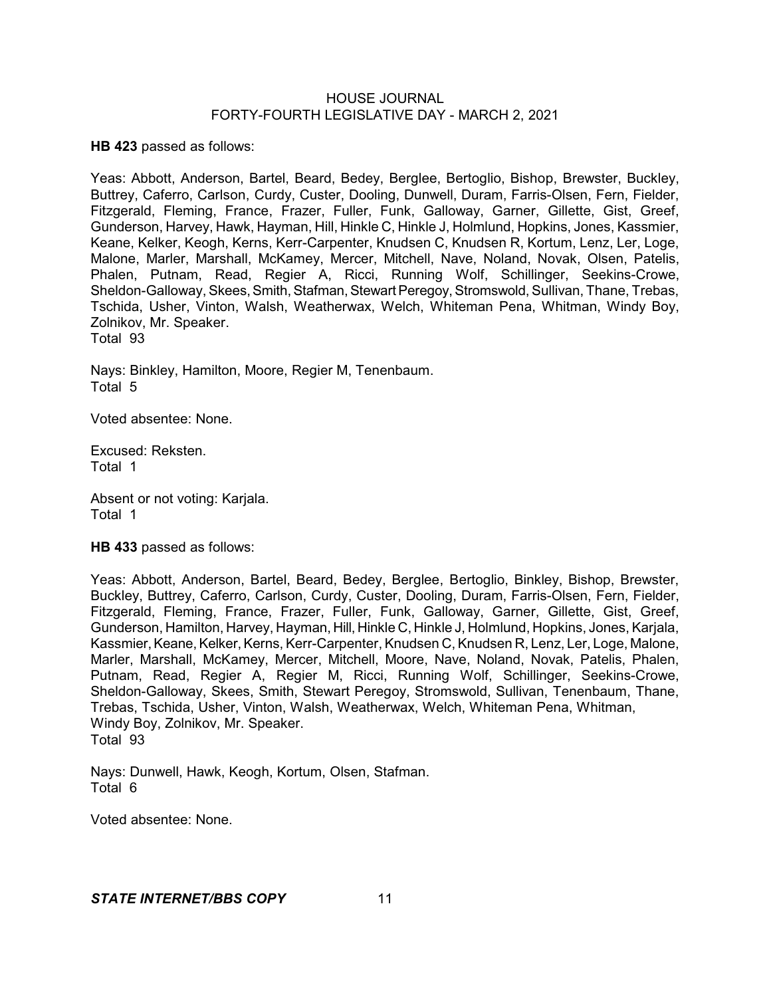**HB 423** passed as follows:

Yeas: Abbott, Anderson, Bartel, Beard, Bedey, Berglee, Bertoglio, Bishop, Brewster, Buckley, Buttrey, Caferro, Carlson, Curdy, Custer, Dooling, Dunwell, Duram, Farris-Olsen, Fern, Fielder, Fitzgerald, Fleming, France, Frazer, Fuller, Funk, Galloway, Garner, Gillette, Gist, Greef, Gunderson, Harvey, Hawk, Hayman, Hill, Hinkle C, Hinkle J, Holmlund, Hopkins, Jones, Kassmier, Keane, Kelker, Keogh, Kerns, Kerr-Carpenter, Knudsen C, Knudsen R, Kortum, Lenz, Ler, Loge, Malone, Marler, Marshall, McKamey, Mercer, Mitchell, Nave, Noland, Novak, Olsen, Patelis, Phalen, Putnam, Read, Regier A, Ricci, Running Wolf, Schillinger, Seekins-Crowe, Sheldon-Galloway, Skees, Smith, Stafman, Stewart Peregoy, Stromswold, Sullivan, Thane, Trebas, Tschida, Usher, Vinton, Walsh, Weatherwax, Welch, Whiteman Pena, Whitman, Windy Boy, Zolnikov, Mr. Speaker. Total 93

Nays: Binkley, Hamilton, Moore, Regier M, Tenenbaum. Total 5

Voted absentee: None.

Excused: Reksten. Total 1

Absent or not voting: Karjala. Total 1

**HB 433** passed as follows:

Yeas: Abbott, Anderson, Bartel, Beard, Bedey, Berglee, Bertoglio, Binkley, Bishop, Brewster, Buckley, Buttrey, Caferro, Carlson, Curdy, Custer, Dooling, Duram, Farris-Olsen, Fern, Fielder, Fitzgerald, Fleming, France, Frazer, Fuller, Funk, Galloway, Garner, Gillette, Gist, Greef, Gunderson, Hamilton, Harvey, Hayman, Hill, Hinkle C, Hinkle J, Holmlund, Hopkins, Jones, Karjala, Kassmier, Keane, Kelker, Kerns, Kerr-Carpenter, Knudsen C, Knudsen R, Lenz, Ler, Loge, Malone, Marler, Marshall, McKamey, Mercer, Mitchell, Moore, Nave, Noland, Novak, Patelis, Phalen, Putnam, Read, Regier A, Regier M, Ricci, Running Wolf, Schillinger, Seekins-Crowe, Sheldon-Galloway, Skees, Smith, Stewart Peregoy, Stromswold, Sullivan, Tenenbaum, Thane, Trebas, Tschida, Usher, Vinton, Walsh, Weatherwax, Welch, Whiteman Pena, Whitman, Windy Boy, Zolnikov, Mr. Speaker. Total 93

Nays: Dunwell, Hawk, Keogh, Kortum, Olsen, Stafman. Total 6

Voted absentee: None.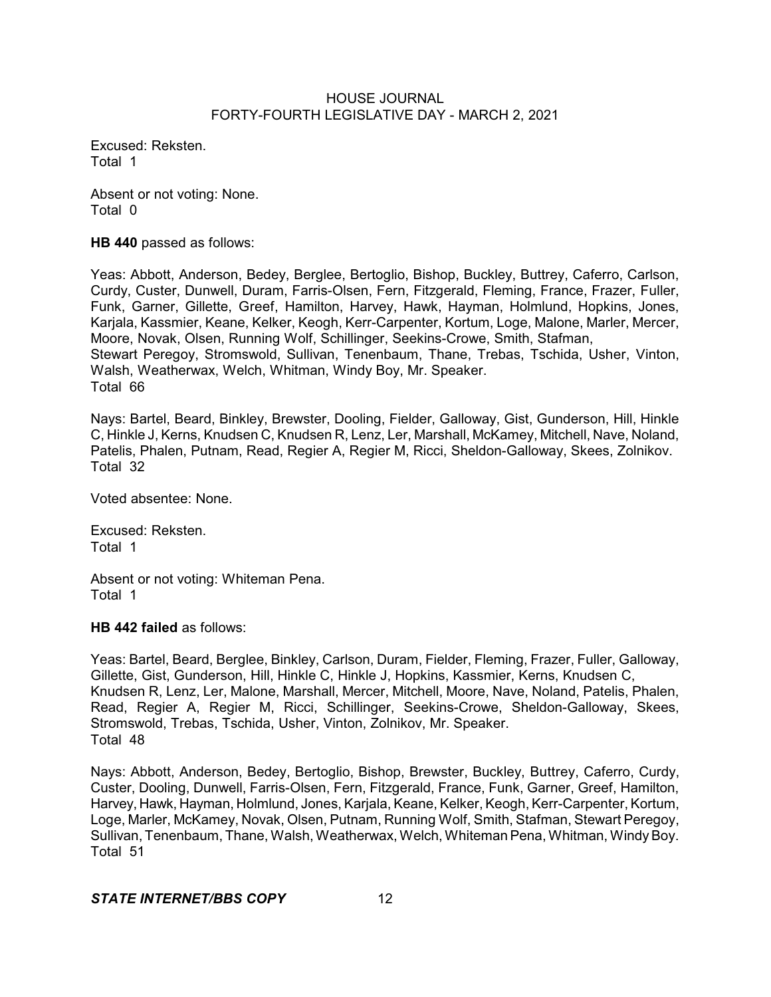Excused: Reksten. Total 1

Absent or not voting: None. Total 0

**HB 440** passed as follows:

Yeas: Abbott, Anderson, Bedey, Berglee, Bertoglio, Bishop, Buckley, Buttrey, Caferro, Carlson, Curdy, Custer, Dunwell, Duram, Farris-Olsen, Fern, Fitzgerald, Fleming, France, Frazer, Fuller, Funk, Garner, Gillette, Greef, Hamilton, Harvey, Hawk, Hayman, Holmlund, Hopkins, Jones, Karjala, Kassmier, Keane, Kelker, Keogh, Kerr-Carpenter, Kortum, Loge, Malone, Marler, Mercer, Moore, Novak, Olsen, Running Wolf, Schillinger, Seekins-Crowe, Smith, Stafman, Stewart Peregoy, Stromswold, Sullivan, Tenenbaum, Thane, Trebas, Tschida, Usher, Vinton, Walsh, Weatherwax, Welch, Whitman, Windy Boy, Mr. Speaker. Total 66

Nays: Bartel, Beard, Binkley, Brewster, Dooling, Fielder, Galloway, Gist, Gunderson, Hill, Hinkle C, Hinkle J, Kerns, Knudsen C, Knudsen R, Lenz, Ler, Marshall, McKamey, Mitchell, Nave, Noland, Patelis, Phalen, Putnam, Read, Regier A, Regier M, Ricci, Sheldon-Galloway, Skees, Zolnikov. Total 32

Voted absentee: None.

Excused: Reksten. Total 1

Absent or not voting: Whiteman Pena. Total 1

**HB 442 failed** as follows:

Yeas: Bartel, Beard, Berglee, Binkley, Carlson, Duram, Fielder, Fleming, Frazer, Fuller, Galloway, Gillette, Gist, Gunderson, Hill, Hinkle C, Hinkle J, Hopkins, Kassmier, Kerns, Knudsen C, Knudsen R, Lenz, Ler, Malone, Marshall, Mercer, Mitchell, Moore, Nave, Noland, Patelis, Phalen, Read, Regier A, Regier M, Ricci, Schillinger, Seekins-Crowe, Sheldon-Galloway, Skees, Stromswold, Trebas, Tschida, Usher, Vinton, Zolnikov, Mr. Speaker. Total 48

Nays: Abbott, Anderson, Bedey, Bertoglio, Bishop, Brewster, Buckley, Buttrey, Caferro, Curdy, Custer, Dooling, Dunwell, Farris-Olsen, Fern, Fitzgerald, France, Funk, Garner, Greef, Hamilton, Harvey, Hawk, Hayman, Holmlund, Jones, Karjala, Keane, Kelker, Keogh, Kerr-Carpenter, Kortum, Loge, Marler, McKamey, Novak, Olsen, Putnam, Running Wolf, Smith, Stafman, Stewart Peregoy, Sullivan, Tenenbaum, Thane, Walsh, Weatherwax, Welch, Whiteman Pena, Whitman, WindyBoy. Total 51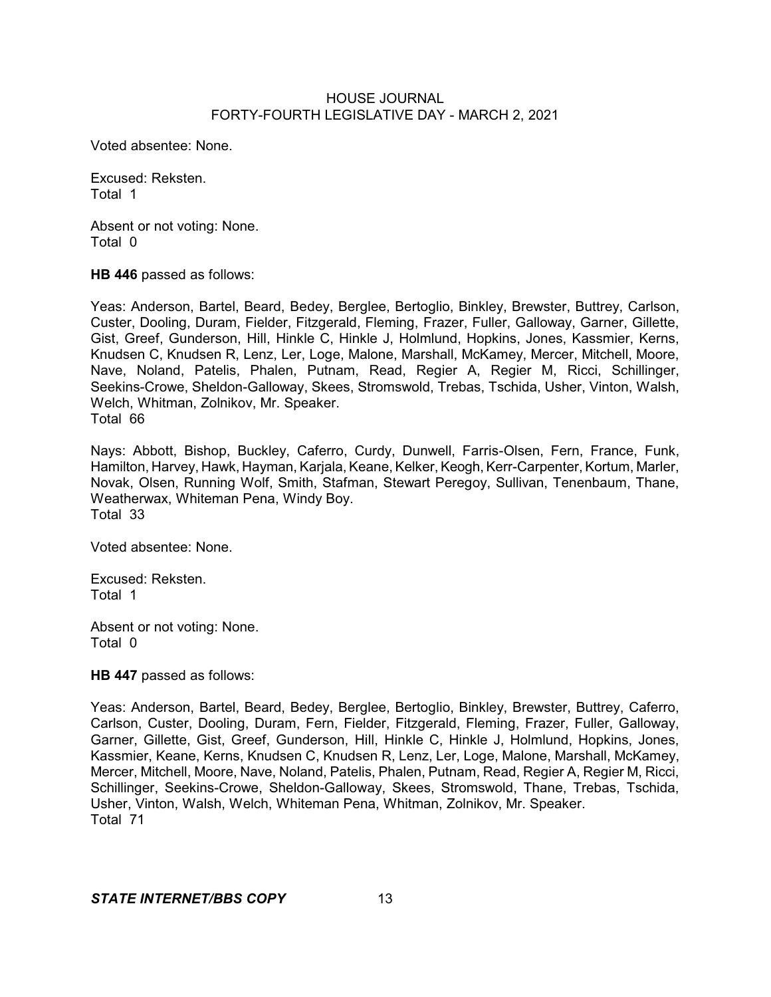Voted absentee: None.

Excused: Reksten. Total 1

Absent or not voting: None. Total 0

**HB 446** passed as follows:

Yeas: Anderson, Bartel, Beard, Bedey, Berglee, Bertoglio, Binkley, Brewster, Buttrey, Carlson, Custer, Dooling, Duram, Fielder, Fitzgerald, Fleming, Frazer, Fuller, Galloway, Garner, Gillette, Gist, Greef, Gunderson, Hill, Hinkle C, Hinkle J, Holmlund, Hopkins, Jones, Kassmier, Kerns, Knudsen C, Knudsen R, Lenz, Ler, Loge, Malone, Marshall, McKamey, Mercer, Mitchell, Moore, Nave, Noland, Patelis, Phalen, Putnam, Read, Regier A, Regier M, Ricci, Schillinger, Seekins-Crowe, Sheldon-Galloway, Skees, Stromswold, Trebas, Tschida, Usher, Vinton, Walsh, Welch, Whitman, Zolnikov, Mr. Speaker. Total 66

Nays: Abbott, Bishop, Buckley, Caferro, Curdy, Dunwell, Farris-Olsen, Fern, France, Funk, Hamilton, Harvey, Hawk, Hayman, Karjala, Keane, Kelker, Keogh, Kerr-Carpenter, Kortum, Marler, Novak, Olsen, Running Wolf, Smith, Stafman, Stewart Peregoy, Sullivan, Tenenbaum, Thane, Weatherwax, Whiteman Pena, Windy Boy. Total 33

Voted absentee: None.

Excused: Reksten. Total 1

Absent or not voting: None. Total 0

**HB 447** passed as follows:

Yeas: Anderson, Bartel, Beard, Bedey, Berglee, Bertoglio, Binkley, Brewster, Buttrey, Caferro, Carlson, Custer, Dooling, Duram, Fern, Fielder, Fitzgerald, Fleming, Frazer, Fuller, Galloway, Garner, Gillette, Gist, Greef, Gunderson, Hill, Hinkle C, Hinkle J, Holmlund, Hopkins, Jones, Kassmier, Keane, Kerns, Knudsen C, Knudsen R, Lenz, Ler, Loge, Malone, Marshall, McKamey, Mercer, Mitchell, Moore, Nave, Noland, Patelis, Phalen, Putnam, Read, Regier A, Regier M, Ricci, Schillinger, Seekins-Crowe, Sheldon-Galloway, Skees, Stromswold, Thane, Trebas, Tschida, Usher, Vinton, Walsh, Welch, Whiteman Pena, Whitman, Zolnikov, Mr. Speaker. Total 71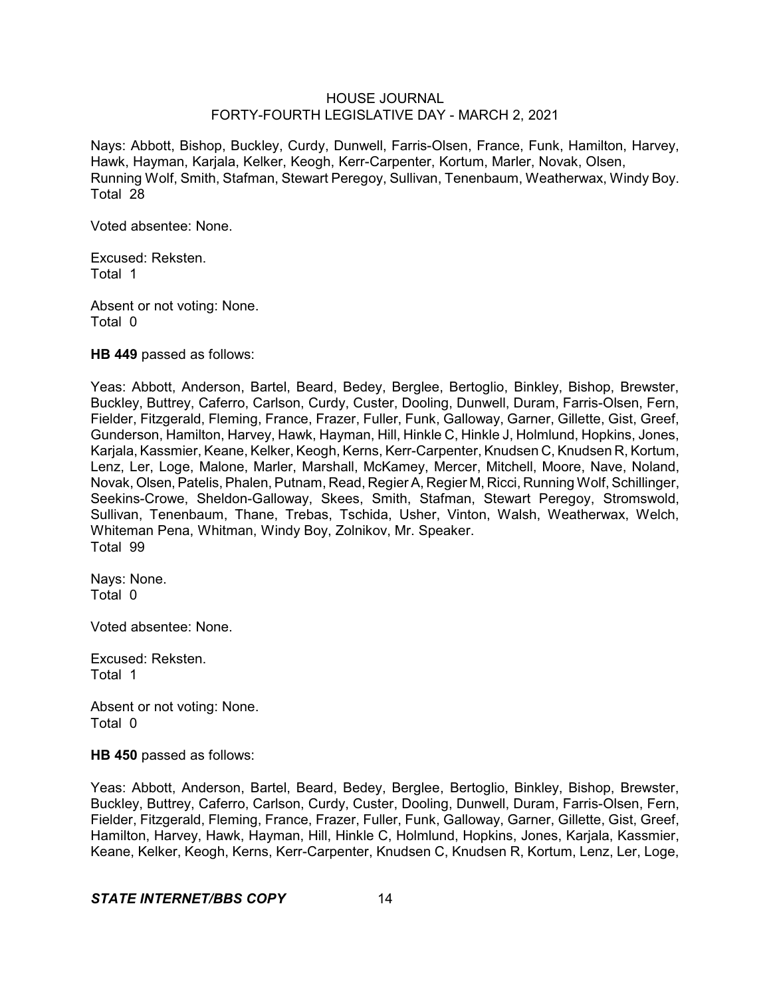Nays: Abbott, Bishop, Buckley, Curdy, Dunwell, Farris-Olsen, France, Funk, Hamilton, Harvey, Hawk, Hayman, Karjala, Kelker, Keogh, Kerr-Carpenter, Kortum, Marler, Novak, Olsen, Running Wolf, Smith, Stafman, Stewart Peregoy, Sullivan, Tenenbaum, Weatherwax, Windy Boy. Total 28

Voted absentee: None.

Excused: Reksten. Total 1

Absent or not voting: None. Total 0

**HB 449** passed as follows:

Yeas: Abbott, Anderson, Bartel, Beard, Bedey, Berglee, Bertoglio, Binkley, Bishop, Brewster, Buckley, Buttrey, Caferro, Carlson, Curdy, Custer, Dooling, Dunwell, Duram, Farris-Olsen, Fern, Fielder, Fitzgerald, Fleming, France, Frazer, Fuller, Funk, Galloway, Garner, Gillette, Gist, Greef, Gunderson, Hamilton, Harvey, Hawk, Hayman, Hill, Hinkle C, Hinkle J, Holmlund, Hopkins, Jones, Karjala, Kassmier, Keane, Kelker, Keogh, Kerns, Kerr-Carpenter, Knudsen C, Knudsen R, Kortum, Lenz, Ler, Loge, Malone, Marler, Marshall, McKamey, Mercer, Mitchell, Moore, Nave, Noland, Novak, Olsen,Patelis, Phalen, Putnam, Read, RegierA, Regier M, Ricci, Running Wolf, Schillinger, Seekins-Crowe, Sheldon-Galloway, Skees, Smith, Stafman, Stewart Peregoy, Stromswold, Sullivan, Tenenbaum, Thane, Trebas, Tschida, Usher, Vinton, Walsh, Weatherwax, Welch, Whiteman Pena, Whitman, Windy Boy, Zolnikov, Mr. Speaker. Total 99

Nays: None. Total 0

Voted absentee: None.

Excused: Reksten. Total 1

Absent or not voting: None. Total 0

**HB 450** passed as follows:

Yeas: Abbott, Anderson, Bartel, Beard, Bedey, Berglee, Bertoglio, Binkley, Bishop, Brewster, Buckley, Buttrey, Caferro, Carlson, Curdy, Custer, Dooling, Dunwell, Duram, Farris-Olsen, Fern, Fielder, Fitzgerald, Fleming, France, Frazer, Fuller, Funk, Galloway, Garner, Gillette, Gist, Greef, Hamilton, Harvey, Hawk, Hayman, Hill, Hinkle C, Holmlund, Hopkins, Jones, Karjala, Kassmier, Keane, Kelker, Keogh, Kerns, Kerr-Carpenter, Knudsen C, Knudsen R, Kortum, Lenz, Ler, Loge,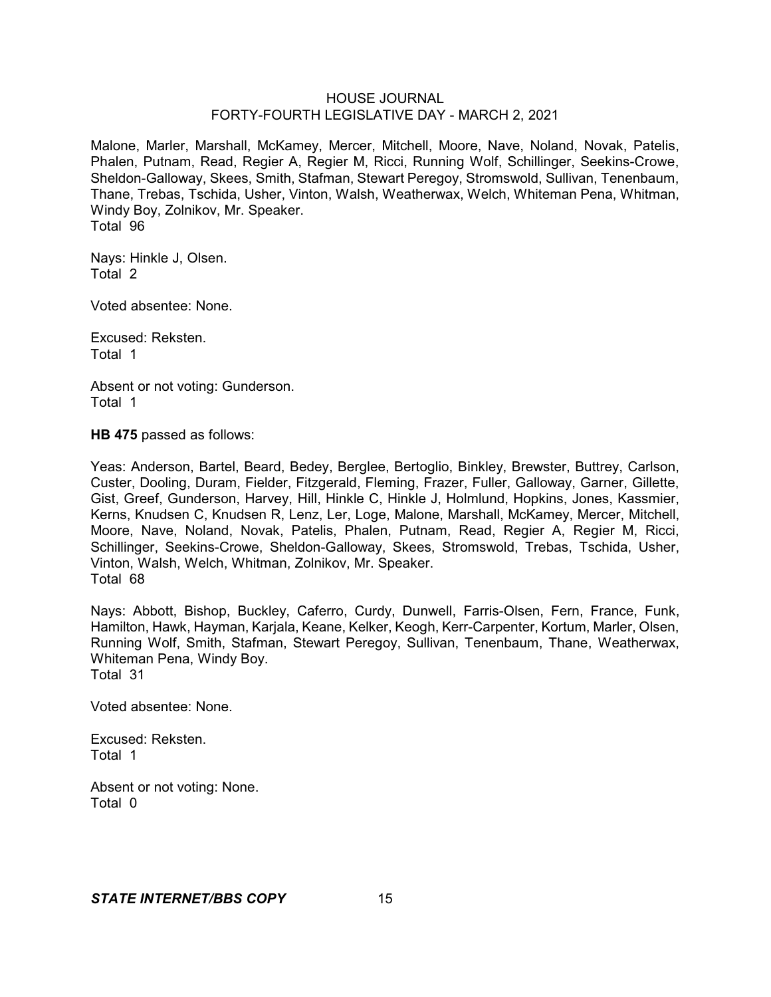Malone, Marler, Marshall, McKamey, Mercer, Mitchell, Moore, Nave, Noland, Novak, Patelis, Phalen, Putnam, Read, Regier A, Regier M, Ricci, Running Wolf, Schillinger, Seekins-Crowe, Sheldon-Galloway, Skees, Smith, Stafman, Stewart Peregoy, Stromswold, Sullivan, Tenenbaum, Thane, Trebas, Tschida, Usher, Vinton, Walsh, Weatherwax, Welch, Whiteman Pena, Whitman, Windy Boy, Zolnikov, Mr. Speaker. Total 96

Nays: Hinkle J, Olsen. Total 2

Voted absentee: None.

Excused: Reksten. Total 1

Absent or not voting: Gunderson. Total 1

**HB 475** passed as follows:

Yeas: Anderson, Bartel, Beard, Bedey, Berglee, Bertoglio, Binkley, Brewster, Buttrey, Carlson, Custer, Dooling, Duram, Fielder, Fitzgerald, Fleming, Frazer, Fuller, Galloway, Garner, Gillette, Gist, Greef, Gunderson, Harvey, Hill, Hinkle C, Hinkle J, Holmlund, Hopkins, Jones, Kassmier, Kerns, Knudsen C, Knudsen R, Lenz, Ler, Loge, Malone, Marshall, McKamey, Mercer, Mitchell, Moore, Nave, Noland, Novak, Patelis, Phalen, Putnam, Read, Regier A, Regier M, Ricci, Schillinger, Seekins-Crowe, Sheldon-Galloway, Skees, Stromswold, Trebas, Tschida, Usher, Vinton, Walsh, Welch, Whitman, Zolnikov, Mr. Speaker. Total 68

Nays: Abbott, Bishop, Buckley, Caferro, Curdy, Dunwell, Farris-Olsen, Fern, France, Funk, Hamilton, Hawk, Hayman, Karjala, Keane, Kelker, Keogh, Kerr-Carpenter, Kortum, Marler, Olsen, Running Wolf, Smith, Stafman, Stewart Peregoy, Sullivan, Tenenbaum, Thane, Weatherwax, Whiteman Pena, Windy Boy. Total 31

Voted absentee: None.

Excused: Reksten. Total 1

Absent or not voting: None. Total 0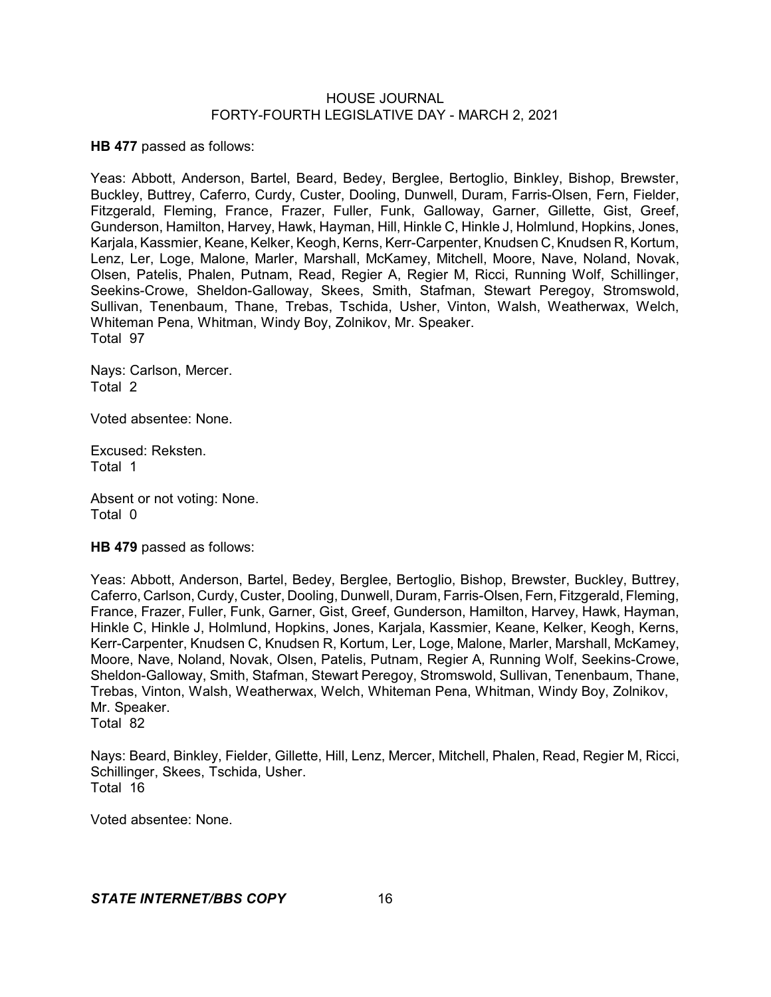**HB 477** passed as follows:

Yeas: Abbott, Anderson, Bartel, Beard, Bedey, Berglee, Bertoglio, Binkley, Bishop, Brewster, Buckley, Buttrey, Caferro, Curdy, Custer, Dooling, Dunwell, Duram, Farris-Olsen, Fern, Fielder, Fitzgerald, Fleming, France, Frazer, Fuller, Funk, Galloway, Garner, Gillette, Gist, Greef, Gunderson, Hamilton, Harvey, Hawk, Hayman, Hill, Hinkle C, Hinkle J, Holmlund, Hopkins, Jones, Karjala, Kassmier, Keane, Kelker, Keogh, Kerns, Kerr-Carpenter, Knudsen C, Knudsen R, Kortum, Lenz, Ler, Loge, Malone, Marler, Marshall, McKamey, Mitchell, Moore, Nave, Noland, Novak, Olsen, Patelis, Phalen, Putnam, Read, Regier A, Regier M, Ricci, Running Wolf, Schillinger, Seekins-Crowe, Sheldon-Galloway, Skees, Smith, Stafman, Stewart Peregoy, Stromswold, Sullivan, Tenenbaum, Thane, Trebas, Tschida, Usher, Vinton, Walsh, Weatherwax, Welch, Whiteman Pena, Whitman, Windy Boy, Zolnikov, Mr. Speaker. Total 97

Nays: Carlson, Mercer. Total 2

Voted absentee: None.

Excused: Reksten. Total 1

Absent or not voting: None. Total 0

**HB 479** passed as follows:

Yeas: Abbott, Anderson, Bartel, Bedey, Berglee, Bertoglio, Bishop, Brewster, Buckley, Buttrey, Caferro, Carlson, Curdy, Custer, Dooling, Dunwell, Duram, Farris-Olsen, Fern, Fitzgerald, Fleming, France, Frazer, Fuller, Funk, Garner, Gist, Greef, Gunderson, Hamilton, Harvey, Hawk, Hayman, Hinkle C, Hinkle J, Holmlund, Hopkins, Jones, Karjala, Kassmier, Keane, Kelker, Keogh, Kerns, Kerr-Carpenter, Knudsen C, Knudsen R, Kortum, Ler, Loge, Malone, Marler, Marshall, McKamey, Moore, Nave, Noland, Novak, Olsen, Patelis, Putnam, Regier A, Running Wolf, Seekins-Crowe, Sheldon-Galloway, Smith, Stafman, Stewart Peregoy, Stromswold, Sullivan, Tenenbaum, Thane, Trebas, Vinton, Walsh, Weatherwax, Welch, Whiteman Pena, Whitman, Windy Boy, Zolnikov, Mr. Speaker. Total 82

Nays: Beard, Binkley, Fielder, Gillette, Hill, Lenz, Mercer, Mitchell, Phalen, Read, Regier M, Ricci, Schillinger, Skees, Tschida, Usher. Total 16

Voted absentee: None.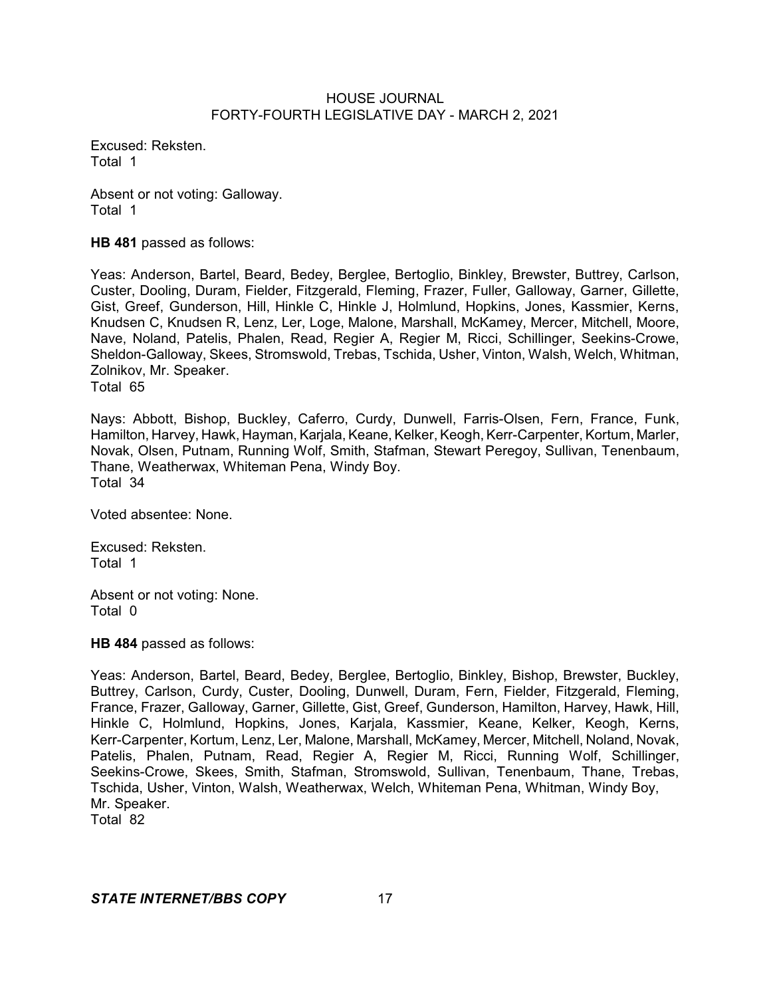Excused: Reksten. Total 1

Absent or not voting: Galloway. Total 1

**HB 481** passed as follows:

Yeas: Anderson, Bartel, Beard, Bedey, Berglee, Bertoglio, Binkley, Brewster, Buttrey, Carlson, Custer, Dooling, Duram, Fielder, Fitzgerald, Fleming, Frazer, Fuller, Galloway, Garner, Gillette, Gist, Greef, Gunderson, Hill, Hinkle C, Hinkle J, Holmlund, Hopkins, Jones, Kassmier, Kerns, Knudsen C, Knudsen R, Lenz, Ler, Loge, Malone, Marshall, McKamey, Mercer, Mitchell, Moore, Nave, Noland, Patelis, Phalen, Read, Regier A, Regier M, Ricci, Schillinger, Seekins-Crowe, Sheldon-Galloway, Skees, Stromswold, Trebas, Tschida, Usher, Vinton, Walsh, Welch, Whitman, Zolnikov, Mr. Speaker. Total 65

Nays: Abbott, Bishop, Buckley, Caferro, Curdy, Dunwell, Farris-Olsen, Fern, France, Funk, Hamilton, Harvey, Hawk, Hayman, Karjala, Keane, Kelker, Keogh, Kerr-Carpenter, Kortum, Marler, Novak, Olsen, Putnam, Running Wolf, Smith, Stafman, Stewart Peregoy, Sullivan, Tenenbaum, Thane, Weatherwax, Whiteman Pena, Windy Boy. Total 34

Voted absentee: None.

Excused: Reksten. Total 1

Absent or not voting: None. Total 0

**HB 484** passed as follows:

Yeas: Anderson, Bartel, Beard, Bedey, Berglee, Bertoglio, Binkley, Bishop, Brewster, Buckley, Buttrey, Carlson, Curdy, Custer, Dooling, Dunwell, Duram, Fern, Fielder, Fitzgerald, Fleming, France, Frazer, Galloway, Garner, Gillette, Gist, Greef, Gunderson, Hamilton, Harvey, Hawk, Hill, Hinkle C, Holmlund, Hopkins, Jones, Karjala, Kassmier, Keane, Kelker, Keogh, Kerns, Kerr-Carpenter, Kortum, Lenz, Ler, Malone, Marshall, McKamey, Mercer, Mitchell, Noland, Novak, Patelis, Phalen, Putnam, Read, Regier A, Regier M, Ricci, Running Wolf, Schillinger, Seekins-Crowe, Skees, Smith, Stafman, Stromswold, Sullivan, Tenenbaum, Thane, Trebas, Tschida, Usher, Vinton, Walsh, Weatherwax, Welch, Whiteman Pena, Whitman, Windy Boy, Mr. Speaker.

Total 82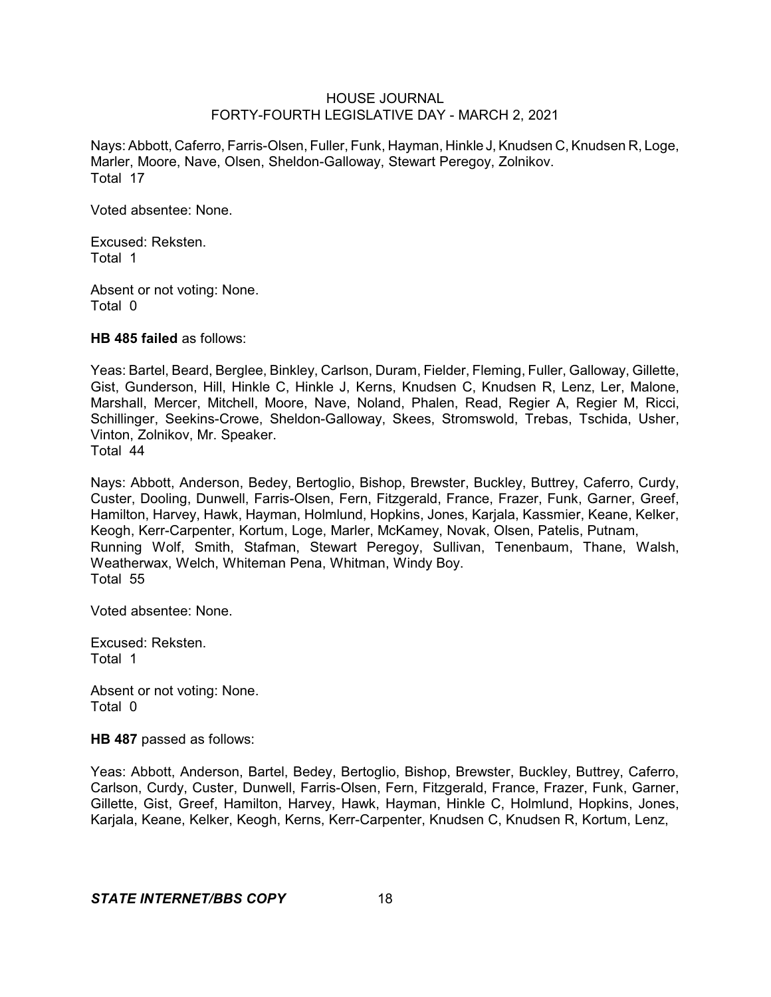Nays: Abbott, Caferro, Farris-Olsen, Fuller, Funk, Hayman, Hinkle J,Knudsen C, Knudsen R, Loge, Marler, Moore, Nave, Olsen, Sheldon-Galloway, Stewart Peregoy, Zolnikov. Total 17

Voted absentee: None.

Excused: Reksten. Total 1

Absent or not voting: None. Total 0

**HB 485 failed** as follows:

Yeas: Bartel, Beard, Berglee, Binkley, Carlson, Duram, Fielder, Fleming, Fuller, Galloway, Gillette, Gist, Gunderson, Hill, Hinkle C, Hinkle J, Kerns, Knudsen C, Knudsen R, Lenz, Ler, Malone, Marshall, Mercer, Mitchell, Moore, Nave, Noland, Phalen, Read, Regier A, Regier M, Ricci, Schillinger, Seekins-Crowe, Sheldon-Galloway, Skees, Stromswold, Trebas, Tschida, Usher, Vinton, Zolnikov, Mr. Speaker. Total 44

Nays: Abbott, Anderson, Bedey, Bertoglio, Bishop, Brewster, Buckley, Buttrey, Caferro, Curdy, Custer, Dooling, Dunwell, Farris-Olsen, Fern, Fitzgerald, France, Frazer, Funk, Garner, Greef, Hamilton, Harvey, Hawk, Hayman, Holmlund, Hopkins, Jones, Karjala, Kassmier, Keane, Kelker, Keogh, Kerr-Carpenter, Kortum, Loge, Marler, McKamey, Novak, Olsen, Patelis, Putnam, Running Wolf, Smith, Stafman, Stewart Peregoy, Sullivan, Tenenbaum, Thane, Walsh, Weatherwax, Welch, Whiteman Pena, Whitman, Windy Boy. Total 55

Voted absentee: None.

Excused: Reksten. Total 1

Absent or not voting: None. Total 0

**HB 487** passed as follows:

Yeas: Abbott, Anderson, Bartel, Bedey, Bertoglio, Bishop, Brewster, Buckley, Buttrey, Caferro, Carlson, Curdy, Custer, Dunwell, Farris-Olsen, Fern, Fitzgerald, France, Frazer, Funk, Garner, Gillette, Gist, Greef, Hamilton, Harvey, Hawk, Hayman, Hinkle C, Holmlund, Hopkins, Jones, Karjala, Keane, Kelker, Keogh, Kerns, Kerr-Carpenter, Knudsen C, Knudsen R, Kortum, Lenz,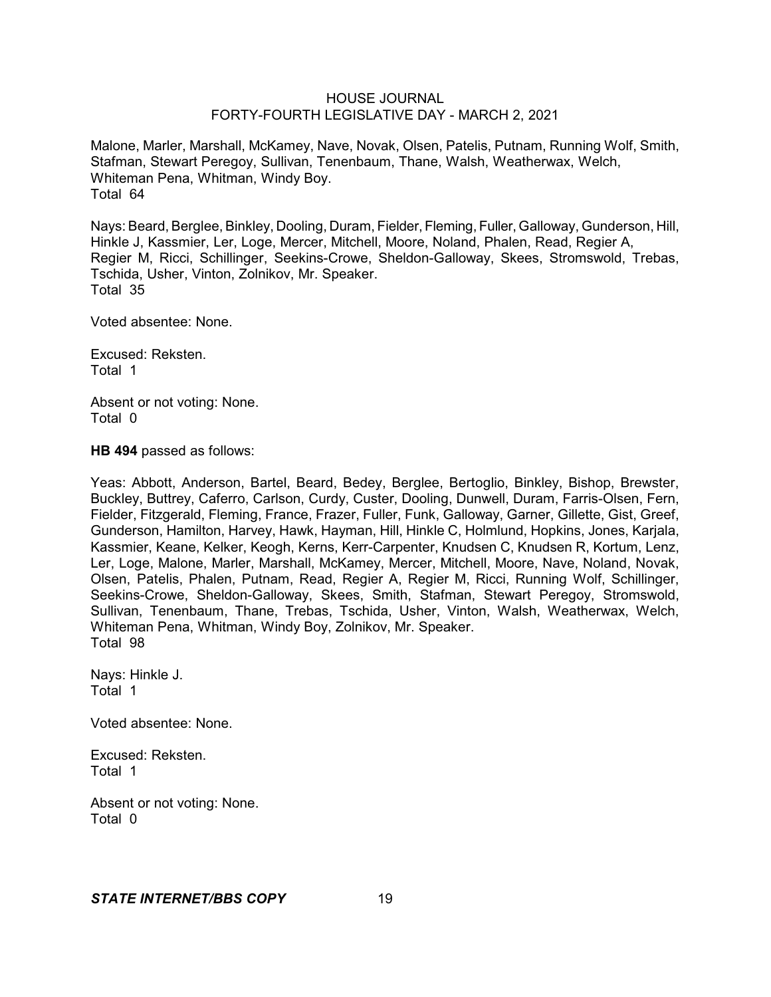Malone, Marler, Marshall, McKamey, Nave, Novak, Olsen, Patelis, Putnam, Running Wolf, Smith, Stafman, Stewart Peregoy, Sullivan, Tenenbaum, Thane, Walsh, Weatherwax, Welch, Whiteman Pena, Whitman, Windy Boy. Total 64

Nays: Beard, Berglee, Binkley, Dooling, Duram, Fielder, Fleming, Fuller, Galloway, Gunderson, Hill, Hinkle J, Kassmier, Ler, Loge, Mercer, Mitchell, Moore, Noland, Phalen, Read, Regier A, Regier M, Ricci, Schillinger, Seekins-Crowe, Sheldon-Galloway, Skees, Stromswold, Trebas, Tschida, Usher, Vinton, Zolnikov, Mr. Speaker. Total 35

Voted absentee: None.

Excused: Reksten. Total 1

Absent or not voting: None. Total 0

**HB 494** passed as follows:

Yeas: Abbott, Anderson, Bartel, Beard, Bedey, Berglee, Bertoglio, Binkley, Bishop, Brewster, Buckley, Buttrey, Caferro, Carlson, Curdy, Custer, Dooling, Dunwell, Duram, Farris-Olsen, Fern, Fielder, Fitzgerald, Fleming, France, Frazer, Fuller, Funk, Galloway, Garner, Gillette, Gist, Greef, Gunderson, Hamilton, Harvey, Hawk, Hayman, Hill, Hinkle C, Holmlund, Hopkins, Jones, Karjala, Kassmier, Keane, Kelker, Keogh, Kerns, Kerr-Carpenter, Knudsen C, Knudsen R, Kortum, Lenz, Ler, Loge, Malone, Marler, Marshall, McKamey, Mercer, Mitchell, Moore, Nave, Noland, Novak, Olsen, Patelis, Phalen, Putnam, Read, Regier A, Regier M, Ricci, Running Wolf, Schillinger, Seekins-Crowe, Sheldon-Galloway, Skees, Smith, Stafman, Stewart Peregoy, Stromswold, Sullivan, Tenenbaum, Thane, Trebas, Tschida, Usher, Vinton, Walsh, Weatherwax, Welch, Whiteman Pena, Whitman, Windy Boy, Zolnikov, Mr. Speaker. Total 98

Nays: Hinkle J. Total 1

Voted absentee: None.

Excused: Reksten. Total 1

Absent or not voting: None. Total 0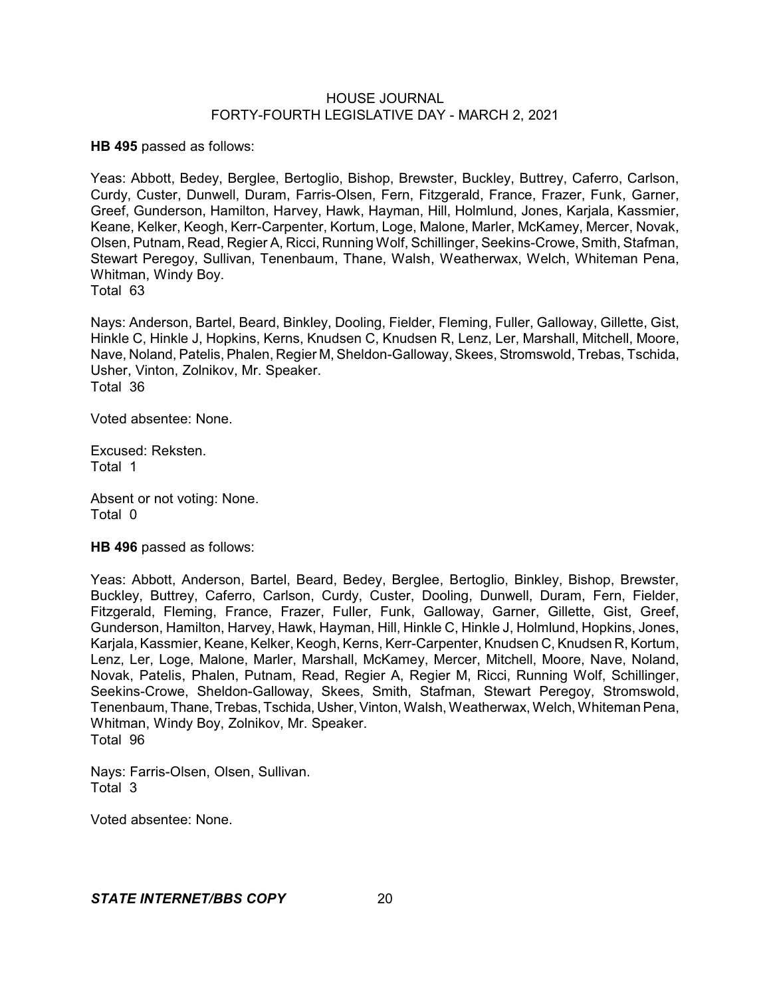**HB 495** passed as follows:

Yeas: Abbott, Bedey, Berglee, Bertoglio, Bishop, Brewster, Buckley, Buttrey, Caferro, Carlson, Curdy, Custer, Dunwell, Duram, Farris-Olsen, Fern, Fitzgerald, France, Frazer, Funk, Garner, Greef, Gunderson, Hamilton, Harvey, Hawk, Hayman, Hill, Holmlund, Jones, Karjala, Kassmier, Keane, Kelker, Keogh, Kerr-Carpenter, Kortum, Loge, Malone, Marler, McKamey, Mercer, Novak, Olsen, Putnam, Read, Regier A, Ricci, Running Wolf, Schillinger, Seekins-Crowe, Smith, Stafman, Stewart Peregoy, Sullivan, Tenenbaum, Thane, Walsh, Weatherwax, Welch, Whiteman Pena, Whitman, Windy Boy.

Total 63

Nays: Anderson, Bartel, Beard, Binkley, Dooling, Fielder, Fleming, Fuller, Galloway, Gillette, Gist, Hinkle C, Hinkle J, Hopkins, Kerns, Knudsen C, Knudsen R, Lenz, Ler, Marshall, Mitchell, Moore, Nave, Noland, Patelis, Phalen, Regier M, Sheldon-Galloway, Skees, Stromswold, Trebas, Tschida, Usher, Vinton, Zolnikov, Mr. Speaker. Total 36

Voted absentee: None.

Excused: Reksten. Total 1

Absent or not voting: None. Total 0

**HB 496** passed as follows:

Yeas: Abbott, Anderson, Bartel, Beard, Bedey, Berglee, Bertoglio, Binkley, Bishop, Brewster, Buckley, Buttrey, Caferro, Carlson, Curdy, Custer, Dooling, Dunwell, Duram, Fern, Fielder, Fitzgerald, Fleming, France, Frazer, Fuller, Funk, Galloway, Garner, Gillette, Gist, Greef, Gunderson, Hamilton, Harvey, Hawk, Hayman, Hill, Hinkle C, Hinkle J, Holmlund, Hopkins, Jones, Karjala, Kassmier, Keane, Kelker, Keogh, Kerns, Kerr-Carpenter, Knudsen C, Knudsen R, Kortum, Lenz, Ler, Loge, Malone, Marler, Marshall, McKamey, Mercer, Mitchell, Moore, Nave, Noland, Novak, Patelis, Phalen, Putnam, Read, Regier A, Regier M, Ricci, Running Wolf, Schillinger, Seekins-Crowe, Sheldon-Galloway, Skees, Smith, Stafman, Stewart Peregoy, Stromswold, Tenenbaum, Thane, Trebas, Tschida, Usher,Vinton, Walsh, Weatherwax, Welch, Whiteman Pena, Whitman, Windy Boy, Zolnikov, Mr. Speaker. Total 96

Nays: Farris-Olsen, Olsen, Sullivan. Total 3

Voted absentee: None.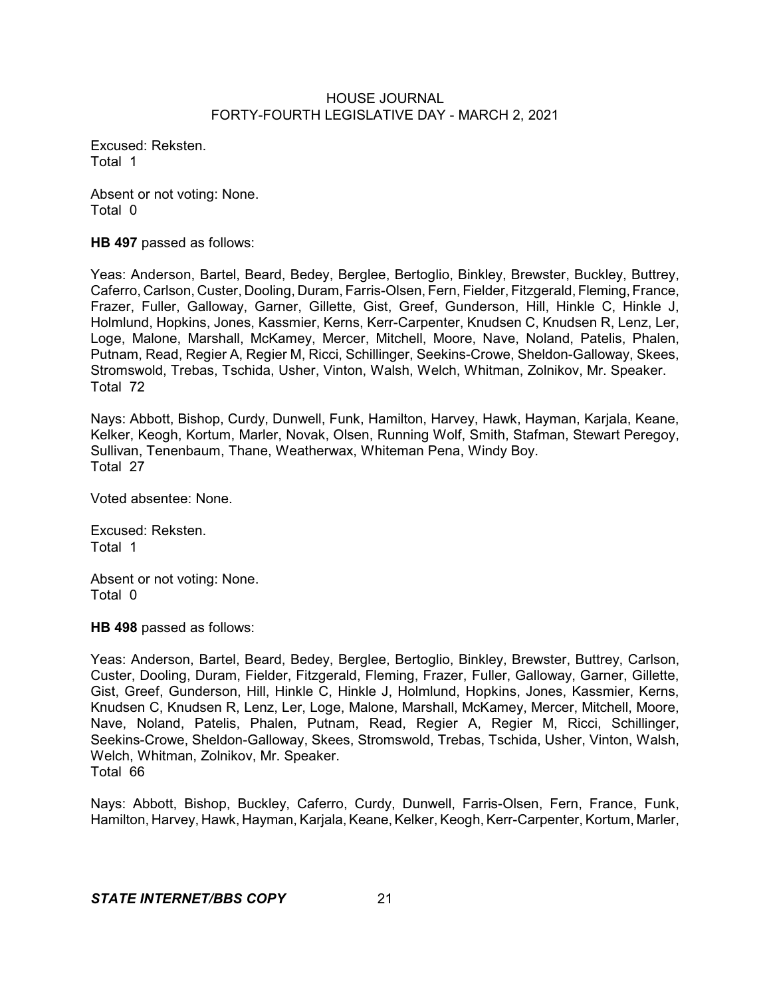Excused: Reksten. Total 1

Absent or not voting: None. Total 0

**HB 497** passed as follows:

Yeas: Anderson, Bartel, Beard, Bedey, Berglee, Bertoglio, Binkley, Brewster, Buckley, Buttrey, Caferro, Carlson, Custer, Dooling, Duram, Farris-Olsen, Fern, Fielder, Fitzgerald, Fleming, France, Frazer, Fuller, Galloway, Garner, Gillette, Gist, Greef, Gunderson, Hill, Hinkle C, Hinkle J, Holmlund, Hopkins, Jones, Kassmier, Kerns, Kerr-Carpenter, Knudsen C, Knudsen R, Lenz, Ler, Loge, Malone, Marshall, McKamey, Mercer, Mitchell, Moore, Nave, Noland, Patelis, Phalen, Putnam, Read, Regier A, Regier M, Ricci, Schillinger, Seekins-Crowe, Sheldon-Galloway, Skees, Stromswold, Trebas, Tschida, Usher, Vinton, Walsh, Welch, Whitman, Zolnikov, Mr. Speaker. Total 72

Nays: Abbott, Bishop, Curdy, Dunwell, Funk, Hamilton, Harvey, Hawk, Hayman, Karjala, Keane, Kelker, Keogh, Kortum, Marler, Novak, Olsen, Running Wolf, Smith, Stafman, Stewart Peregoy, Sullivan, Tenenbaum, Thane, Weatherwax, Whiteman Pena, Windy Boy. Total 27

Voted absentee: None.

Excused: Reksten. Total 1

Absent or not voting: None. Total 0

**HB 498** passed as follows:

Yeas: Anderson, Bartel, Beard, Bedey, Berglee, Bertoglio, Binkley, Brewster, Buttrey, Carlson, Custer, Dooling, Duram, Fielder, Fitzgerald, Fleming, Frazer, Fuller, Galloway, Garner, Gillette, Gist, Greef, Gunderson, Hill, Hinkle C, Hinkle J, Holmlund, Hopkins, Jones, Kassmier, Kerns, Knudsen C, Knudsen R, Lenz, Ler, Loge, Malone, Marshall, McKamey, Mercer, Mitchell, Moore, Nave, Noland, Patelis, Phalen, Putnam, Read, Regier A, Regier M, Ricci, Schillinger, Seekins-Crowe, Sheldon-Galloway, Skees, Stromswold, Trebas, Tschida, Usher, Vinton, Walsh, Welch, Whitman, Zolnikov, Mr. Speaker. Total 66

Nays: Abbott, Bishop, Buckley, Caferro, Curdy, Dunwell, Farris-Olsen, Fern, France, Funk, Hamilton, Harvey, Hawk, Hayman, Karjala, Keane, Kelker, Keogh, Kerr-Carpenter, Kortum, Marler,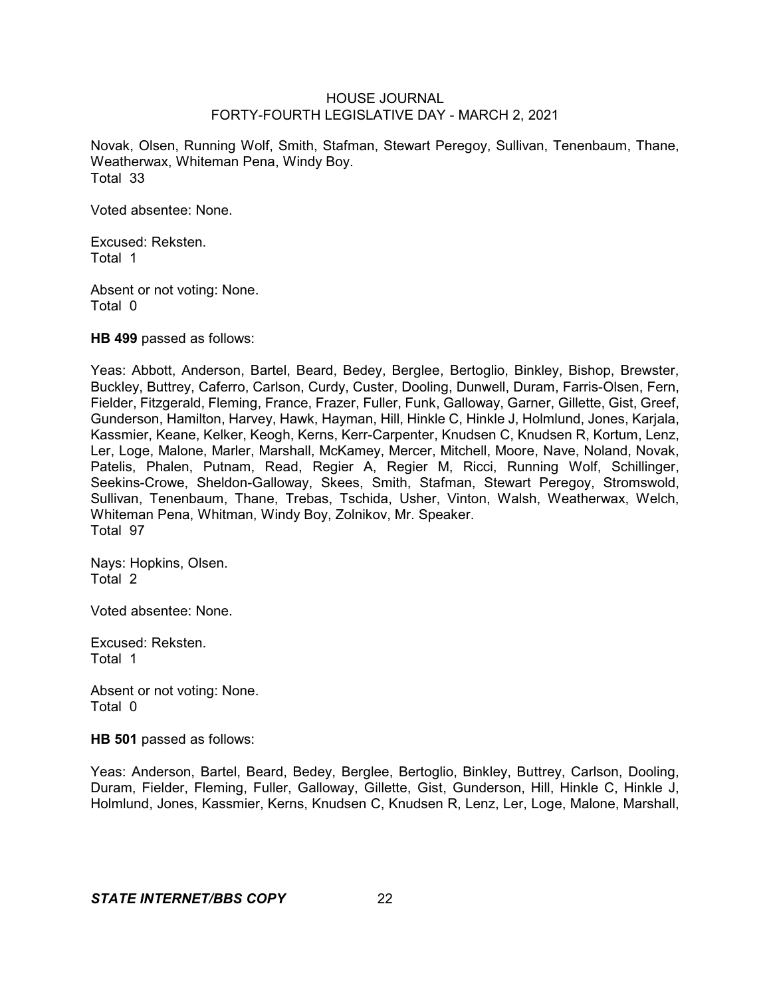Novak, Olsen, Running Wolf, Smith, Stafman, Stewart Peregoy, Sullivan, Tenenbaum, Thane, Weatherwax, Whiteman Pena, Windy Boy. Total 33

Voted absentee: None.

Excused: Reksten. Total 1

Absent or not voting: None. Total 0

**HB 499** passed as follows:

Yeas: Abbott, Anderson, Bartel, Beard, Bedey, Berglee, Bertoglio, Binkley, Bishop, Brewster, Buckley, Buttrey, Caferro, Carlson, Curdy, Custer, Dooling, Dunwell, Duram, Farris-Olsen, Fern, Fielder, Fitzgerald, Fleming, France, Frazer, Fuller, Funk, Galloway, Garner, Gillette, Gist, Greef, Gunderson, Hamilton, Harvey, Hawk, Hayman, Hill, Hinkle C, Hinkle J, Holmlund, Jones, Karjala, Kassmier, Keane, Kelker, Keogh, Kerns, Kerr-Carpenter, Knudsen C, Knudsen R, Kortum, Lenz, Ler, Loge, Malone, Marler, Marshall, McKamey, Mercer, Mitchell, Moore, Nave, Noland, Novak, Patelis, Phalen, Putnam, Read, Regier A, Regier M, Ricci, Running Wolf, Schillinger, Seekins-Crowe, Sheldon-Galloway, Skees, Smith, Stafman, Stewart Peregoy, Stromswold, Sullivan, Tenenbaum, Thane, Trebas, Tschida, Usher, Vinton, Walsh, Weatherwax, Welch, Whiteman Pena, Whitman, Windy Boy, Zolnikov, Mr. Speaker. Total 97

Nays: Hopkins, Olsen. Total 2

Voted absentee: None.

Excused: Reksten. Total 1

Absent or not voting: None. Total 0

**HB 501** passed as follows:

Yeas: Anderson, Bartel, Beard, Bedey, Berglee, Bertoglio, Binkley, Buttrey, Carlson, Dooling, Duram, Fielder, Fleming, Fuller, Galloway, Gillette, Gist, Gunderson, Hill, Hinkle C, Hinkle J, Holmlund, Jones, Kassmier, Kerns, Knudsen C, Knudsen R, Lenz, Ler, Loge, Malone, Marshall,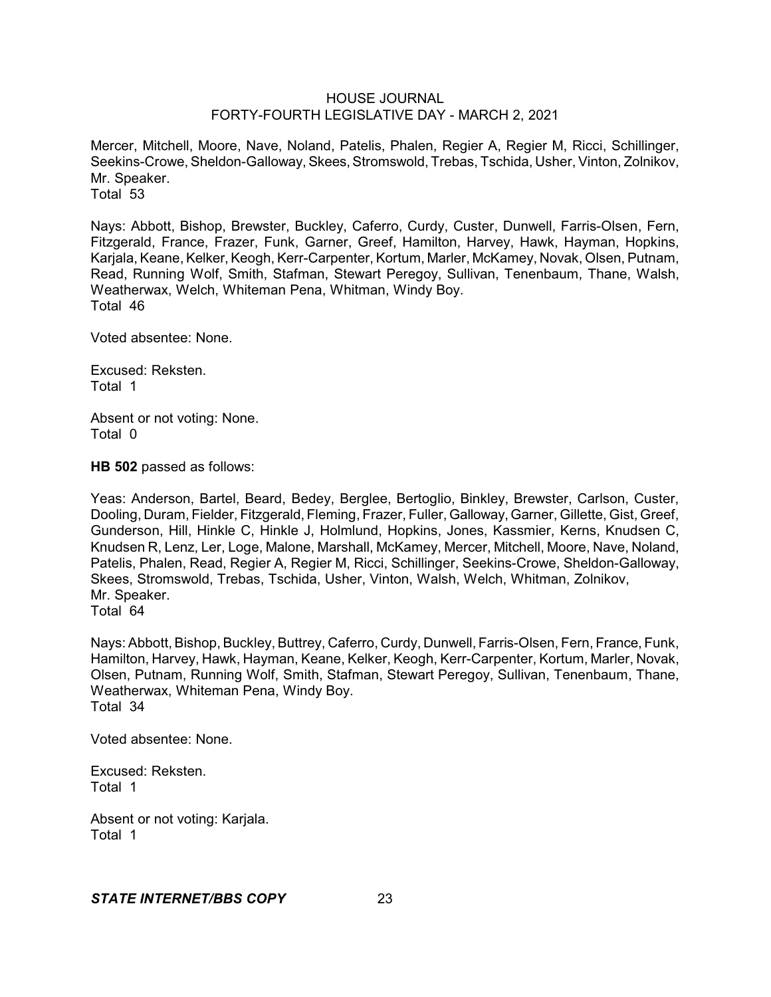Mercer, Mitchell, Moore, Nave, Noland, Patelis, Phalen, Regier A, Regier M, Ricci, Schillinger, Seekins-Crowe, Sheldon-Galloway, Skees, Stromswold, Trebas, Tschida, Usher, Vinton, Zolnikov, Mr. Speaker. Total 53

Nays: Abbott, Bishop, Brewster, Buckley, Caferro, Curdy, Custer, Dunwell, Farris-Olsen, Fern, Fitzgerald, France, Frazer, Funk, Garner, Greef, Hamilton, Harvey, Hawk, Hayman, Hopkins, Karjala, Keane, Kelker, Keogh, Kerr-Carpenter, Kortum, Marler, McKamey, Novak, Olsen, Putnam, Read, Running Wolf, Smith, Stafman, Stewart Peregoy, Sullivan, Tenenbaum, Thane, Walsh, Weatherwax, Welch, Whiteman Pena, Whitman, Windy Boy. Total 46

Voted absentee: None.

Excused: Reksten. Total 1

Absent or not voting: None. Total 0

**HB 502** passed as follows:

Yeas: Anderson, Bartel, Beard, Bedey, Berglee, Bertoglio, Binkley, Brewster, Carlson, Custer, Dooling, Duram, Fielder, Fitzgerald, Fleming, Frazer, Fuller, Galloway, Garner, Gillette, Gist, Greef, Gunderson, Hill, Hinkle C, Hinkle J, Holmlund, Hopkins, Jones, Kassmier, Kerns, Knudsen C, Knudsen R, Lenz, Ler, Loge, Malone, Marshall, McKamey, Mercer, Mitchell, Moore, Nave, Noland, Patelis, Phalen, Read, Regier A, Regier M, Ricci, Schillinger, Seekins-Crowe, Sheldon-Galloway, Skees, Stromswold, Trebas, Tschida, Usher, Vinton, Walsh, Welch, Whitman, Zolnikov, Mr. Speaker. Total 64

Nays: Abbott, Bishop, Buckley, Buttrey, Caferro, Curdy, Dunwell, Farris-Olsen, Fern, France, Funk, Hamilton, Harvey, Hawk, Hayman, Keane, Kelker, Keogh, Kerr-Carpenter, Kortum, Marler, Novak, Olsen, Putnam, Running Wolf, Smith, Stafman, Stewart Peregoy, Sullivan, Tenenbaum, Thane, Weatherwax, Whiteman Pena, Windy Boy. Total 34

Voted absentee: None.

Excused: Reksten. Total 1

Absent or not voting: Karjala. Total 1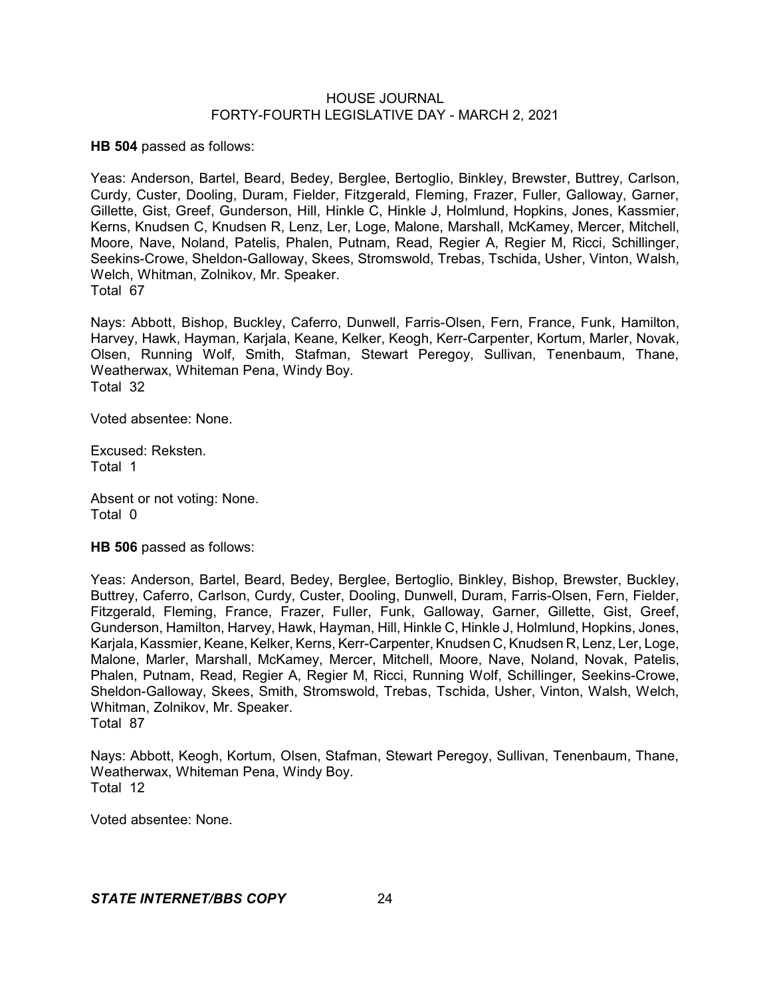**HB 504** passed as follows:

Yeas: Anderson, Bartel, Beard, Bedey, Berglee, Bertoglio, Binkley, Brewster, Buttrey, Carlson, Curdy, Custer, Dooling, Duram, Fielder, Fitzgerald, Fleming, Frazer, Fuller, Galloway, Garner, Gillette, Gist, Greef, Gunderson, Hill, Hinkle C, Hinkle J, Holmlund, Hopkins, Jones, Kassmier, Kerns, Knudsen C, Knudsen R, Lenz, Ler, Loge, Malone, Marshall, McKamey, Mercer, Mitchell, Moore, Nave, Noland, Patelis, Phalen, Putnam, Read, Regier A, Regier M, Ricci, Schillinger, Seekins-Crowe, Sheldon-Galloway, Skees, Stromswold, Trebas, Tschida, Usher, Vinton, Walsh, Welch, Whitman, Zolnikov, Mr. Speaker. Total 67

Nays: Abbott, Bishop, Buckley, Caferro, Dunwell, Farris-Olsen, Fern, France, Funk, Hamilton, Harvey, Hawk, Hayman, Karjala, Keane, Kelker, Keogh, Kerr-Carpenter, Kortum, Marler, Novak, Olsen, Running Wolf, Smith, Stafman, Stewart Peregoy, Sullivan, Tenenbaum, Thane, Weatherwax, Whiteman Pena, Windy Boy. Total 32

Voted absentee: None.

Excused: Reksten. Total 1

Absent or not voting: None. Total 0

**HB 506** passed as follows:

Yeas: Anderson, Bartel, Beard, Bedey, Berglee, Bertoglio, Binkley, Bishop, Brewster, Buckley, Buttrey, Caferro, Carlson, Curdy, Custer, Dooling, Dunwell, Duram, Farris-Olsen, Fern, Fielder, Fitzgerald, Fleming, France, Frazer, Fuller, Funk, Galloway, Garner, Gillette, Gist, Greef, Gunderson, Hamilton, Harvey, Hawk, Hayman, Hill, Hinkle C, Hinkle J, Holmlund, Hopkins, Jones, Karjala, Kassmier, Keane, Kelker, Kerns, Kerr-Carpenter, Knudsen C, Knudsen R, Lenz, Ler, Loge, Malone, Marler, Marshall, McKamey, Mercer, Mitchell, Moore, Nave, Noland, Novak, Patelis, Phalen, Putnam, Read, Regier A, Regier M, Ricci, Running Wolf, Schillinger, Seekins-Crowe, Sheldon-Galloway, Skees, Smith, Stromswold, Trebas, Tschida, Usher, Vinton, Walsh, Welch, Whitman, Zolnikov, Mr. Speaker. Total 87

Nays: Abbott, Keogh, Kortum, Olsen, Stafman, Stewart Peregoy, Sullivan, Tenenbaum, Thane, Weatherwax, Whiteman Pena, Windy Boy. Total 12

Voted absentee: None.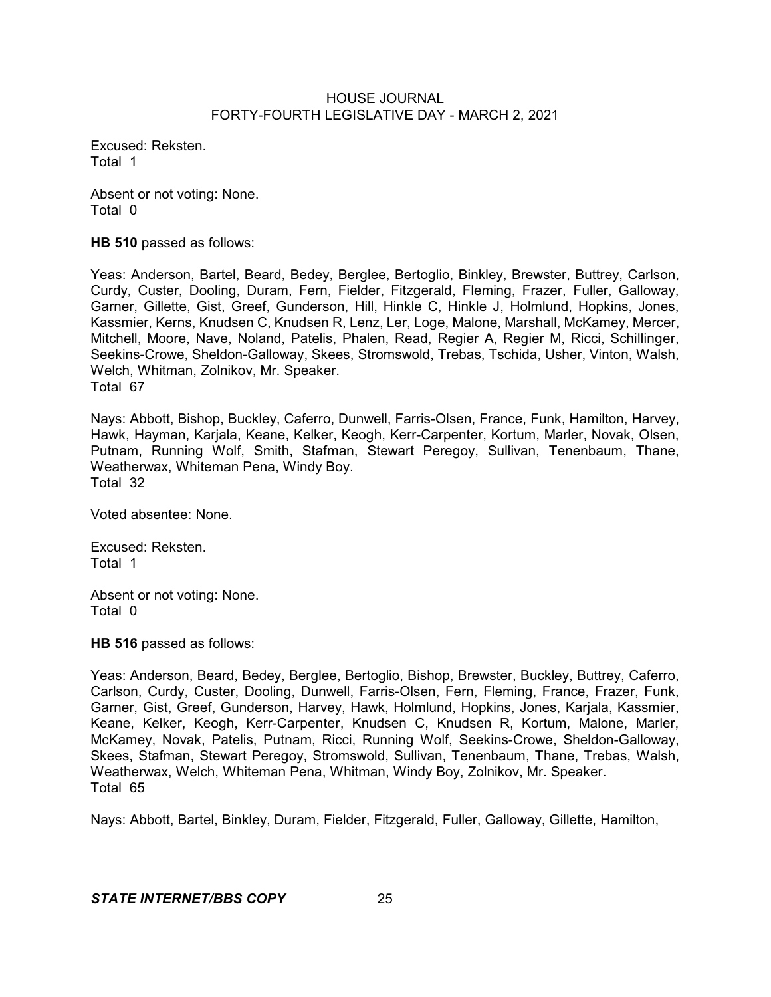Excused: Reksten. Total 1

Absent or not voting: None. Total 0

**HB 510** passed as follows:

Yeas: Anderson, Bartel, Beard, Bedey, Berglee, Bertoglio, Binkley, Brewster, Buttrey, Carlson, Curdy, Custer, Dooling, Duram, Fern, Fielder, Fitzgerald, Fleming, Frazer, Fuller, Galloway, Garner, Gillette, Gist, Greef, Gunderson, Hill, Hinkle C, Hinkle J, Holmlund, Hopkins, Jones, Kassmier, Kerns, Knudsen C, Knudsen R, Lenz, Ler, Loge, Malone, Marshall, McKamey, Mercer, Mitchell, Moore, Nave, Noland, Patelis, Phalen, Read, Regier A, Regier M, Ricci, Schillinger, Seekins-Crowe, Sheldon-Galloway, Skees, Stromswold, Trebas, Tschida, Usher, Vinton, Walsh, Welch, Whitman, Zolnikov, Mr. Speaker. Total 67

Nays: Abbott, Bishop, Buckley, Caferro, Dunwell, Farris-Olsen, France, Funk, Hamilton, Harvey, Hawk, Hayman, Karjala, Keane, Kelker, Keogh, Kerr-Carpenter, Kortum, Marler, Novak, Olsen, Putnam, Running Wolf, Smith, Stafman, Stewart Peregoy, Sullivan, Tenenbaum, Thane, Weatherwax, Whiteman Pena, Windy Boy. Total 32

Voted absentee: None.

Excused: Reksten. Total 1

Absent or not voting: None. Total 0

**HB 516** passed as follows:

Yeas: Anderson, Beard, Bedey, Berglee, Bertoglio, Bishop, Brewster, Buckley, Buttrey, Caferro, Carlson, Curdy, Custer, Dooling, Dunwell, Farris-Olsen, Fern, Fleming, France, Frazer, Funk, Garner, Gist, Greef, Gunderson, Harvey, Hawk, Holmlund, Hopkins, Jones, Karjala, Kassmier, Keane, Kelker, Keogh, Kerr-Carpenter, Knudsen C, Knudsen R, Kortum, Malone, Marler, McKamey, Novak, Patelis, Putnam, Ricci, Running Wolf, Seekins-Crowe, Sheldon-Galloway, Skees, Stafman, Stewart Peregoy, Stromswold, Sullivan, Tenenbaum, Thane, Trebas, Walsh, Weatherwax, Welch, Whiteman Pena, Whitman, Windy Boy, Zolnikov, Mr. Speaker. Total 65

Nays: Abbott, Bartel, Binkley, Duram, Fielder, Fitzgerald, Fuller, Galloway, Gillette, Hamilton,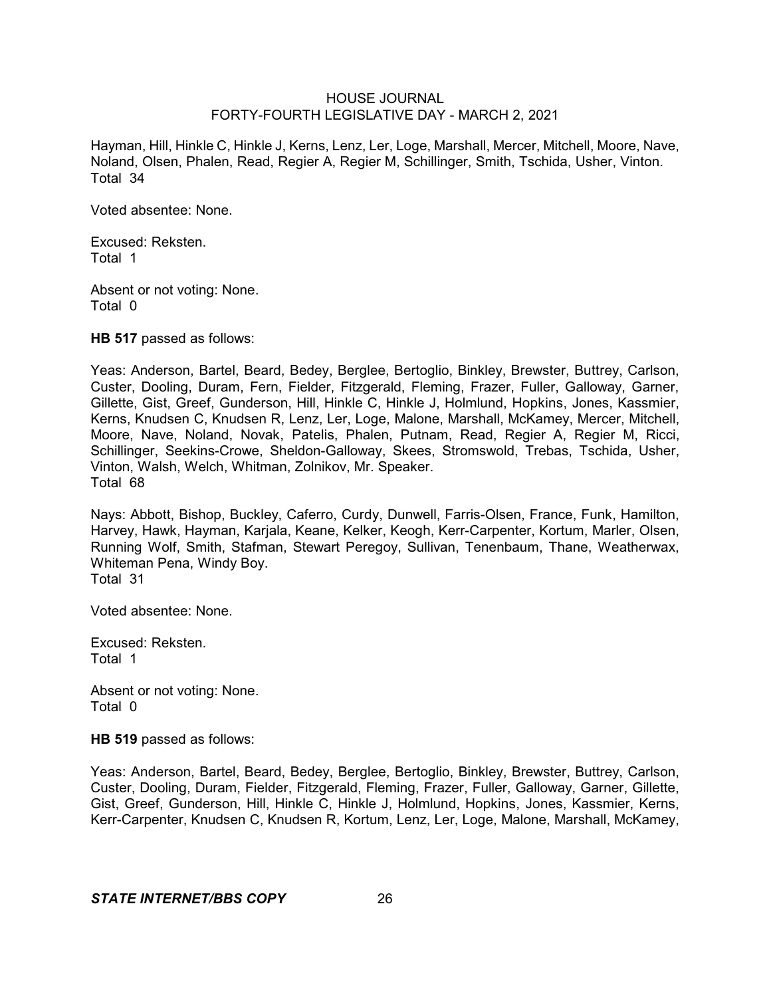Hayman, Hill, Hinkle C, Hinkle J, Kerns, Lenz, Ler, Loge, Marshall, Mercer, Mitchell, Moore, Nave, Noland, Olsen, Phalen, Read, Regier A, Regier M, Schillinger, Smith, Tschida, Usher, Vinton. Total 34

Voted absentee: None.

Excused: Reksten. Total 1

Absent or not voting: None. Total 0

**HB 517** passed as follows:

Yeas: Anderson, Bartel, Beard, Bedey, Berglee, Bertoglio, Binkley, Brewster, Buttrey, Carlson, Custer, Dooling, Duram, Fern, Fielder, Fitzgerald, Fleming, Frazer, Fuller, Galloway, Garner, Gillette, Gist, Greef, Gunderson, Hill, Hinkle C, Hinkle J, Holmlund, Hopkins, Jones, Kassmier, Kerns, Knudsen C, Knudsen R, Lenz, Ler, Loge, Malone, Marshall, McKamey, Mercer, Mitchell, Moore, Nave, Noland, Novak, Patelis, Phalen, Putnam, Read, Regier A, Regier M, Ricci, Schillinger, Seekins-Crowe, Sheldon-Galloway, Skees, Stromswold, Trebas, Tschida, Usher, Vinton, Walsh, Welch, Whitman, Zolnikov, Mr. Speaker. Total 68

Nays: Abbott, Bishop, Buckley, Caferro, Curdy, Dunwell, Farris-Olsen, France, Funk, Hamilton, Harvey, Hawk, Hayman, Karjala, Keane, Kelker, Keogh, Kerr-Carpenter, Kortum, Marler, Olsen, Running Wolf, Smith, Stafman, Stewart Peregoy, Sullivan, Tenenbaum, Thane, Weatherwax, Whiteman Pena, Windy Boy. Total 31

Voted absentee: None.

Excused: Reksten. Total 1

Absent or not voting: None. Total 0

**HB 519** passed as follows:

Yeas: Anderson, Bartel, Beard, Bedey, Berglee, Bertoglio, Binkley, Brewster, Buttrey, Carlson, Custer, Dooling, Duram, Fielder, Fitzgerald, Fleming, Frazer, Fuller, Galloway, Garner, Gillette, Gist, Greef, Gunderson, Hill, Hinkle C, Hinkle J, Holmlund, Hopkins, Jones, Kassmier, Kerns, Kerr-Carpenter, Knudsen C, Knudsen R, Kortum, Lenz, Ler, Loge, Malone, Marshall, McKamey,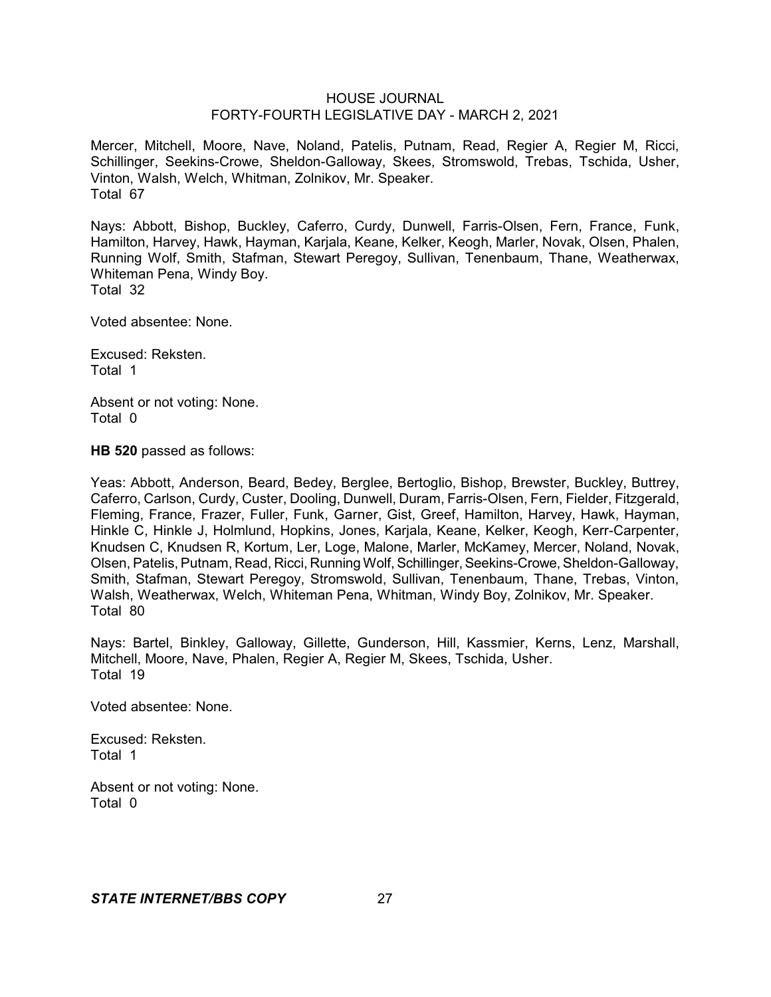Mercer, Mitchell, Moore, Nave, Noland, Patelis, Putnam, Read, Regier A, Regier M, Ricci, Schillinger, Seekins-Crowe, Sheldon-Galloway, Skees, Stromswold, Trebas, Tschida, Usher, Vinton, Walsh, Welch, Whitman, Zolnikov, Mr. Speaker. Total 67

Nays: Abbott, Bishop, Buckley, Caferro, Curdy, Dunwell, Farris-Olsen, Fern, France, Funk, Hamilton, Harvey, Hawk, Hayman, Karjala, Keane, Kelker, Keogh, Marler, Novak, Olsen, Phalen, Running Wolf, Smith, Stafman, Stewart Peregoy, Sullivan, Tenenbaum, Thane, Weatherwax, Whiteman Pena, Windy Boy. Total 32

Voted absentee: None.

Excused: Reksten. Total 1

Absent or not voting: None. Total 0

**HB 520** passed as follows:

Yeas: Abbott, Anderson, Beard, Bedey, Berglee, Bertoglio, Bishop, Brewster, Buckley, Buttrey, Caferro, Carlson, Curdy, Custer, Dooling, Dunwell, Duram, Farris-Olsen, Fern, Fielder, Fitzgerald, Fleming, France, Frazer, Fuller, Funk, Garner, Gist, Greef, Hamilton, Harvey, Hawk, Hayman, Hinkle C, Hinkle J, Holmlund, Hopkins, Jones, Karjala, Keane, Kelker, Keogh, Kerr-Carpenter, Knudsen C, Knudsen R, Kortum, Ler, Loge, Malone, Marler, McKamey, Mercer, Noland, Novak, Olsen, Patelis, Putnam, Read, Ricci, Running Wolf,Schillinger,Seekins-Crowe, Sheldon-Galloway, Smith, Stafman, Stewart Peregoy, Stromswold, Sullivan, Tenenbaum, Thane, Trebas, Vinton, Walsh, Weatherwax, Welch, Whiteman Pena, Whitman, Windy Boy, Zolnikov, Mr. Speaker. Total 80

Nays: Bartel, Binkley, Galloway, Gillette, Gunderson, Hill, Kassmier, Kerns, Lenz, Marshall, Mitchell, Moore, Nave, Phalen, Regier A, Regier M, Skees, Tschida, Usher. Total 19

Voted absentee: None.

Excused: Reksten. Total 1

Absent or not voting: None. Total 0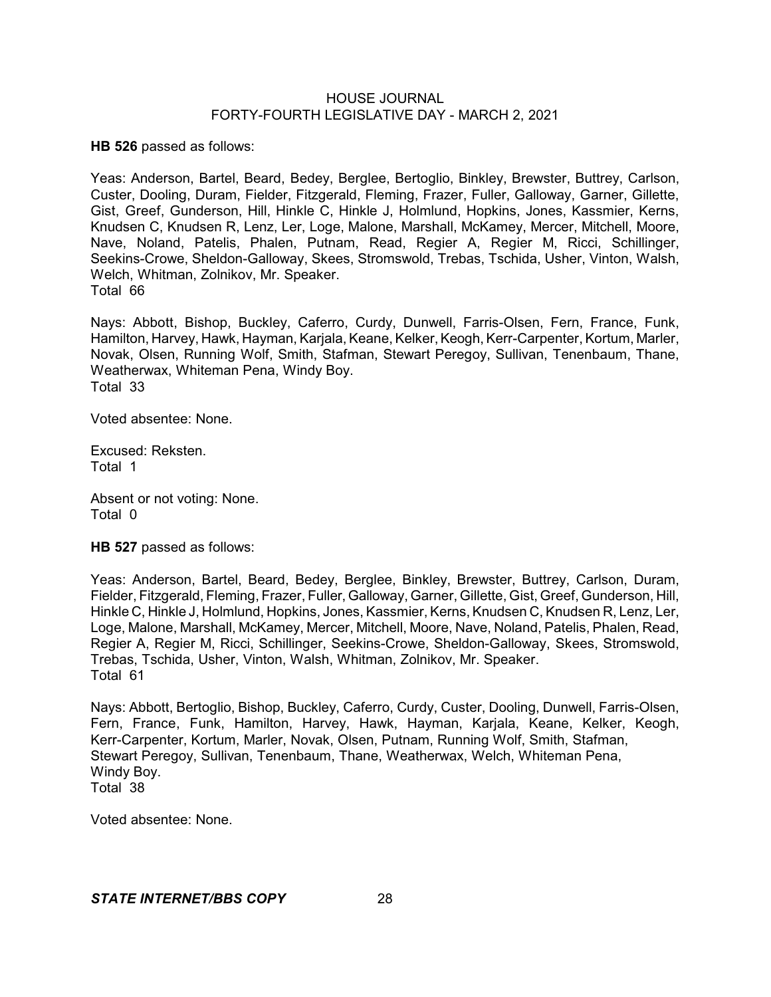**HB 526** passed as follows:

Yeas: Anderson, Bartel, Beard, Bedey, Berglee, Bertoglio, Binkley, Brewster, Buttrey, Carlson, Custer, Dooling, Duram, Fielder, Fitzgerald, Fleming, Frazer, Fuller, Galloway, Garner, Gillette, Gist, Greef, Gunderson, Hill, Hinkle C, Hinkle J, Holmlund, Hopkins, Jones, Kassmier, Kerns, Knudsen C, Knudsen R, Lenz, Ler, Loge, Malone, Marshall, McKamey, Mercer, Mitchell, Moore, Nave, Noland, Patelis, Phalen, Putnam, Read, Regier A, Regier M, Ricci, Schillinger, Seekins-Crowe, Sheldon-Galloway, Skees, Stromswold, Trebas, Tschida, Usher, Vinton, Walsh, Welch, Whitman, Zolnikov, Mr. Speaker. Total 66

Nays: Abbott, Bishop, Buckley, Caferro, Curdy, Dunwell, Farris-Olsen, Fern, France, Funk, Hamilton, Harvey, Hawk, Hayman, Karjala, Keane, Kelker, Keogh, Kerr-Carpenter, Kortum, Marler, Novak, Olsen, Running Wolf, Smith, Stafman, Stewart Peregoy, Sullivan, Tenenbaum, Thane, Weatherwax, Whiteman Pena, Windy Boy. Total 33

Voted absentee: None.

Excused: Reksten. Total 1

Absent or not voting: None. Total 0

**HB 527** passed as follows:

Yeas: Anderson, Bartel, Beard, Bedey, Berglee, Binkley, Brewster, Buttrey, Carlson, Duram, Fielder, Fitzgerald, Fleming, Frazer, Fuller, Galloway, Garner, Gillette, Gist, Greef, Gunderson, Hill, Hinkle C, Hinkle J, Holmlund, Hopkins, Jones, Kassmier, Kerns, Knudsen C, Knudsen R, Lenz, Ler, Loge, Malone, Marshall, McKamey, Mercer, Mitchell, Moore, Nave, Noland, Patelis, Phalen, Read, Regier A, Regier M, Ricci, Schillinger, Seekins-Crowe, Sheldon-Galloway, Skees, Stromswold, Trebas, Tschida, Usher, Vinton, Walsh, Whitman, Zolnikov, Mr. Speaker. Total 61

Nays: Abbott, Bertoglio, Bishop, Buckley, Caferro, Curdy, Custer, Dooling, Dunwell, Farris-Olsen, Fern, France, Funk, Hamilton, Harvey, Hawk, Hayman, Karjala, Keane, Kelker, Keogh, Kerr-Carpenter, Kortum, Marler, Novak, Olsen, Putnam, Running Wolf, Smith, Stafman, Stewart Peregoy, Sullivan, Tenenbaum, Thane, Weatherwax, Welch, Whiteman Pena, Windy Boy. Total 38

Voted absentee: None.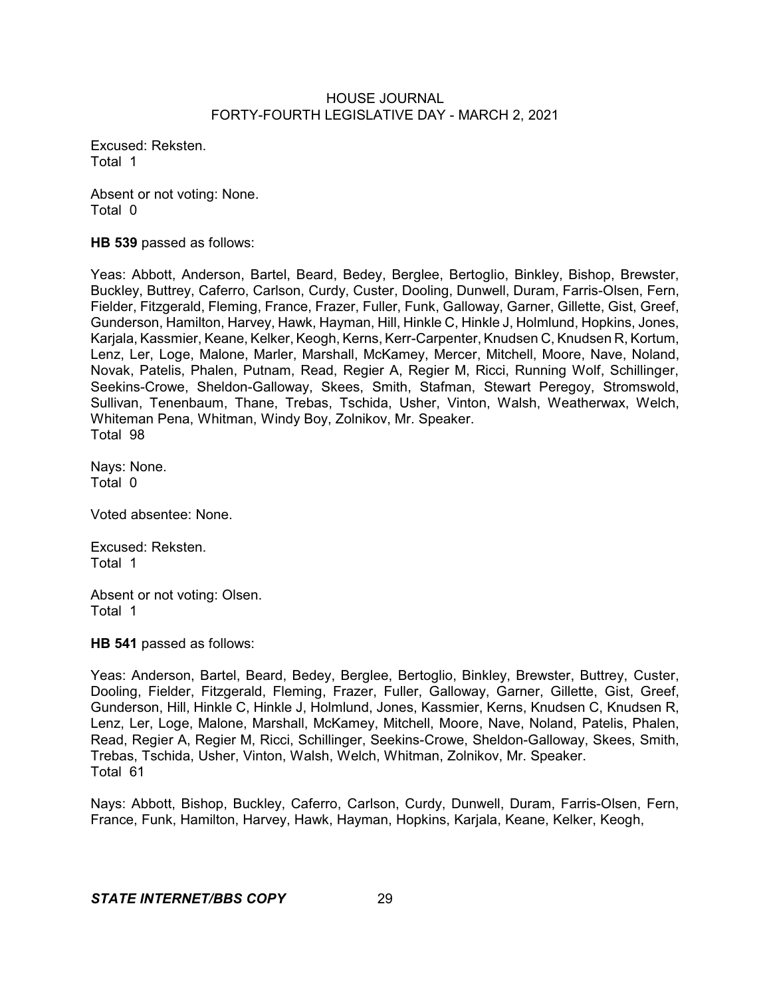Excused: Reksten. Total 1

Absent or not voting: None. Total 0

**HB 539** passed as follows:

Yeas: Abbott, Anderson, Bartel, Beard, Bedey, Berglee, Bertoglio, Binkley, Bishop, Brewster, Buckley, Buttrey, Caferro, Carlson, Curdy, Custer, Dooling, Dunwell, Duram, Farris-Olsen, Fern, Fielder, Fitzgerald, Fleming, France, Frazer, Fuller, Funk, Galloway, Garner, Gillette, Gist, Greef, Gunderson, Hamilton, Harvey, Hawk, Hayman, Hill, Hinkle C, Hinkle J, Holmlund, Hopkins, Jones, Karjala, Kassmier, Keane, Kelker, Keogh, Kerns, Kerr-Carpenter, Knudsen C, Knudsen R, Kortum, Lenz, Ler, Loge, Malone, Marler, Marshall, McKamey, Mercer, Mitchell, Moore, Nave, Noland, Novak, Patelis, Phalen, Putnam, Read, Regier A, Regier M, Ricci, Running Wolf, Schillinger, Seekins-Crowe, Sheldon-Galloway, Skees, Smith, Stafman, Stewart Peregoy, Stromswold, Sullivan, Tenenbaum, Thane, Trebas, Tschida, Usher, Vinton, Walsh, Weatherwax, Welch, Whiteman Pena, Whitman, Windy Boy, Zolnikov, Mr. Speaker. Total 98

Nays: None. Total 0

Voted absentee: None.

Excused: Reksten. Total 1

Absent or not voting: Olsen. Total 1

**HB 541** passed as follows:

Yeas: Anderson, Bartel, Beard, Bedey, Berglee, Bertoglio, Binkley, Brewster, Buttrey, Custer, Dooling, Fielder, Fitzgerald, Fleming, Frazer, Fuller, Galloway, Garner, Gillette, Gist, Greef, Gunderson, Hill, Hinkle C, Hinkle J, Holmlund, Jones, Kassmier, Kerns, Knudsen C, Knudsen R, Lenz, Ler, Loge, Malone, Marshall, McKamey, Mitchell, Moore, Nave, Noland, Patelis, Phalen, Read, Regier A, Regier M, Ricci, Schillinger, Seekins-Crowe, Sheldon-Galloway, Skees, Smith, Trebas, Tschida, Usher, Vinton, Walsh, Welch, Whitman, Zolnikov, Mr. Speaker. Total 61

Nays: Abbott, Bishop, Buckley, Caferro, Carlson, Curdy, Dunwell, Duram, Farris-Olsen, Fern, France, Funk, Hamilton, Harvey, Hawk, Hayman, Hopkins, Karjala, Keane, Kelker, Keogh,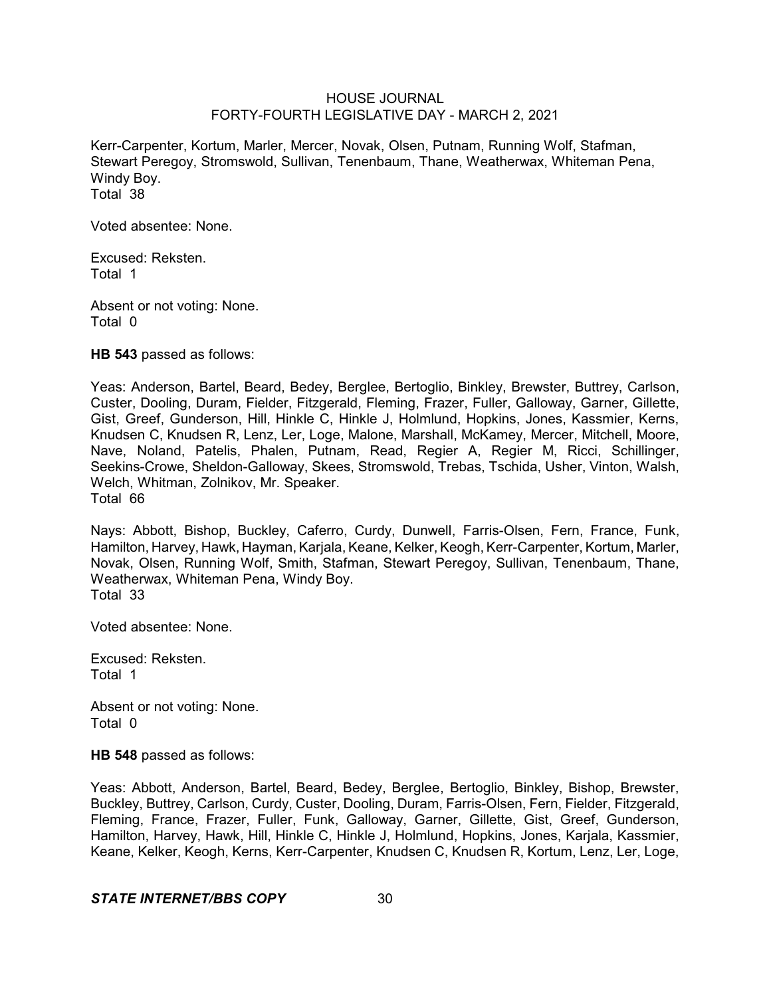Kerr-Carpenter, Kortum, Marler, Mercer, Novak, Olsen, Putnam, Running Wolf, Stafman, Stewart Peregoy, Stromswold, Sullivan, Tenenbaum, Thane, Weatherwax, Whiteman Pena, Windy Boy. Total 38

Voted absentee: None.

Excused: Reksten. Total 1

Absent or not voting: None. Total 0

**HB 543** passed as follows:

Yeas: Anderson, Bartel, Beard, Bedey, Berglee, Bertoglio, Binkley, Brewster, Buttrey, Carlson, Custer, Dooling, Duram, Fielder, Fitzgerald, Fleming, Frazer, Fuller, Galloway, Garner, Gillette, Gist, Greef, Gunderson, Hill, Hinkle C, Hinkle J, Holmlund, Hopkins, Jones, Kassmier, Kerns, Knudsen C, Knudsen R, Lenz, Ler, Loge, Malone, Marshall, McKamey, Mercer, Mitchell, Moore, Nave, Noland, Patelis, Phalen, Putnam, Read, Regier A, Regier M, Ricci, Schillinger, Seekins-Crowe, Sheldon-Galloway, Skees, Stromswold, Trebas, Tschida, Usher, Vinton, Walsh, Welch, Whitman, Zolnikov, Mr. Speaker. Total 66

Nays: Abbott, Bishop, Buckley, Caferro, Curdy, Dunwell, Farris-Olsen, Fern, France, Funk, Hamilton, Harvey, Hawk, Hayman, Karjala, Keane, Kelker, Keogh, Kerr-Carpenter, Kortum, Marler, Novak, Olsen, Running Wolf, Smith, Stafman, Stewart Peregoy, Sullivan, Tenenbaum, Thane, Weatherwax, Whiteman Pena, Windy Boy. Total 33

Voted absentee: None.

Excused: Reksten. Total 1

Absent or not voting: None. Total 0

**HB 548** passed as follows:

Yeas: Abbott, Anderson, Bartel, Beard, Bedey, Berglee, Bertoglio, Binkley, Bishop, Brewster, Buckley, Buttrey, Carlson, Curdy, Custer, Dooling, Duram, Farris-Olsen, Fern, Fielder, Fitzgerald, Fleming, France, Frazer, Fuller, Funk, Galloway, Garner, Gillette, Gist, Greef, Gunderson, Hamilton, Harvey, Hawk, Hill, Hinkle C, Hinkle J, Holmlund, Hopkins, Jones, Karjala, Kassmier, Keane, Kelker, Keogh, Kerns, Kerr-Carpenter, Knudsen C, Knudsen R, Kortum, Lenz, Ler, Loge,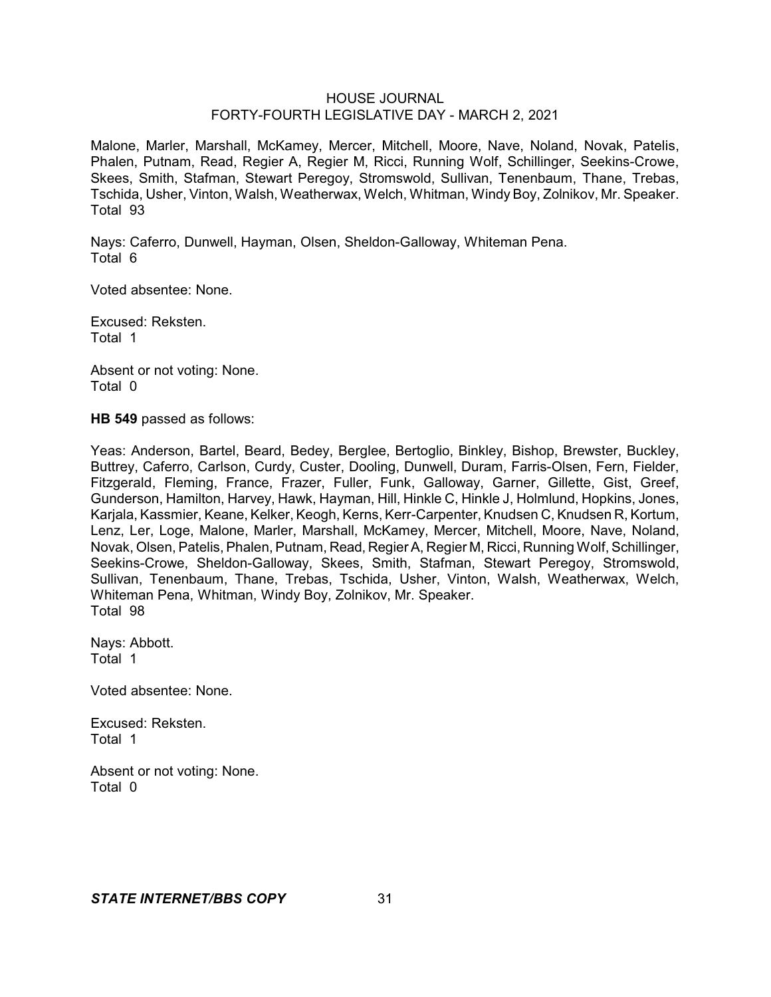Malone, Marler, Marshall, McKamey, Mercer, Mitchell, Moore, Nave, Noland, Novak, Patelis, Phalen, Putnam, Read, Regier A, Regier M, Ricci, Running Wolf, Schillinger, Seekins-Crowe, Skees, Smith, Stafman, Stewart Peregoy, Stromswold, Sullivan, Tenenbaum, Thane, Trebas, Tschida, Usher, Vinton, Walsh, Weatherwax, Welch, Whitman, Windy Boy, Zolnikov, Mr. Speaker. Total 93

Nays: Caferro, Dunwell, Hayman, Olsen, Sheldon-Galloway, Whiteman Pena. Total 6

Voted absentee: None.

Excused: Reksten. Total 1

Absent or not voting: None. Total 0

**HB 549** passed as follows:

Yeas: Anderson, Bartel, Beard, Bedey, Berglee, Bertoglio, Binkley, Bishop, Brewster, Buckley, Buttrey, Caferro, Carlson, Curdy, Custer, Dooling, Dunwell, Duram, Farris-Olsen, Fern, Fielder, Fitzgerald, Fleming, France, Frazer, Fuller, Funk, Galloway, Garner, Gillette, Gist, Greef, Gunderson, Hamilton, Harvey, Hawk, Hayman, Hill, Hinkle C, Hinkle J, Holmlund, Hopkins, Jones, Karjala, Kassmier, Keane, Kelker, Keogh, Kerns, Kerr-Carpenter, Knudsen C, Knudsen R, Kortum, Lenz, Ler, Loge, Malone, Marler, Marshall, McKamey, Mercer, Mitchell, Moore, Nave, Noland, Novak, Olsen, Patelis, Phalen, Putnam, Read, RegierA, Regier M, Ricci, Running Wolf, Schillinger, Seekins-Crowe, Sheldon-Galloway, Skees, Smith, Stafman, Stewart Peregoy, Stromswold, Sullivan, Tenenbaum, Thane, Trebas, Tschida, Usher, Vinton, Walsh, Weatherwax, Welch, Whiteman Pena, Whitman, Windy Boy, Zolnikov, Mr. Speaker. Total 98

Nays: Abbott. Total 1

Voted absentee: None.

Excused: Reksten. Total 1

Absent or not voting: None. Total 0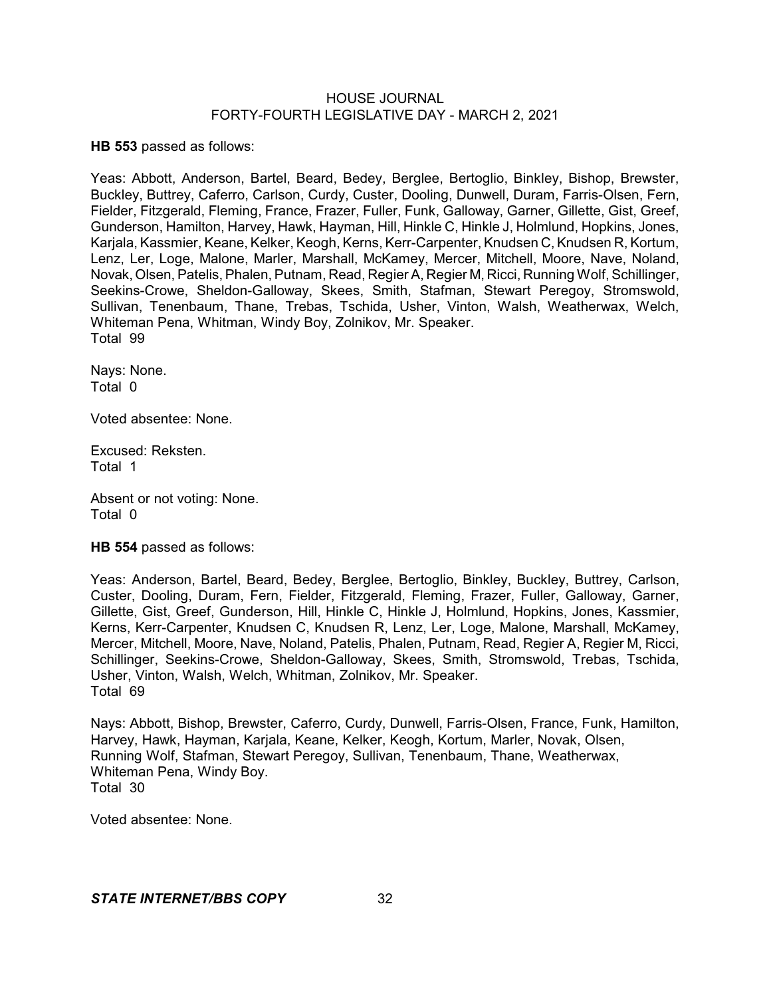**HB 553** passed as follows:

Yeas: Abbott, Anderson, Bartel, Beard, Bedey, Berglee, Bertoglio, Binkley, Bishop, Brewster, Buckley, Buttrey, Caferro, Carlson, Curdy, Custer, Dooling, Dunwell, Duram, Farris-Olsen, Fern, Fielder, Fitzgerald, Fleming, France, Frazer, Fuller, Funk, Galloway, Garner, Gillette, Gist, Greef, Gunderson, Hamilton, Harvey, Hawk, Hayman, Hill, Hinkle C, Hinkle J, Holmlund, Hopkins, Jones, Karjala, Kassmier, Keane, Kelker, Keogh, Kerns, Kerr-Carpenter, Knudsen C, Knudsen R, Kortum, Lenz, Ler, Loge, Malone, Marler, Marshall, McKamey, Mercer, Mitchell, Moore, Nave, Noland, Novak, Olsen, Patelis, Phalen, Putnam, Read, RegierA, Regier M, Ricci, Running Wolf, Schillinger, Seekins-Crowe, Sheldon-Galloway, Skees, Smith, Stafman, Stewart Peregoy, Stromswold, Sullivan, Tenenbaum, Thane, Trebas, Tschida, Usher, Vinton, Walsh, Weatherwax, Welch, Whiteman Pena, Whitman, Windy Boy, Zolnikov, Mr. Speaker. Total 99

Nays: None. Total 0

Voted absentee: None.

Excused: Reksten. Total 1

Absent or not voting: None. Total 0

**HB 554** passed as follows:

Yeas: Anderson, Bartel, Beard, Bedey, Berglee, Bertoglio, Binkley, Buckley, Buttrey, Carlson, Custer, Dooling, Duram, Fern, Fielder, Fitzgerald, Fleming, Frazer, Fuller, Galloway, Garner, Gillette, Gist, Greef, Gunderson, Hill, Hinkle C, Hinkle J, Holmlund, Hopkins, Jones, Kassmier, Kerns, Kerr-Carpenter, Knudsen C, Knudsen R, Lenz, Ler, Loge, Malone, Marshall, McKamey, Mercer, Mitchell, Moore, Nave, Noland, Patelis, Phalen, Putnam, Read, Regier A, Regier M, Ricci, Schillinger, Seekins-Crowe, Sheldon-Galloway, Skees, Smith, Stromswold, Trebas, Tschida, Usher, Vinton, Walsh, Welch, Whitman, Zolnikov, Mr. Speaker. Total 69

Nays: Abbott, Bishop, Brewster, Caferro, Curdy, Dunwell, Farris-Olsen, France, Funk, Hamilton, Harvey, Hawk, Hayman, Karjala, Keane, Kelker, Keogh, Kortum, Marler, Novak, Olsen, Running Wolf, Stafman, Stewart Peregoy, Sullivan, Tenenbaum, Thane, Weatherwax, Whiteman Pena, Windy Boy. Total 30

Voted absentee: None.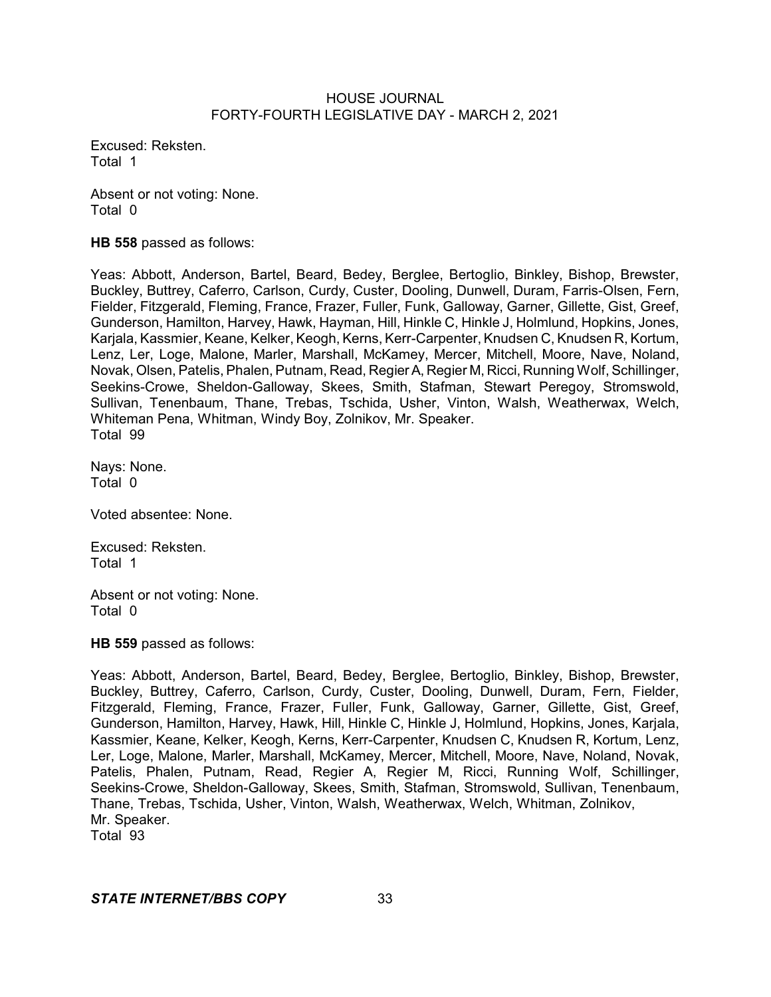Excused: Reksten. Total 1

Absent or not voting: None. Total 0

**HB 558** passed as follows:

Yeas: Abbott, Anderson, Bartel, Beard, Bedey, Berglee, Bertoglio, Binkley, Bishop, Brewster, Buckley, Buttrey, Caferro, Carlson, Curdy, Custer, Dooling, Dunwell, Duram, Farris-Olsen, Fern, Fielder, Fitzgerald, Fleming, France, Frazer, Fuller, Funk, Galloway, Garner, Gillette, Gist, Greef, Gunderson, Hamilton, Harvey, Hawk, Hayman, Hill, Hinkle C, Hinkle J, Holmlund, Hopkins, Jones, Karjala, Kassmier, Keane, Kelker, Keogh, Kerns, Kerr-Carpenter, Knudsen C, Knudsen R, Kortum, Lenz, Ler, Loge, Malone, Marler, Marshall, McKamey, Mercer, Mitchell, Moore, Nave, Noland, Novak, Olsen, Patelis, Phalen, Putnam, Read, RegierA, Regier M, Ricci, Running Wolf, Schillinger, Seekins-Crowe, Sheldon-Galloway, Skees, Smith, Stafman, Stewart Peregoy, Stromswold, Sullivan, Tenenbaum, Thane, Trebas, Tschida, Usher, Vinton, Walsh, Weatherwax, Welch, Whiteman Pena, Whitman, Windy Boy, Zolnikov, Mr. Speaker. Total 99

Nays: None. Total 0

Voted absentee: None.

Excused: Reksten. Total 1

Absent or not voting: None. Total 0

**HB 559** passed as follows:

Yeas: Abbott, Anderson, Bartel, Beard, Bedey, Berglee, Bertoglio, Binkley, Bishop, Brewster, Buckley, Buttrey, Caferro, Carlson, Curdy, Custer, Dooling, Dunwell, Duram, Fern, Fielder, Fitzgerald, Fleming, France, Frazer, Fuller, Funk, Galloway, Garner, Gillette, Gist, Greef, Gunderson, Hamilton, Harvey, Hawk, Hill, Hinkle C, Hinkle J, Holmlund, Hopkins, Jones, Karjala, Kassmier, Keane, Kelker, Keogh, Kerns, Kerr-Carpenter, Knudsen C, Knudsen R, Kortum, Lenz, Ler, Loge, Malone, Marler, Marshall, McKamey, Mercer, Mitchell, Moore, Nave, Noland, Novak, Patelis, Phalen, Putnam, Read, Regier A, Regier M, Ricci, Running Wolf, Schillinger, Seekins-Crowe, Sheldon-Galloway, Skees, Smith, Stafman, Stromswold, Sullivan, Tenenbaum, Thane, Trebas, Tschida, Usher, Vinton, Walsh, Weatherwax, Welch, Whitman, Zolnikov, Mr. Speaker. Total 93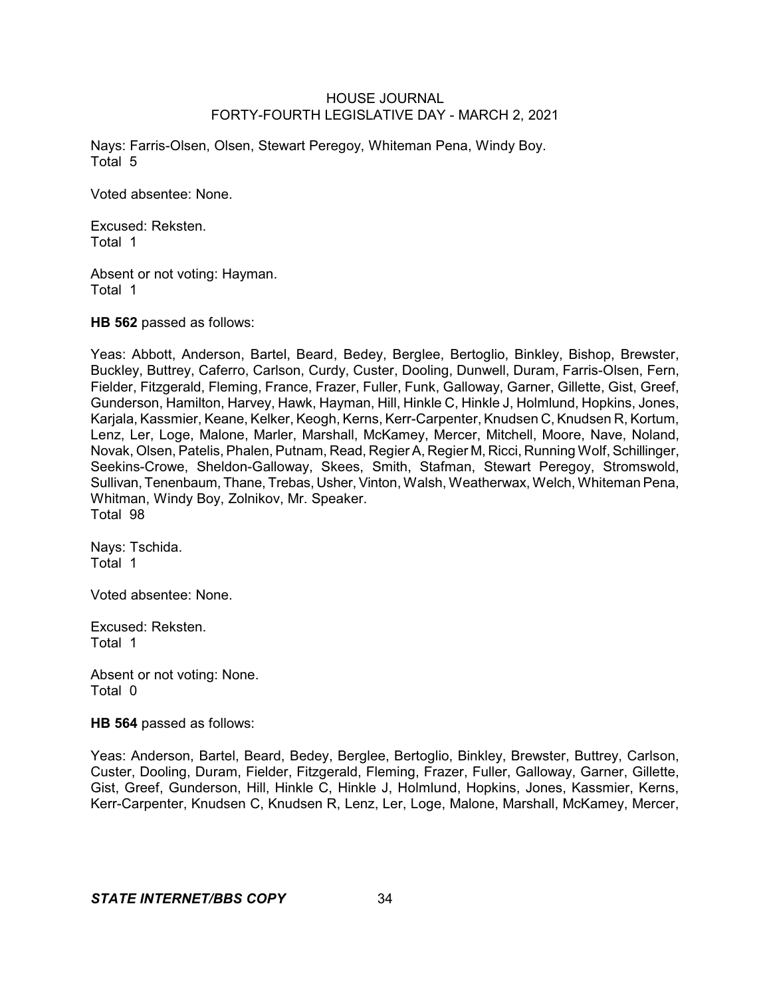Nays: Farris-Olsen, Olsen, Stewart Peregoy, Whiteman Pena, Windy Boy. Total 5

Voted absentee: None.

Excused: Reksten. Total 1

Absent or not voting: Hayman. Total 1

**HB 562** passed as follows:

Yeas: Abbott, Anderson, Bartel, Beard, Bedey, Berglee, Bertoglio, Binkley, Bishop, Brewster, Buckley, Buttrey, Caferro, Carlson, Curdy, Custer, Dooling, Dunwell, Duram, Farris-Olsen, Fern, Fielder, Fitzgerald, Fleming, France, Frazer, Fuller, Funk, Galloway, Garner, Gillette, Gist, Greef, Gunderson, Hamilton, Harvey, Hawk, Hayman, Hill, Hinkle C, Hinkle J, Holmlund, Hopkins, Jones, Karjala, Kassmier, Keane, Kelker, Keogh, Kerns, Kerr-Carpenter, Knudsen C, Knudsen R, Kortum, Lenz, Ler, Loge, Malone, Marler, Marshall, McKamey, Mercer, Mitchell, Moore, Nave, Noland, Novak, Olsen, Patelis, Phalen, Putnam, Read, Regier A, Regier M, Ricci, Running Wolf, Schillinger, Seekins-Crowe, Sheldon-Galloway, Skees, Smith, Stafman, Stewart Peregoy, Stromswold, Sullivan, Tenenbaum, Thane, Trebas, Usher, Vinton, Walsh, Weatherwax, Welch, Whiteman Pena, Whitman, Windy Boy, Zolnikov, Mr. Speaker. Total 98

Nays: Tschida. Total 1

Voted absentee: None.

Excused: Reksten. Total 1

Absent or not voting: None. Total 0

**HB 564** passed as follows:

Yeas: Anderson, Bartel, Beard, Bedey, Berglee, Bertoglio, Binkley, Brewster, Buttrey, Carlson, Custer, Dooling, Duram, Fielder, Fitzgerald, Fleming, Frazer, Fuller, Galloway, Garner, Gillette, Gist, Greef, Gunderson, Hill, Hinkle C, Hinkle J, Holmlund, Hopkins, Jones, Kassmier, Kerns, Kerr-Carpenter, Knudsen C, Knudsen R, Lenz, Ler, Loge, Malone, Marshall, McKamey, Mercer,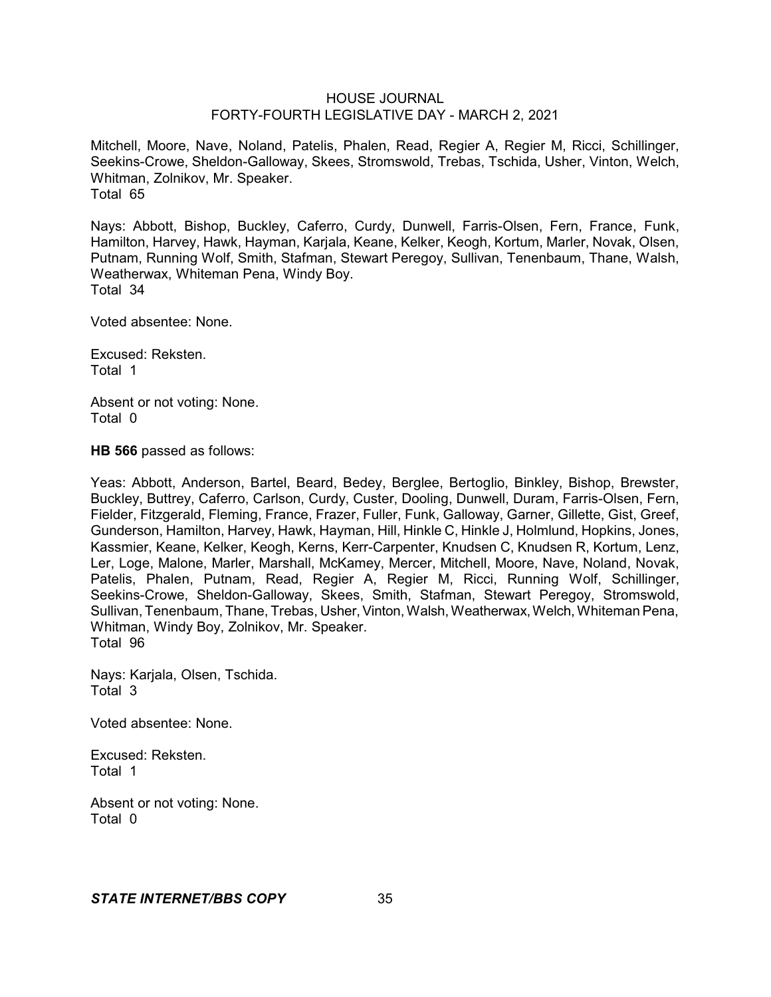Mitchell, Moore, Nave, Noland, Patelis, Phalen, Read, Regier A, Regier M, Ricci, Schillinger, Seekins-Crowe, Sheldon-Galloway, Skees, Stromswold, Trebas, Tschida, Usher, Vinton, Welch, Whitman, Zolnikov, Mr. Speaker. Total 65

Nays: Abbott, Bishop, Buckley, Caferro, Curdy, Dunwell, Farris-Olsen, Fern, France, Funk, Hamilton, Harvey, Hawk, Hayman, Karjala, Keane, Kelker, Keogh, Kortum, Marler, Novak, Olsen, Putnam, Running Wolf, Smith, Stafman, Stewart Peregoy, Sullivan, Tenenbaum, Thane, Walsh, Weatherwax, Whiteman Pena, Windy Boy. Total 34

Voted absentee: None.

Excused: Reksten. Total 1

Absent or not voting: None. Total 0

**HB 566** passed as follows:

Yeas: Abbott, Anderson, Bartel, Beard, Bedey, Berglee, Bertoglio, Binkley, Bishop, Brewster, Buckley, Buttrey, Caferro, Carlson, Curdy, Custer, Dooling, Dunwell, Duram, Farris-Olsen, Fern, Fielder, Fitzgerald, Fleming, France, Frazer, Fuller, Funk, Galloway, Garner, Gillette, Gist, Greef, Gunderson, Hamilton, Harvey, Hawk, Hayman, Hill, Hinkle C, Hinkle J, Holmlund, Hopkins, Jones, Kassmier, Keane, Kelker, Keogh, Kerns, Kerr-Carpenter, Knudsen C, Knudsen R, Kortum, Lenz, Ler, Loge, Malone, Marler, Marshall, McKamey, Mercer, Mitchell, Moore, Nave, Noland, Novak, Patelis, Phalen, Putnam, Read, Regier A, Regier M, Ricci, Running Wolf, Schillinger, Seekins-Crowe, Sheldon-Galloway, Skees, Smith, Stafman, Stewart Peregoy, Stromswold, Sullivan, Tenenbaum, Thane, Trebas, Usher, Vinton, Walsh, Weatherwax, Welch, Whiteman Pena, Whitman, Windy Boy, Zolnikov, Mr. Speaker. Total 96

Nays: Karjala, Olsen, Tschida. Total 3

Voted absentee: None.

Excused: Reksten. Total 1

Absent or not voting: None. Total 0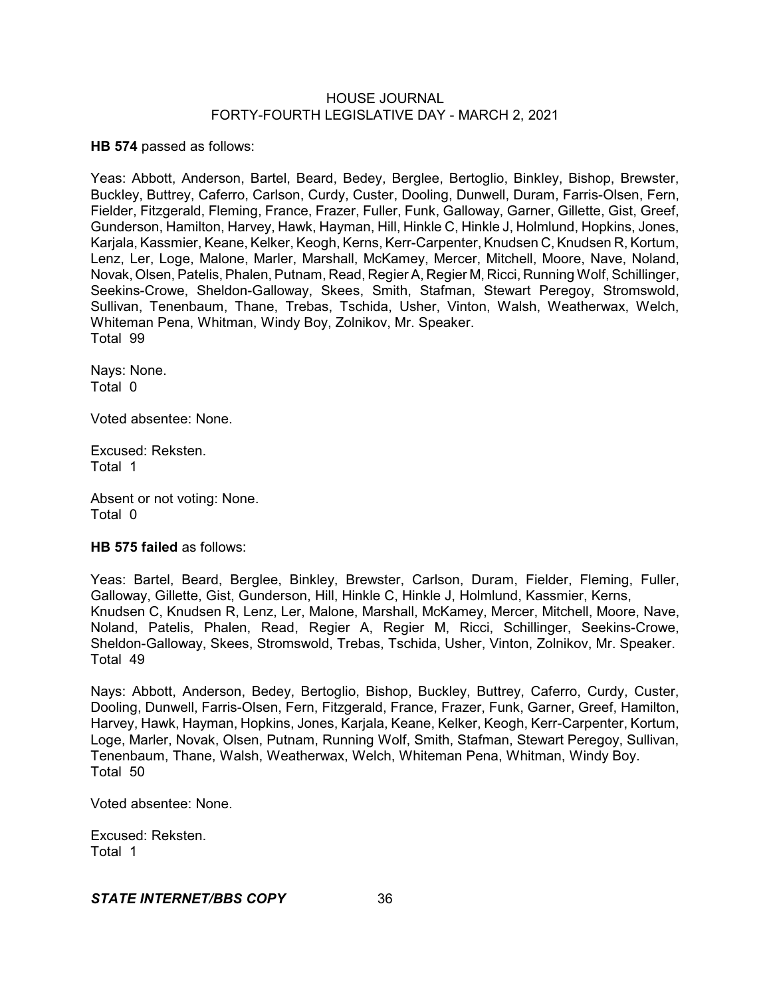**HB 574** passed as follows:

Yeas: Abbott, Anderson, Bartel, Beard, Bedey, Berglee, Bertoglio, Binkley, Bishop, Brewster, Buckley, Buttrey, Caferro, Carlson, Curdy, Custer, Dooling, Dunwell, Duram, Farris-Olsen, Fern, Fielder, Fitzgerald, Fleming, France, Frazer, Fuller, Funk, Galloway, Garner, Gillette, Gist, Greef, Gunderson, Hamilton, Harvey, Hawk, Hayman, Hill, Hinkle C, Hinkle J, Holmlund, Hopkins, Jones, Karjala, Kassmier, Keane, Kelker, Keogh, Kerns, Kerr-Carpenter, Knudsen C, Knudsen R, Kortum, Lenz, Ler, Loge, Malone, Marler, Marshall, McKamey, Mercer, Mitchell, Moore, Nave, Noland, Novak, Olsen, Patelis, Phalen, Putnam, Read, RegierA, Regier M, Ricci, Running Wolf, Schillinger, Seekins-Crowe, Sheldon-Galloway, Skees, Smith, Stafman, Stewart Peregoy, Stromswold, Sullivan, Tenenbaum, Thane, Trebas, Tschida, Usher, Vinton, Walsh, Weatherwax, Welch, Whiteman Pena, Whitman, Windy Boy, Zolnikov, Mr. Speaker. Total 99

Nays: None. Total 0

Voted absentee: None.

Excused: Reksten. Total 1

Absent or not voting: None. Total 0

### **HB 575 failed** as follows:

Yeas: Bartel, Beard, Berglee, Binkley, Brewster, Carlson, Duram, Fielder, Fleming, Fuller, Galloway, Gillette, Gist, Gunderson, Hill, Hinkle C, Hinkle J, Holmlund, Kassmier, Kerns, Knudsen C, Knudsen R, Lenz, Ler, Malone, Marshall, McKamey, Mercer, Mitchell, Moore, Nave, Noland, Patelis, Phalen, Read, Regier A, Regier M, Ricci, Schillinger, Seekins-Crowe, Sheldon-Galloway, Skees, Stromswold, Trebas, Tschida, Usher, Vinton, Zolnikov, Mr. Speaker. Total 49

Nays: Abbott, Anderson, Bedey, Bertoglio, Bishop, Buckley, Buttrey, Caferro, Curdy, Custer, Dooling, Dunwell, Farris-Olsen, Fern, Fitzgerald, France, Frazer, Funk, Garner, Greef, Hamilton, Harvey, Hawk, Hayman, Hopkins, Jones, Karjala, Keane, Kelker, Keogh, Kerr-Carpenter, Kortum, Loge, Marler, Novak, Olsen, Putnam, Running Wolf, Smith, Stafman, Stewart Peregoy, Sullivan, Tenenbaum, Thane, Walsh, Weatherwax, Welch, Whiteman Pena, Whitman, Windy Boy. Total 50

Voted absentee: None.

Excused: Reksten. Total 1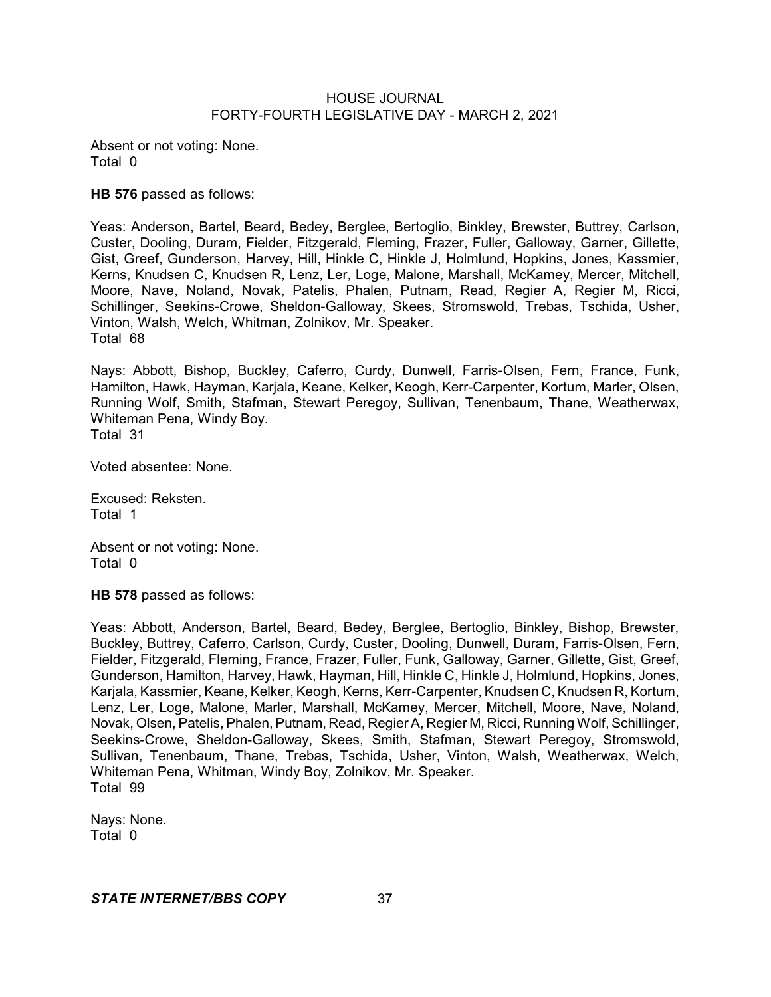Absent or not voting: None. Total 0

**HB 576** passed as follows:

Yeas: Anderson, Bartel, Beard, Bedey, Berglee, Bertoglio, Binkley, Brewster, Buttrey, Carlson, Custer, Dooling, Duram, Fielder, Fitzgerald, Fleming, Frazer, Fuller, Galloway, Garner, Gillette, Gist, Greef, Gunderson, Harvey, Hill, Hinkle C, Hinkle J, Holmlund, Hopkins, Jones, Kassmier, Kerns, Knudsen C, Knudsen R, Lenz, Ler, Loge, Malone, Marshall, McKamey, Mercer, Mitchell, Moore, Nave, Noland, Novak, Patelis, Phalen, Putnam, Read, Regier A, Regier M, Ricci, Schillinger, Seekins-Crowe, Sheldon-Galloway, Skees, Stromswold, Trebas, Tschida, Usher, Vinton, Walsh, Welch, Whitman, Zolnikov, Mr. Speaker. Total 68

Nays: Abbott, Bishop, Buckley, Caferro, Curdy, Dunwell, Farris-Olsen, Fern, France, Funk, Hamilton, Hawk, Hayman, Karjala, Keane, Kelker, Keogh, Kerr-Carpenter, Kortum, Marler, Olsen, Running Wolf, Smith, Stafman, Stewart Peregoy, Sullivan, Tenenbaum, Thane, Weatherwax, Whiteman Pena, Windy Boy. Total 31

Voted absentee: None.

Excused: Reksten. Total 1

Absent or not voting: None. Total 0

**HB 578** passed as follows:

Yeas: Abbott, Anderson, Bartel, Beard, Bedey, Berglee, Bertoglio, Binkley, Bishop, Brewster, Buckley, Buttrey, Caferro, Carlson, Curdy, Custer, Dooling, Dunwell, Duram, Farris-Olsen, Fern, Fielder, Fitzgerald, Fleming, France, Frazer, Fuller, Funk, Galloway, Garner, Gillette, Gist, Greef, Gunderson, Hamilton, Harvey, Hawk, Hayman, Hill, Hinkle C, Hinkle J, Holmlund, Hopkins, Jones, Karjala, Kassmier, Keane, Kelker, Keogh, Kerns, Kerr-Carpenter, Knudsen C, Knudsen R, Kortum, Lenz, Ler, Loge, Malone, Marler, Marshall, McKamey, Mercer, Mitchell, Moore, Nave, Noland, Novak, Olsen, Patelis, Phalen, Putnam, Read, RegierA, Regier M, Ricci, Running Wolf, Schillinger, Seekins-Crowe, Sheldon-Galloway, Skees, Smith, Stafman, Stewart Peregoy, Stromswold, Sullivan, Tenenbaum, Thane, Trebas, Tschida, Usher, Vinton, Walsh, Weatherwax, Welch, Whiteman Pena, Whitman, Windy Boy, Zolnikov, Mr. Speaker. Total 99

Nays: None. Total 0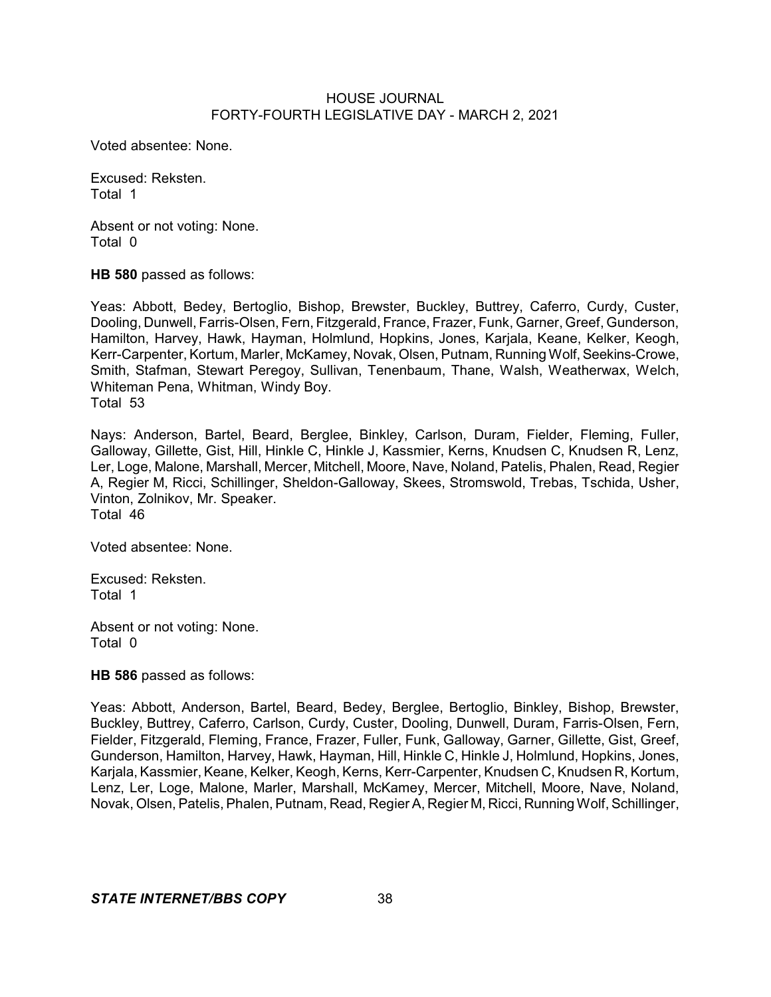Voted absentee: None.

Excused: Reksten. Total 1

Absent or not voting: None. Total 0

**HB 580** passed as follows:

Yeas: Abbott, Bedey, Bertoglio, Bishop, Brewster, Buckley, Buttrey, Caferro, Curdy, Custer, Dooling, Dunwell, Farris-Olsen, Fern, Fitzgerald, France, Frazer, Funk, Garner, Greef, Gunderson, Hamilton, Harvey, Hawk, Hayman, Holmlund, Hopkins, Jones, Karjala, Keane, Kelker, Keogh, Kerr-Carpenter, Kortum, Marler, McKamey, Novak, Olsen, Putnam, Running Wolf, Seekins-Crowe, Smith, Stafman, Stewart Peregoy, Sullivan, Tenenbaum, Thane, Walsh, Weatherwax, Welch, Whiteman Pena, Whitman, Windy Boy. Total 53

Nays: Anderson, Bartel, Beard, Berglee, Binkley, Carlson, Duram, Fielder, Fleming, Fuller, Galloway, Gillette, Gist, Hill, Hinkle C, Hinkle J, Kassmier, Kerns, Knudsen C, Knudsen R, Lenz, Ler, Loge, Malone, Marshall, Mercer, Mitchell, Moore, Nave, Noland, Patelis, Phalen, Read, Regier A, Regier M, Ricci, Schillinger, Sheldon-Galloway, Skees, Stromswold, Trebas, Tschida, Usher, Vinton, Zolnikov, Mr. Speaker. Total 46

Voted absentee: None.

Excused: Reksten. Total 1

Absent or not voting: None. Total 0

**HB 586** passed as follows:

Yeas: Abbott, Anderson, Bartel, Beard, Bedey, Berglee, Bertoglio, Binkley, Bishop, Brewster, Buckley, Buttrey, Caferro, Carlson, Curdy, Custer, Dooling, Dunwell, Duram, Farris-Olsen, Fern, Fielder, Fitzgerald, Fleming, France, Frazer, Fuller, Funk, Galloway, Garner, Gillette, Gist, Greef, Gunderson, Hamilton, Harvey, Hawk, Hayman, Hill, Hinkle C, Hinkle J, Holmlund, Hopkins, Jones, Karjala, Kassmier, Keane, Kelker, Keogh, Kerns, Kerr-Carpenter, Knudsen C, Knudsen R, Kortum, Lenz, Ler, Loge, Malone, Marler, Marshall, McKamey, Mercer, Mitchell, Moore, Nave, Noland, Novak, Olsen, Patelis, Phalen, Putnam, Read, Regier A, Regier M, Ricci, Running Wolf, Schillinger,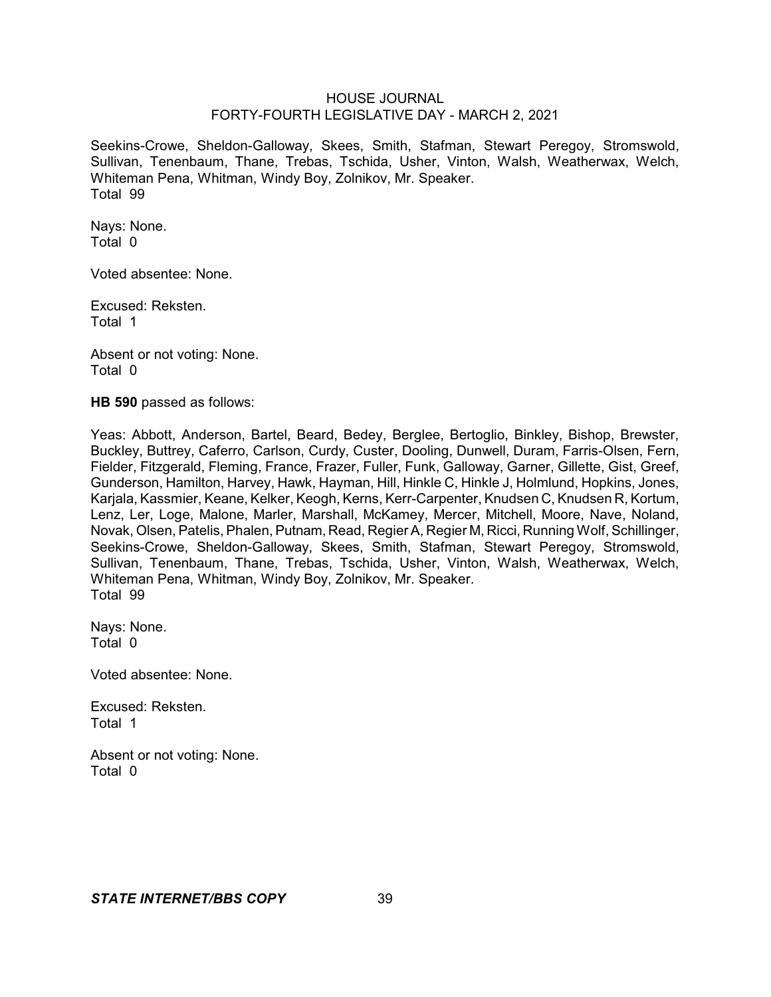Seekins-Crowe, Sheldon-Galloway, Skees, Smith, Stafman, Stewart Peregoy, Stromswold, Sullivan, Tenenbaum, Thane, Trebas, Tschida, Usher, Vinton, Walsh, Weatherwax, Welch, Whiteman Pena, Whitman, Windy Boy, Zolnikov, Mr. Speaker. Total 99

Nays: None. Total 0

Voted absentee: None.

Excused: Reksten. Total 1

Absent or not voting: None. Total 0

**HB 590** passed as follows:

Yeas: Abbott, Anderson, Bartel, Beard, Bedey, Berglee, Bertoglio, Binkley, Bishop, Brewster, Buckley, Buttrey, Caferro, Carlson, Curdy, Custer, Dooling, Dunwell, Duram, Farris-Olsen, Fern, Fielder, Fitzgerald, Fleming, France, Frazer, Fuller, Funk, Galloway, Garner, Gillette, Gist, Greef, Gunderson, Hamilton, Harvey, Hawk, Hayman, Hill, Hinkle C, Hinkle J, Holmlund, Hopkins, Jones, Karjala, Kassmier, Keane, Kelker, Keogh, Kerns, Kerr-Carpenter, Knudsen C, Knudsen R, Kortum, Lenz, Ler, Loge, Malone, Marler, Marshall, McKamey, Mercer, Mitchell, Moore, Nave, Noland, Novak, Olsen, Patelis, Phalen, Putnam, Read, RegierA, Regier M, Ricci, Running Wolf, Schillinger, Seekins-Crowe, Sheldon-Galloway, Skees, Smith, Stafman, Stewart Peregoy, Stromswold, Sullivan, Tenenbaum, Thane, Trebas, Tschida, Usher, Vinton, Walsh, Weatherwax, Welch, Whiteman Pena, Whitman, Windy Boy, Zolnikov, Mr. Speaker. Total 99

Nays: None. Total 0

Voted absentee: None.

Excused: Reksten. Total 1

Absent or not voting: None. Total 0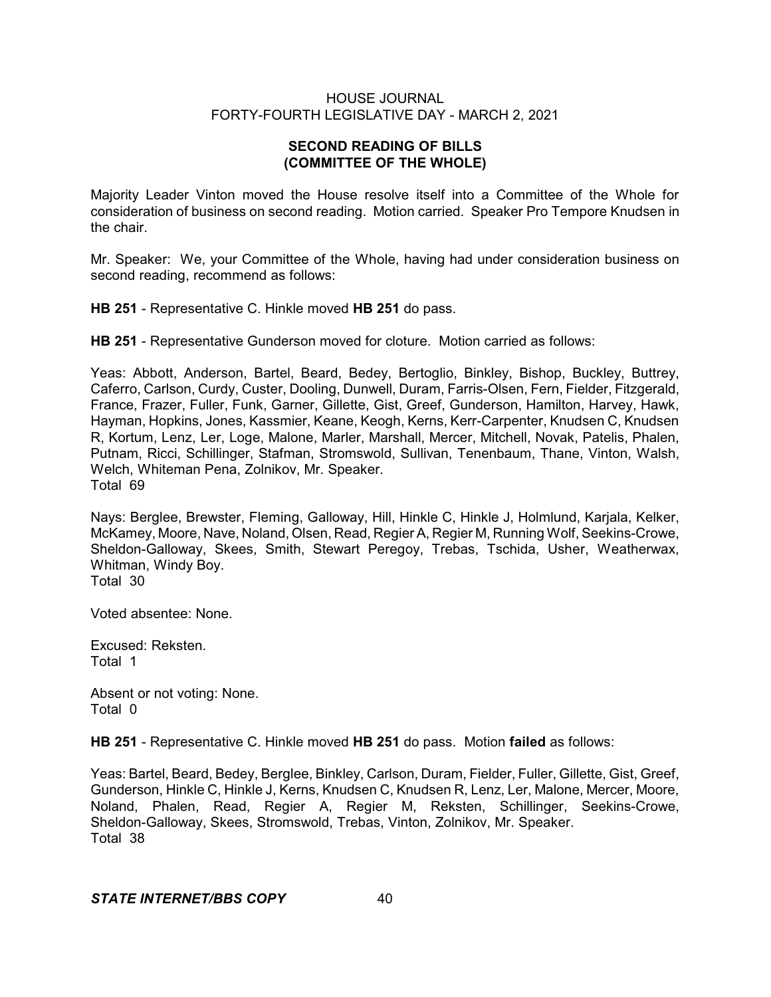# **SECOND READING OF BILLS (COMMITTEE OF THE WHOLE)**

Majority Leader Vinton moved the House resolve itself into a Committee of the Whole for consideration of business on second reading. Motion carried. Speaker Pro Tempore Knudsen in the chair.

Mr. Speaker: We, your Committee of the Whole, having had under consideration business on second reading, recommend as follows:

**HB 251** - Representative C. Hinkle moved **HB 251** do pass.

**HB 251** - Representative Gunderson moved for cloture. Motion carried as follows:

Yeas: Abbott, Anderson, Bartel, Beard, Bedey, Bertoglio, Binkley, Bishop, Buckley, Buttrey, Caferro, Carlson, Curdy, Custer, Dooling, Dunwell, Duram, Farris-Olsen, Fern, Fielder, Fitzgerald, France, Frazer, Fuller, Funk, Garner, Gillette, Gist, Greef, Gunderson, Hamilton, Harvey, Hawk, Hayman, Hopkins, Jones, Kassmier, Keane, Keogh, Kerns, Kerr-Carpenter, Knudsen C, Knudsen R, Kortum, Lenz, Ler, Loge, Malone, Marler, Marshall, Mercer, Mitchell, Novak, Patelis, Phalen, Putnam, Ricci, Schillinger, Stafman, Stromswold, Sullivan, Tenenbaum, Thane, Vinton, Walsh, Welch, Whiteman Pena, Zolnikov, Mr. Speaker. Total 69

Nays: Berglee, Brewster, Fleming, Galloway, Hill, Hinkle C, Hinkle J, Holmlund, Karjala, Kelker, McKamey, Moore, Nave, Noland, Olsen, Read, Regier A, Regier M, Running Wolf, Seekins-Crowe, Sheldon-Galloway, Skees, Smith, Stewart Peregoy, Trebas, Tschida, Usher, Weatherwax, Whitman, Windy Boy. Total 30

Voted absentee: None.

Excused: Reksten. Total 1

Absent or not voting: None. Total 0

**HB 251** - Representative C. Hinkle moved **HB 251** do pass. Motion **failed** as follows:

Yeas: Bartel, Beard, Bedey, Berglee, Binkley, Carlson, Duram, Fielder, Fuller, Gillette, Gist, Greef, Gunderson, Hinkle C, Hinkle J, Kerns, Knudsen C, Knudsen R, Lenz, Ler, Malone, Mercer, Moore, Noland, Phalen, Read, Regier A, Regier M, Reksten, Schillinger, Seekins-Crowe, Sheldon-Galloway, Skees, Stromswold, Trebas, Vinton, Zolnikov, Mr. Speaker. Total 38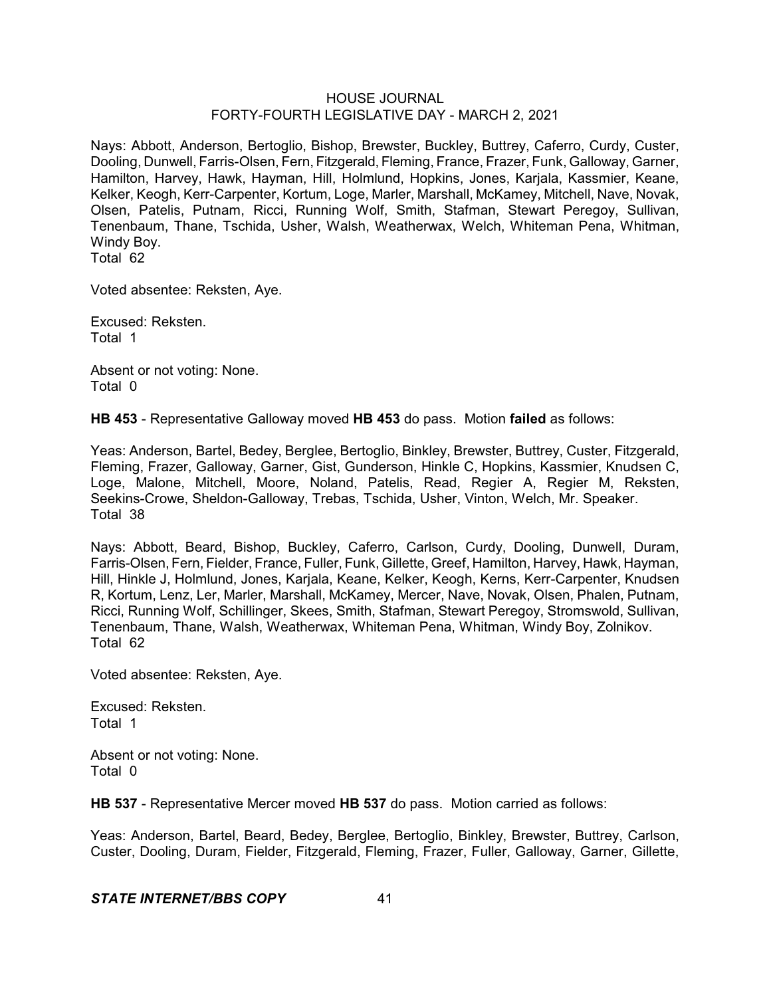Nays: Abbott, Anderson, Bertoglio, Bishop, Brewster, Buckley, Buttrey, Caferro, Curdy, Custer, Dooling, Dunwell, Farris-Olsen, Fern, Fitzgerald, Fleming, France, Frazer, Funk, Galloway, Garner, Hamilton, Harvey, Hawk, Hayman, Hill, Holmlund, Hopkins, Jones, Karjala, Kassmier, Keane, Kelker, Keogh, Kerr-Carpenter, Kortum, Loge, Marler, Marshall, McKamey, Mitchell, Nave, Novak, Olsen, Patelis, Putnam, Ricci, Running Wolf, Smith, Stafman, Stewart Peregoy, Sullivan, Tenenbaum, Thane, Tschida, Usher, Walsh, Weatherwax, Welch, Whiteman Pena, Whitman, Windy Boy.

Total 62

Voted absentee: Reksten, Aye.

Excused: Reksten. Total 1

Absent or not voting: None. Total 0

**HB 453** - Representative Galloway moved **HB 453** do pass. Motion **failed** as follows:

Yeas: Anderson, Bartel, Bedey, Berglee, Bertoglio, Binkley, Brewster, Buttrey, Custer, Fitzgerald, Fleming, Frazer, Galloway, Garner, Gist, Gunderson, Hinkle C, Hopkins, Kassmier, Knudsen C, Loge, Malone, Mitchell, Moore, Noland, Patelis, Read, Regier A, Regier M, Reksten, Seekins-Crowe, Sheldon-Galloway, Trebas, Tschida, Usher, Vinton, Welch, Mr. Speaker. Total 38

Nays: Abbott, Beard, Bishop, Buckley, Caferro, Carlson, Curdy, Dooling, Dunwell, Duram, Farris-Olsen, Fern, Fielder, France, Fuller, Funk, Gillette, Greef, Hamilton, Harvey, Hawk, Hayman, Hill, Hinkle J, Holmlund, Jones, Karjala, Keane, Kelker, Keogh, Kerns, Kerr-Carpenter, Knudsen R, Kortum, Lenz, Ler, Marler, Marshall, McKamey, Mercer, Nave, Novak, Olsen, Phalen, Putnam, Ricci, Running Wolf, Schillinger, Skees, Smith, Stafman, Stewart Peregoy, Stromswold, Sullivan, Tenenbaum, Thane, Walsh, Weatherwax, Whiteman Pena, Whitman, Windy Boy, Zolnikov. Total 62

Voted absentee: Reksten, Aye.

Excused: Reksten. Total 1

Absent or not voting: None. Total 0

**HB 537** - Representative Mercer moved **HB 537** do pass. Motion carried as follows:

Yeas: Anderson, Bartel, Beard, Bedey, Berglee, Bertoglio, Binkley, Brewster, Buttrey, Carlson, Custer, Dooling, Duram, Fielder, Fitzgerald, Fleming, Frazer, Fuller, Galloway, Garner, Gillette,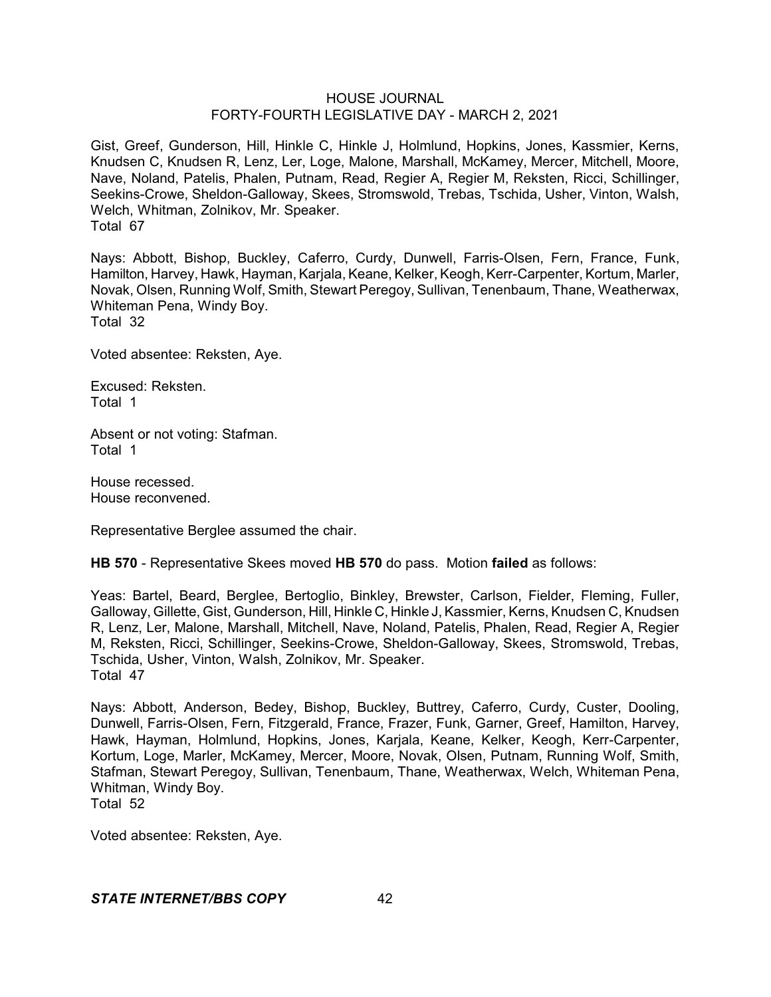Gist, Greef, Gunderson, Hill, Hinkle C, Hinkle J, Holmlund, Hopkins, Jones, Kassmier, Kerns, Knudsen C, Knudsen R, Lenz, Ler, Loge, Malone, Marshall, McKamey, Mercer, Mitchell, Moore, Nave, Noland, Patelis, Phalen, Putnam, Read, Regier A, Regier M, Reksten, Ricci, Schillinger, Seekins-Crowe, Sheldon-Galloway, Skees, Stromswold, Trebas, Tschida, Usher, Vinton, Walsh, Welch, Whitman, Zolnikov, Mr. Speaker. Total 67

Nays: Abbott, Bishop, Buckley, Caferro, Curdy, Dunwell, Farris-Olsen, Fern, France, Funk, Hamilton, Harvey, Hawk, Hayman, Karjala, Keane, Kelker, Keogh, Kerr-Carpenter, Kortum, Marler, Novak, Olsen, Running Wolf, Smith, Stewart Peregoy, Sullivan, Tenenbaum, Thane, Weatherwax, Whiteman Pena, Windy Boy. Total 32

Voted absentee: Reksten, Aye.

Excused: Reksten. Total 1

Absent or not voting: Stafman. Total 1

House recessed. House reconvened.

Representative Berglee assumed the chair.

**HB 570** - Representative Skees moved **HB 570** do pass. Motion **failed** as follows:

Yeas: Bartel, Beard, Berglee, Bertoglio, Binkley, Brewster, Carlson, Fielder, Fleming, Fuller, Galloway, Gillette, Gist, Gunderson, Hill, Hinkle C, Hinkle J, Kassmier, Kerns, Knudsen C, Knudsen R, Lenz, Ler, Malone, Marshall, Mitchell, Nave, Noland, Patelis, Phalen, Read, Regier A, Regier M, Reksten, Ricci, Schillinger, Seekins-Crowe, Sheldon-Galloway, Skees, Stromswold, Trebas, Tschida, Usher, Vinton, Walsh, Zolnikov, Mr. Speaker. Total 47

Nays: Abbott, Anderson, Bedey, Bishop, Buckley, Buttrey, Caferro, Curdy, Custer, Dooling, Dunwell, Farris-Olsen, Fern, Fitzgerald, France, Frazer, Funk, Garner, Greef, Hamilton, Harvey, Hawk, Hayman, Holmlund, Hopkins, Jones, Karjala, Keane, Kelker, Keogh, Kerr-Carpenter, Kortum, Loge, Marler, McKamey, Mercer, Moore, Novak, Olsen, Putnam, Running Wolf, Smith, Stafman, Stewart Peregoy, Sullivan, Tenenbaum, Thane, Weatherwax, Welch, Whiteman Pena, Whitman, Windy Boy.

Total 52

Voted absentee: Reksten, Aye.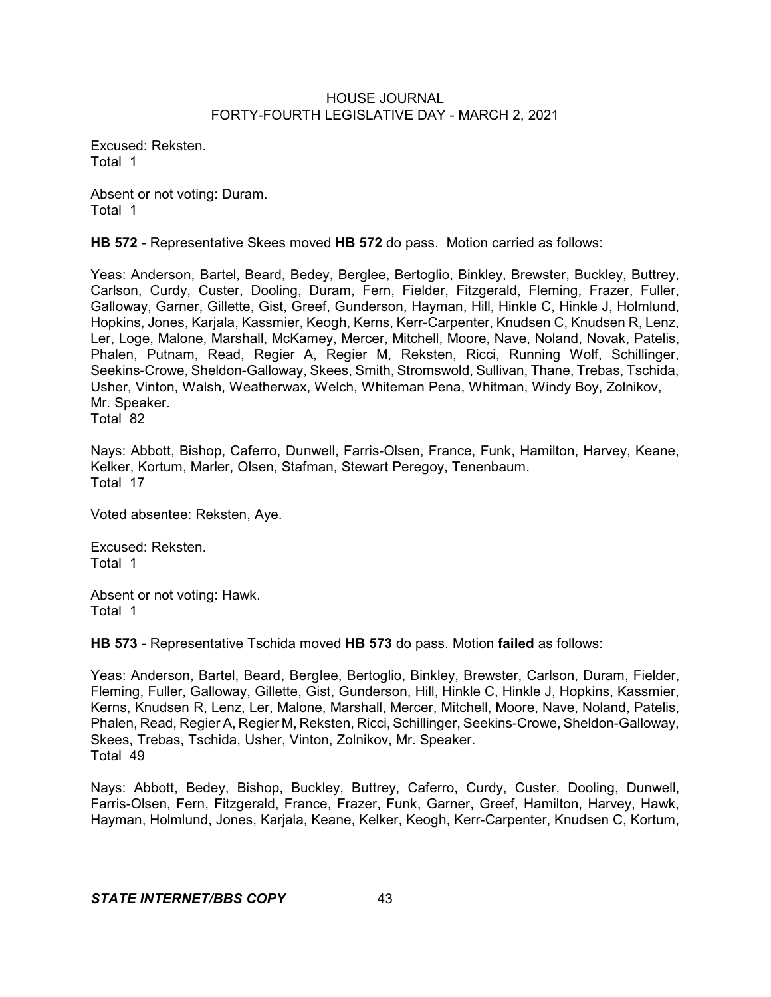Excused: Reksten. Total 1

Absent or not voting: Duram. Total 1

**HB 572** - Representative Skees moved **HB 572** do pass. Motion carried as follows:

Yeas: Anderson, Bartel, Beard, Bedey, Berglee, Bertoglio, Binkley, Brewster, Buckley, Buttrey, Carlson, Curdy, Custer, Dooling, Duram, Fern, Fielder, Fitzgerald, Fleming, Frazer, Fuller, Galloway, Garner, Gillette, Gist, Greef, Gunderson, Hayman, Hill, Hinkle C, Hinkle J, Holmlund, Hopkins, Jones, Karjala, Kassmier, Keogh, Kerns, Kerr-Carpenter, Knudsen C, Knudsen R, Lenz, Ler, Loge, Malone, Marshall, McKamey, Mercer, Mitchell, Moore, Nave, Noland, Novak, Patelis, Phalen, Putnam, Read, Regier A, Regier M, Reksten, Ricci, Running Wolf, Schillinger, Seekins-Crowe, Sheldon-Galloway, Skees, Smith, Stromswold, Sullivan, Thane, Trebas, Tschida, Usher, Vinton, Walsh, Weatherwax, Welch, Whiteman Pena, Whitman, Windy Boy, Zolnikov, Mr. Speaker.

Total 82

Nays: Abbott, Bishop, Caferro, Dunwell, Farris-Olsen, France, Funk, Hamilton, Harvey, Keane, Kelker, Kortum, Marler, Olsen, Stafman, Stewart Peregoy, Tenenbaum. Total 17

Voted absentee: Reksten, Aye.

Excused: Reksten. Total 1

Absent or not voting: Hawk. Total 1

**HB 573** - Representative Tschida moved **HB 573** do pass. Motion **failed** as follows:

Yeas: Anderson, Bartel, Beard, Berglee, Bertoglio, Binkley, Brewster, Carlson, Duram, Fielder, Fleming, Fuller, Galloway, Gillette, Gist, Gunderson, Hill, Hinkle C, Hinkle J, Hopkins, Kassmier, Kerns, Knudsen R, Lenz, Ler, Malone, Marshall, Mercer, Mitchell, Moore, Nave, Noland, Patelis, Phalen, Read, Regier A, Regier M, Reksten, Ricci, Schillinger, Seekins-Crowe, Sheldon-Galloway, Skees, Trebas, Tschida, Usher, Vinton, Zolnikov, Mr. Speaker. Total 49

Nays: Abbott, Bedey, Bishop, Buckley, Buttrey, Caferro, Curdy, Custer, Dooling, Dunwell, Farris-Olsen, Fern, Fitzgerald, France, Frazer, Funk, Garner, Greef, Hamilton, Harvey, Hawk, Hayman, Holmlund, Jones, Karjala, Keane, Kelker, Keogh, Kerr-Carpenter, Knudsen C, Kortum,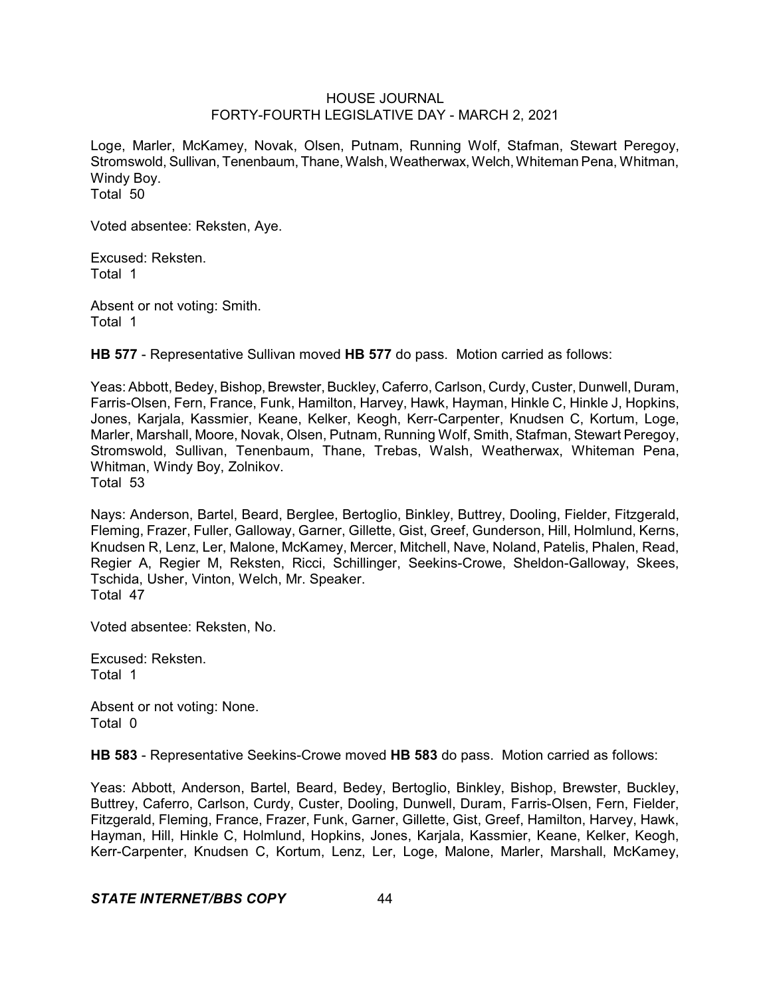Loge, Marler, McKamey, Novak, Olsen, Putnam, Running Wolf, Stafman, Stewart Peregoy, Stromswold, Sullivan, Tenenbaum, Thane, Walsh, Weatherwax, Welch, Whiteman Pena, Whitman, Windy Boy. Total 50

Voted absentee: Reksten, Aye.

Excused: Reksten. Total 1

Absent or not voting: Smith. Total 1

**HB 577** - Representative Sullivan moved **HB 577** do pass. Motion carried as follows:

Yeas: Abbott, Bedey, Bishop, Brewster, Buckley, Caferro, Carlson, Curdy, Custer, Dunwell, Duram, Farris-Olsen, Fern, France, Funk, Hamilton, Harvey, Hawk, Hayman, Hinkle C, Hinkle J, Hopkins, Jones, Karjala, Kassmier, Keane, Kelker, Keogh, Kerr-Carpenter, Knudsen C, Kortum, Loge, Marler, Marshall, Moore, Novak, Olsen, Putnam, Running Wolf, Smith, Stafman, Stewart Peregoy, Stromswold, Sullivan, Tenenbaum, Thane, Trebas, Walsh, Weatherwax, Whiteman Pena, Whitman, Windy Boy, Zolnikov. Total 53

Nays: Anderson, Bartel, Beard, Berglee, Bertoglio, Binkley, Buttrey, Dooling, Fielder, Fitzgerald, Fleming, Frazer, Fuller, Galloway, Garner, Gillette, Gist, Greef, Gunderson, Hill, Holmlund, Kerns, Knudsen R, Lenz, Ler, Malone, McKamey, Mercer, Mitchell, Nave, Noland, Patelis, Phalen, Read, Regier A, Regier M, Reksten, Ricci, Schillinger, Seekins-Crowe, Sheldon-Galloway, Skees, Tschida, Usher, Vinton, Welch, Mr. Speaker. Total 47

Voted absentee: Reksten, No.

Excused: Reksten. Total 1

Absent or not voting: None. Total 0

**HB 583** - Representative Seekins-Crowe moved **HB 583** do pass. Motion carried as follows:

Yeas: Abbott, Anderson, Bartel, Beard, Bedey, Bertoglio, Binkley, Bishop, Brewster, Buckley, Buttrey, Caferro, Carlson, Curdy, Custer, Dooling, Dunwell, Duram, Farris-Olsen, Fern, Fielder, Fitzgerald, Fleming, France, Frazer, Funk, Garner, Gillette, Gist, Greef, Hamilton, Harvey, Hawk, Hayman, Hill, Hinkle C, Holmlund, Hopkins, Jones, Karjala, Kassmier, Keane, Kelker, Keogh, Kerr-Carpenter, Knudsen C, Kortum, Lenz, Ler, Loge, Malone, Marler, Marshall, McKamey,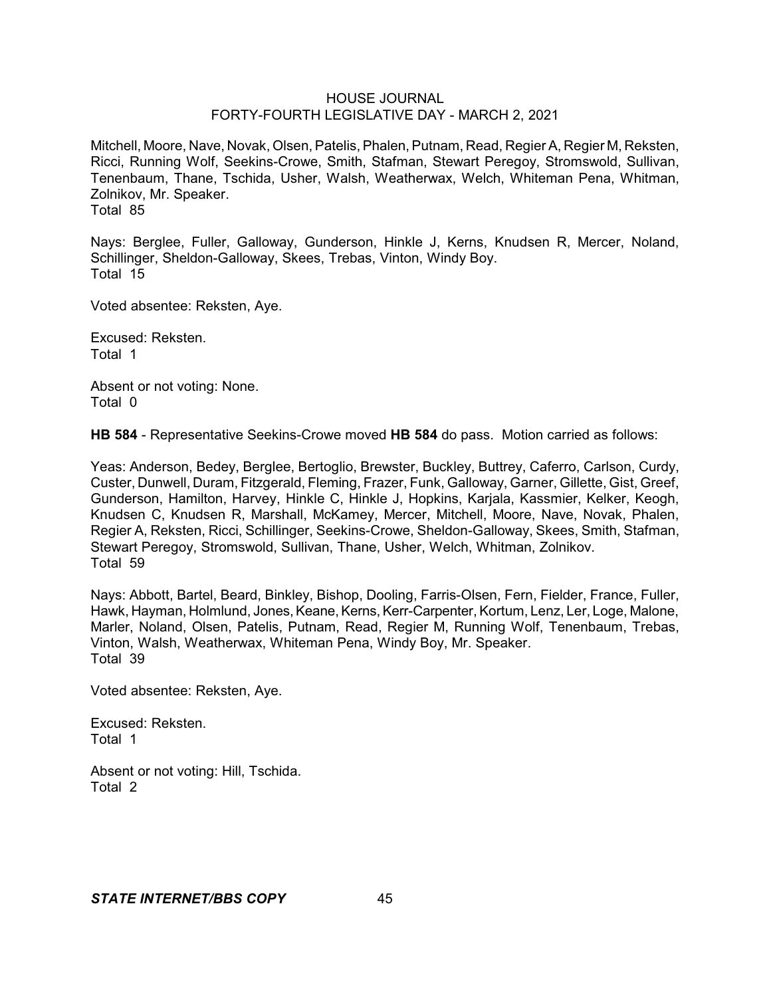Mitchell, Moore, Nave, Novak, Olsen, Patelis, Phalen,Putnam, Read, Regier A, Regier M, Reksten, Ricci, Running Wolf, Seekins-Crowe, Smith, Stafman, Stewart Peregoy, Stromswold, Sullivan, Tenenbaum, Thane, Tschida, Usher, Walsh, Weatherwax, Welch, Whiteman Pena, Whitman, Zolnikov, Mr. Speaker. Total 85

Nays: Berglee, Fuller, Galloway, Gunderson, Hinkle J, Kerns, Knudsen R, Mercer, Noland, Schillinger, Sheldon-Galloway, Skees, Trebas, Vinton, Windy Boy. Total 15

Voted absentee: Reksten, Aye.

Excused: Reksten. Total 1

Absent or not voting: None. Total 0

**HB 584** - Representative Seekins-Crowe moved **HB 584** do pass. Motion carried as follows:

Yeas: Anderson, Bedey, Berglee, Bertoglio, Brewster, Buckley, Buttrey, Caferro, Carlson, Curdy, Custer, Dunwell, Duram, Fitzgerald, Fleming, Frazer, Funk, Galloway, Garner, Gillette, Gist, Greef, Gunderson, Hamilton, Harvey, Hinkle C, Hinkle J, Hopkins, Karjala, Kassmier, Kelker, Keogh, Knudsen C, Knudsen R, Marshall, McKamey, Mercer, Mitchell, Moore, Nave, Novak, Phalen, Regier A, Reksten, Ricci, Schillinger, Seekins-Crowe, Sheldon-Galloway, Skees, Smith, Stafman, Stewart Peregoy, Stromswold, Sullivan, Thane, Usher, Welch, Whitman, Zolnikov. Total 59

Nays: Abbott, Bartel, Beard, Binkley, Bishop, Dooling, Farris-Olsen, Fern, Fielder, France, Fuller, Hawk, Hayman, Holmlund, Jones, Keane, Kerns, Kerr-Carpenter, Kortum, Lenz, Ler, Loge, Malone, Marler, Noland, Olsen, Patelis, Putnam, Read, Regier M, Running Wolf, Tenenbaum, Trebas, Vinton, Walsh, Weatherwax, Whiteman Pena, Windy Boy, Mr. Speaker. Total 39

Voted absentee: Reksten, Aye.

Excused: Reksten. Total 1

Absent or not voting: Hill, Tschida. Total 2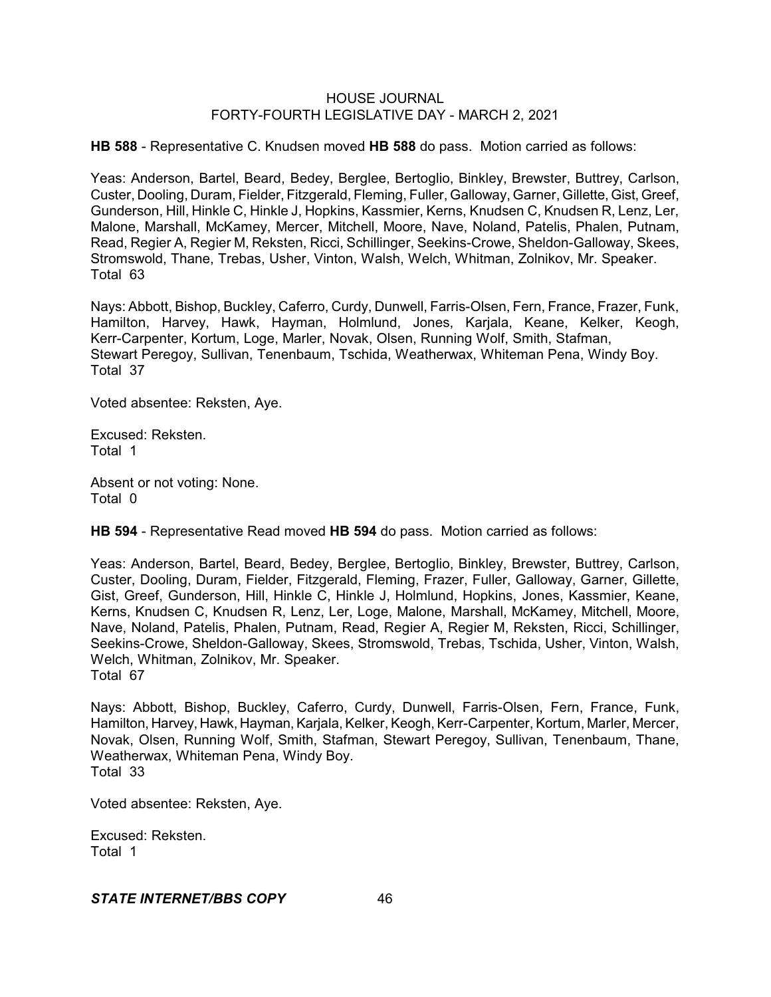**HB 588** - Representative C. Knudsen moved **HB 588** do pass. Motion carried as follows:

Yeas: Anderson, Bartel, Beard, Bedey, Berglee, Bertoglio, Binkley, Brewster, Buttrey, Carlson, Custer, Dooling, Duram, Fielder, Fitzgerald, Fleming, Fuller, Galloway, Garner, Gillette, Gist, Greef, Gunderson, Hill, Hinkle C, Hinkle J, Hopkins, Kassmier, Kerns, Knudsen C, Knudsen R, Lenz, Ler, Malone, Marshall, McKamey, Mercer, Mitchell, Moore, Nave, Noland, Patelis, Phalen, Putnam, Read, Regier A, Regier M, Reksten, Ricci, Schillinger, Seekins-Crowe, Sheldon-Galloway, Skees, Stromswold, Thane, Trebas, Usher, Vinton, Walsh, Welch, Whitman, Zolnikov, Mr. Speaker. Total 63

Nays: Abbott, Bishop, Buckley, Caferro, Curdy, Dunwell, Farris-Olsen, Fern, France, Frazer, Funk, Hamilton, Harvey, Hawk, Hayman, Holmlund, Jones, Karjala, Keane, Kelker, Keogh, Kerr-Carpenter, Kortum, Loge, Marler, Novak, Olsen, Running Wolf, Smith, Stafman, Stewart Peregoy, Sullivan, Tenenbaum, Tschida, Weatherwax, Whiteman Pena, Windy Boy. Total 37

Voted absentee: Reksten, Aye.

Excused: Reksten. Total 1

Absent or not voting: None. Total 0

**HB 594** - Representative Read moved **HB 594** do pass. Motion carried as follows:

Yeas: Anderson, Bartel, Beard, Bedey, Berglee, Bertoglio, Binkley, Brewster, Buttrey, Carlson, Custer, Dooling, Duram, Fielder, Fitzgerald, Fleming, Frazer, Fuller, Galloway, Garner, Gillette, Gist, Greef, Gunderson, Hill, Hinkle C, Hinkle J, Holmlund, Hopkins, Jones, Kassmier, Keane, Kerns, Knudsen C, Knudsen R, Lenz, Ler, Loge, Malone, Marshall, McKamey, Mitchell, Moore, Nave, Noland, Patelis, Phalen, Putnam, Read, Regier A, Regier M, Reksten, Ricci, Schillinger, Seekins-Crowe, Sheldon-Galloway, Skees, Stromswold, Trebas, Tschida, Usher, Vinton, Walsh, Welch, Whitman, Zolnikov, Mr. Speaker. Total 67

Nays: Abbott, Bishop, Buckley, Caferro, Curdy, Dunwell, Farris-Olsen, Fern, France, Funk, Hamilton, Harvey, Hawk, Hayman, Karjala, Kelker, Keogh, Kerr-Carpenter, Kortum, Marler, Mercer, Novak, Olsen, Running Wolf, Smith, Stafman, Stewart Peregoy, Sullivan, Tenenbaum, Thane, Weatherwax, Whiteman Pena, Windy Boy. Total 33

Voted absentee: Reksten, Aye.

Excused: Reksten. Total 1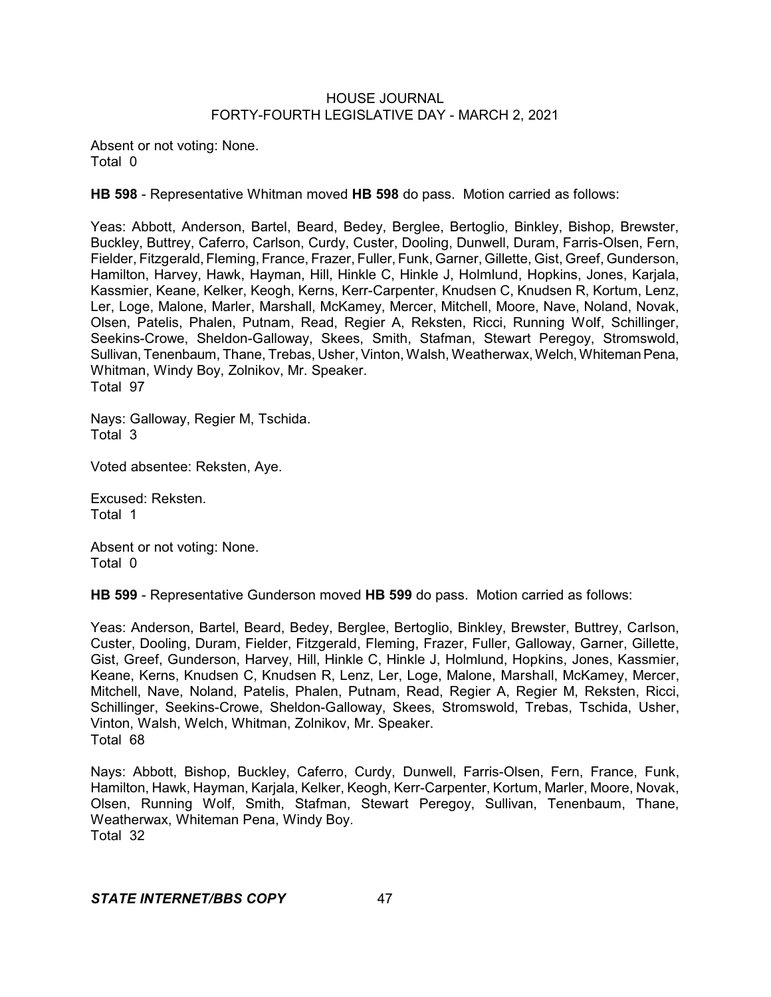Absent or not voting: None. Total 0

**HB 598** - Representative Whitman moved **HB 598** do pass. Motion carried as follows:

Yeas: Abbott, Anderson, Bartel, Beard, Bedey, Berglee, Bertoglio, Binkley, Bishop, Brewster, Buckley, Buttrey, Caferro, Carlson, Curdy, Custer, Dooling, Dunwell, Duram, Farris-Olsen, Fern, Fielder, Fitzgerald, Fleming, France, Frazer, Fuller, Funk, Garner, Gillette, Gist, Greef, Gunderson, Hamilton, Harvey, Hawk, Hayman, Hill, Hinkle C, Hinkle J, Holmlund, Hopkins, Jones, Karjala, Kassmier, Keane, Kelker, Keogh, Kerns, Kerr-Carpenter, Knudsen C, Knudsen R, Kortum, Lenz, Ler, Loge, Malone, Marler, Marshall, McKamey, Mercer, Mitchell, Moore, Nave, Noland, Novak, Olsen, Patelis, Phalen, Putnam, Read, Regier A, Reksten, Ricci, Running Wolf, Schillinger, Seekins-Crowe, Sheldon-Galloway, Skees, Smith, Stafman, Stewart Peregoy, Stromswold, Sullivan, Tenenbaum, Thane, Trebas, Usher, Vinton, Walsh, Weatherwax,Welch, WhitemanPena, Whitman, Windy Boy, Zolnikov, Mr. Speaker. Total 97

Nays: Galloway, Regier M, Tschida. Total 3

Voted absentee: Reksten, Aye.

Excused: Reksten. Total 1

Absent or not voting: None. Total 0

**HB 599** - Representative Gunderson moved **HB 599** do pass. Motion carried as follows:

Yeas: Anderson, Bartel, Beard, Bedey, Berglee, Bertoglio, Binkley, Brewster, Buttrey, Carlson, Custer, Dooling, Duram, Fielder, Fitzgerald, Fleming, Frazer, Fuller, Galloway, Garner, Gillette, Gist, Greef, Gunderson, Harvey, Hill, Hinkle C, Hinkle J, Holmlund, Hopkins, Jones, Kassmier, Keane, Kerns, Knudsen C, Knudsen R, Lenz, Ler, Loge, Malone, Marshall, McKamey, Mercer, Mitchell, Nave, Noland, Patelis, Phalen, Putnam, Read, Regier A, Regier M, Reksten, Ricci, Schillinger, Seekins-Crowe, Sheldon-Galloway, Skees, Stromswold, Trebas, Tschida, Usher, Vinton, Walsh, Welch, Whitman, Zolnikov, Mr. Speaker. Total 68

Nays: Abbott, Bishop, Buckley, Caferro, Curdy, Dunwell, Farris-Olsen, Fern, France, Funk, Hamilton, Hawk, Hayman, Karjala, Kelker, Keogh, Kerr-Carpenter, Kortum, Marler, Moore, Novak, Olsen, Running Wolf, Smith, Stafman, Stewart Peregoy, Sullivan, Tenenbaum, Thane, Weatherwax, Whiteman Pena, Windy Boy. Total 32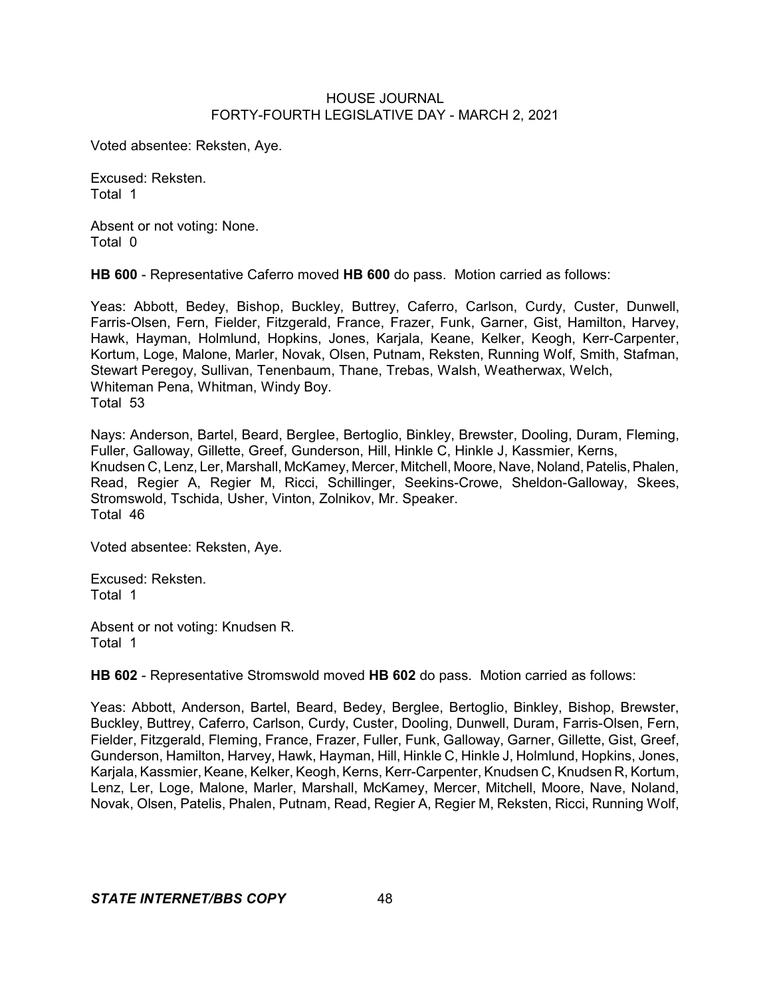Voted absentee: Reksten, Aye.

Excused: Reksten. Total 1

Absent or not voting: None. Total 0

**HB 600** - Representative Caferro moved **HB 600** do pass. Motion carried as follows:

Yeas: Abbott, Bedey, Bishop, Buckley, Buttrey, Caferro, Carlson, Curdy, Custer, Dunwell, Farris-Olsen, Fern, Fielder, Fitzgerald, France, Frazer, Funk, Garner, Gist, Hamilton, Harvey, Hawk, Hayman, Holmlund, Hopkins, Jones, Karjala, Keane, Kelker, Keogh, Kerr-Carpenter, Kortum, Loge, Malone, Marler, Novak, Olsen, Putnam, Reksten, Running Wolf, Smith, Stafman, Stewart Peregoy, Sullivan, Tenenbaum, Thane, Trebas, Walsh, Weatherwax, Welch, Whiteman Pena, Whitman, Windy Boy. Total 53

Nays: Anderson, Bartel, Beard, Berglee, Bertoglio, Binkley, Brewster, Dooling, Duram, Fleming, Fuller, Galloway, Gillette, Greef, Gunderson, Hill, Hinkle C, Hinkle J, Kassmier, Kerns, Knudsen C, Lenz, Ler, Marshall, McKamey, Mercer, Mitchell, Moore, Nave, Noland,Patelis,Phalen, Read, Regier A, Regier M, Ricci, Schillinger, Seekins-Crowe, Sheldon-Galloway, Skees, Stromswold, Tschida, Usher, Vinton, Zolnikov, Mr. Speaker. Total 46

Voted absentee: Reksten, Aye.

Excused: Reksten. Total 1

Absent or not voting: Knudsen R. Total 1

**HB 602** - Representative Stromswold moved **HB 602** do pass. Motion carried as follows:

Yeas: Abbott, Anderson, Bartel, Beard, Bedey, Berglee, Bertoglio, Binkley, Bishop, Brewster, Buckley, Buttrey, Caferro, Carlson, Curdy, Custer, Dooling, Dunwell, Duram, Farris-Olsen, Fern, Fielder, Fitzgerald, Fleming, France, Frazer, Fuller, Funk, Galloway, Garner, Gillette, Gist, Greef, Gunderson, Hamilton, Harvey, Hawk, Hayman, Hill, Hinkle C, Hinkle J, Holmlund, Hopkins, Jones, Karjala, Kassmier, Keane, Kelker, Keogh, Kerns, Kerr-Carpenter, Knudsen C, Knudsen R, Kortum, Lenz, Ler, Loge, Malone, Marler, Marshall, McKamey, Mercer, Mitchell, Moore, Nave, Noland, Novak, Olsen, Patelis, Phalen, Putnam, Read, Regier A, Regier M, Reksten, Ricci, Running Wolf,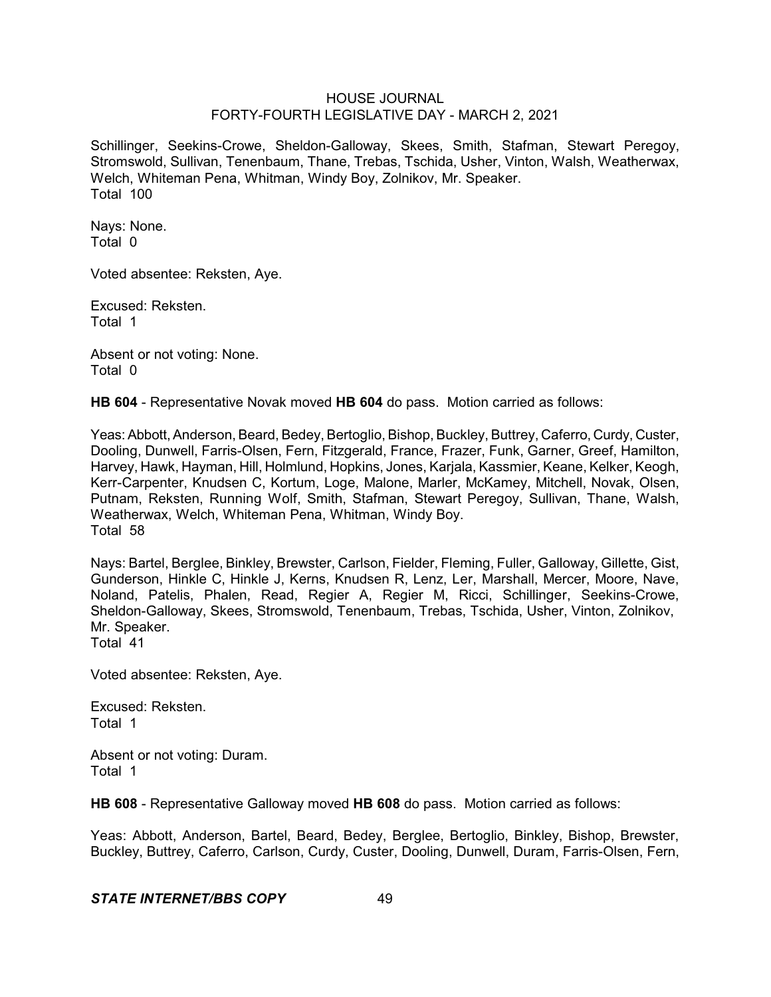Schillinger, Seekins-Crowe, Sheldon-Galloway, Skees, Smith, Stafman, Stewart Peregoy, Stromswold, Sullivan, Tenenbaum, Thane, Trebas, Tschida, Usher, Vinton, Walsh, Weatherwax, Welch, Whiteman Pena, Whitman, Windy Boy, Zolnikov, Mr. Speaker. Total 100

Nays: None. Total 0

Voted absentee: Reksten, Aye.

Excused: Reksten. Total 1

Absent or not voting: None. Total 0

**HB 604** - Representative Novak moved **HB 604** do pass. Motion carried as follows:

Yeas: Abbott, Anderson, Beard, Bedey, Bertoglio, Bishop, Buckley, Buttrey, Caferro, Curdy, Custer, Dooling, Dunwell, Farris-Olsen, Fern, Fitzgerald, France, Frazer, Funk, Garner, Greef, Hamilton, Harvey, Hawk, Hayman, Hill, Holmlund, Hopkins, Jones, Karjala, Kassmier, Keane, Kelker, Keogh, Kerr-Carpenter, Knudsen C, Kortum, Loge, Malone, Marler, McKamey, Mitchell, Novak, Olsen, Putnam, Reksten, Running Wolf, Smith, Stafman, Stewart Peregoy, Sullivan, Thane, Walsh, Weatherwax, Welch, Whiteman Pena, Whitman, Windy Boy. Total 58

Nays: Bartel, Berglee, Binkley, Brewster, Carlson, Fielder, Fleming, Fuller, Galloway, Gillette, Gist, Gunderson, Hinkle C, Hinkle J, Kerns, Knudsen R, Lenz, Ler, Marshall, Mercer, Moore, Nave, Noland, Patelis, Phalen, Read, Regier A, Regier M, Ricci, Schillinger, Seekins-Crowe, Sheldon-Galloway, Skees, Stromswold, Tenenbaum, Trebas, Tschida, Usher, Vinton, Zolnikov, Mr. Speaker. Total 41

Voted absentee: Reksten, Aye.

Excused: Reksten. Total 1

Absent or not voting: Duram. Total 1

**HB 608** - Representative Galloway moved **HB 608** do pass. Motion carried as follows:

Yeas: Abbott, Anderson, Bartel, Beard, Bedey, Berglee, Bertoglio, Binkley, Bishop, Brewster, Buckley, Buttrey, Caferro, Carlson, Curdy, Custer, Dooling, Dunwell, Duram, Farris-Olsen, Fern,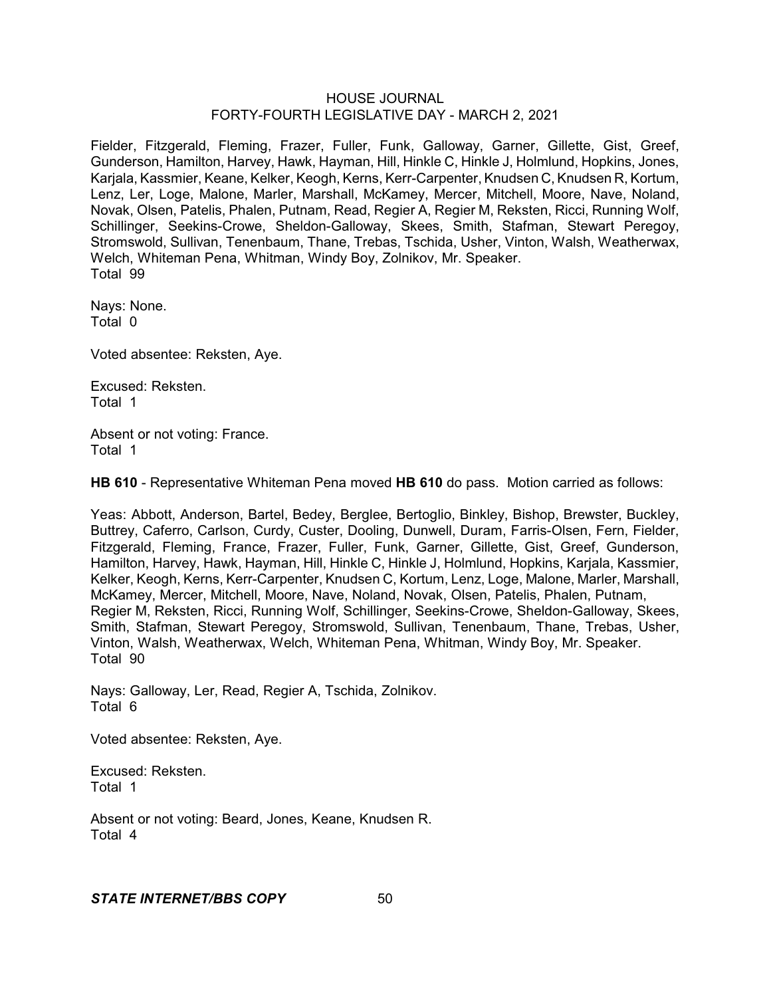Fielder, Fitzgerald, Fleming, Frazer, Fuller, Funk, Galloway, Garner, Gillette, Gist, Greef, Gunderson, Hamilton, Harvey, Hawk, Hayman, Hill, Hinkle C, Hinkle J, Holmlund, Hopkins, Jones, Karjala, Kassmier, Keane, Kelker, Keogh, Kerns, Kerr-Carpenter, Knudsen C, Knudsen R, Kortum, Lenz, Ler, Loge, Malone, Marler, Marshall, McKamey, Mercer, Mitchell, Moore, Nave, Noland, Novak, Olsen, Patelis, Phalen, Putnam, Read, Regier A, Regier M, Reksten, Ricci, Running Wolf, Schillinger, Seekins-Crowe, Sheldon-Galloway, Skees, Smith, Stafman, Stewart Peregoy, Stromswold, Sullivan, Tenenbaum, Thane, Trebas, Tschida, Usher, Vinton, Walsh, Weatherwax, Welch, Whiteman Pena, Whitman, Windy Boy, Zolnikov, Mr. Speaker. Total 99

Nays: None. Total 0

Voted absentee: Reksten, Aye.

Excused: Reksten. Total 1

Absent or not voting: France. Total 1

**HB 610** - Representative Whiteman Pena moved **HB 610** do pass. Motion carried as follows:

Yeas: Abbott, Anderson, Bartel, Bedey, Berglee, Bertoglio, Binkley, Bishop, Brewster, Buckley, Buttrey, Caferro, Carlson, Curdy, Custer, Dooling, Dunwell, Duram, Farris-Olsen, Fern, Fielder, Fitzgerald, Fleming, France, Frazer, Fuller, Funk, Garner, Gillette, Gist, Greef, Gunderson, Hamilton, Harvey, Hawk, Hayman, Hill, Hinkle C, Hinkle J, Holmlund, Hopkins, Karjala, Kassmier, Kelker, Keogh, Kerns, Kerr-Carpenter, Knudsen C, Kortum, Lenz, Loge, Malone, Marler, Marshall, McKamey, Mercer, Mitchell, Moore, Nave, Noland, Novak, Olsen, Patelis, Phalen, Putnam, Regier M, Reksten, Ricci, Running Wolf, Schillinger, Seekins-Crowe, Sheldon-Galloway, Skees, Smith, Stafman, Stewart Peregoy, Stromswold, Sullivan, Tenenbaum, Thane, Trebas, Usher, Vinton, Walsh, Weatherwax, Welch, Whiteman Pena, Whitman, Windy Boy, Mr. Speaker. Total 90

Nays: Galloway, Ler, Read, Regier A, Tschida, Zolnikov. Total 6

Voted absentee: Reksten, Aye.

Excused: Reksten. Total 1

Absent or not voting: Beard, Jones, Keane, Knudsen R. Total 4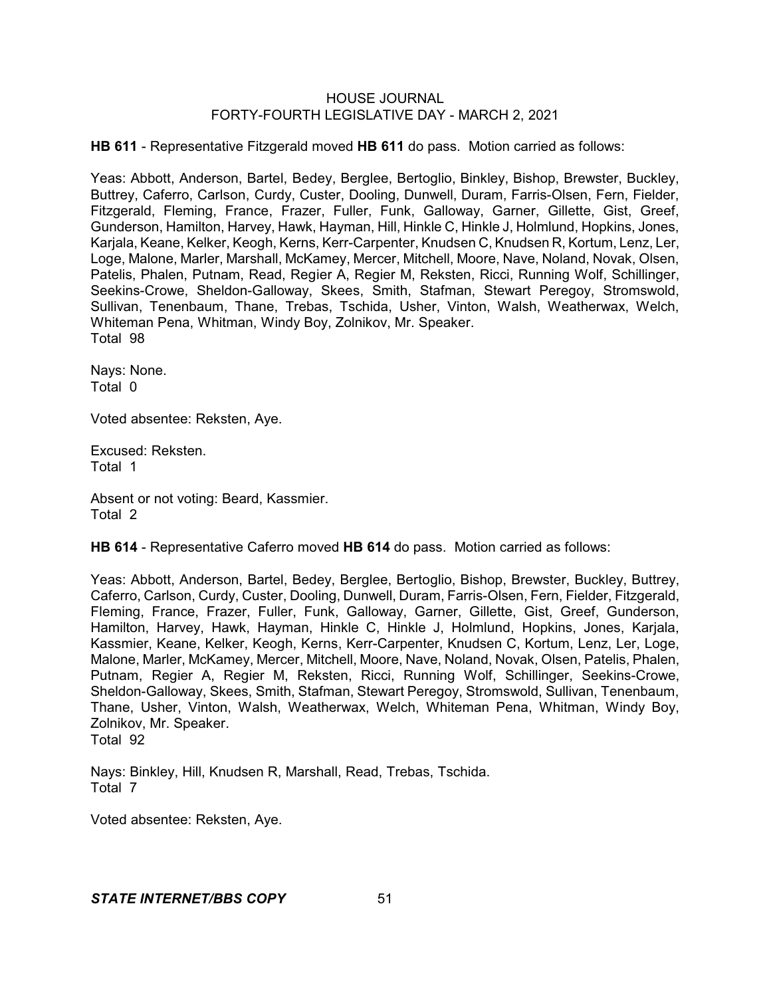**HB 611** - Representative Fitzgerald moved **HB 611** do pass. Motion carried as follows:

Yeas: Abbott, Anderson, Bartel, Bedey, Berglee, Bertoglio, Binkley, Bishop, Brewster, Buckley, Buttrey, Caferro, Carlson, Curdy, Custer, Dooling, Dunwell, Duram, Farris-Olsen, Fern, Fielder, Fitzgerald, Fleming, France, Frazer, Fuller, Funk, Galloway, Garner, Gillette, Gist, Greef, Gunderson, Hamilton, Harvey, Hawk, Hayman, Hill, Hinkle C, Hinkle J, Holmlund, Hopkins, Jones, Karjala, Keane, Kelker, Keogh, Kerns, Kerr-Carpenter, Knudsen C, Knudsen R, Kortum, Lenz, Ler, Loge, Malone, Marler, Marshall, McKamey, Mercer, Mitchell, Moore, Nave, Noland, Novak, Olsen, Patelis, Phalen, Putnam, Read, Regier A, Regier M, Reksten, Ricci, Running Wolf, Schillinger, Seekins-Crowe, Sheldon-Galloway, Skees, Smith, Stafman, Stewart Peregoy, Stromswold, Sullivan, Tenenbaum, Thane, Trebas, Tschida, Usher, Vinton, Walsh, Weatherwax, Welch, Whiteman Pena, Whitman, Windy Boy, Zolnikov, Mr. Speaker. Total 98

Nays: None. Total 0

Voted absentee: Reksten, Aye.

Excused: Reksten. Total 1

Absent or not voting: Beard, Kassmier. Total 2

**HB 614** - Representative Caferro moved **HB 614** do pass. Motion carried as follows:

Yeas: Abbott, Anderson, Bartel, Bedey, Berglee, Bertoglio, Bishop, Brewster, Buckley, Buttrey, Caferro, Carlson, Curdy, Custer, Dooling, Dunwell, Duram, Farris-Olsen, Fern, Fielder, Fitzgerald, Fleming, France, Frazer, Fuller, Funk, Galloway, Garner, Gillette, Gist, Greef, Gunderson, Hamilton, Harvey, Hawk, Hayman, Hinkle C, Hinkle J, Holmlund, Hopkins, Jones, Karjala, Kassmier, Keane, Kelker, Keogh, Kerns, Kerr-Carpenter, Knudsen C, Kortum, Lenz, Ler, Loge, Malone, Marler, McKamey, Mercer, Mitchell, Moore, Nave, Noland, Novak, Olsen, Patelis, Phalen, Putnam, Regier A, Regier M, Reksten, Ricci, Running Wolf, Schillinger, Seekins-Crowe, Sheldon-Galloway, Skees, Smith, Stafman, Stewart Peregoy, Stromswold, Sullivan, Tenenbaum, Thane, Usher, Vinton, Walsh, Weatherwax, Welch, Whiteman Pena, Whitman, Windy Boy, Zolnikov, Mr. Speaker. Total 92

Nays: Binkley, Hill, Knudsen R, Marshall, Read, Trebas, Tschida. Total 7

Voted absentee: Reksten, Aye.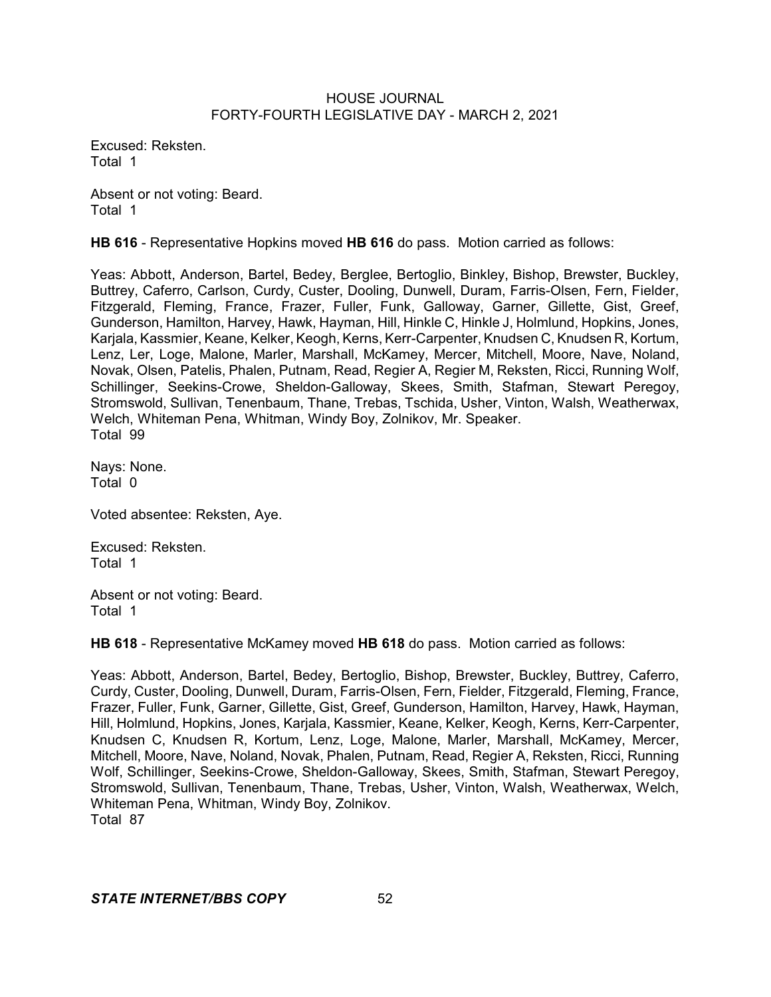Excused: Reksten. Total 1

Absent or not voting: Beard. Total 1

**HB 616** - Representative Hopkins moved **HB 616** do pass. Motion carried as follows:

Yeas: Abbott, Anderson, Bartel, Bedey, Berglee, Bertoglio, Binkley, Bishop, Brewster, Buckley, Buttrey, Caferro, Carlson, Curdy, Custer, Dooling, Dunwell, Duram, Farris-Olsen, Fern, Fielder, Fitzgerald, Fleming, France, Frazer, Fuller, Funk, Galloway, Garner, Gillette, Gist, Greef, Gunderson, Hamilton, Harvey, Hawk, Hayman, Hill, Hinkle C, Hinkle J, Holmlund, Hopkins, Jones, Karjala, Kassmier, Keane, Kelker, Keogh, Kerns, Kerr-Carpenter, Knudsen C, Knudsen R, Kortum, Lenz, Ler, Loge, Malone, Marler, Marshall, McKamey, Mercer, Mitchell, Moore, Nave, Noland, Novak, Olsen, Patelis, Phalen, Putnam, Read, Regier A, Regier M, Reksten, Ricci, Running Wolf, Schillinger, Seekins-Crowe, Sheldon-Galloway, Skees, Smith, Stafman, Stewart Peregoy, Stromswold, Sullivan, Tenenbaum, Thane, Trebas, Tschida, Usher, Vinton, Walsh, Weatherwax, Welch, Whiteman Pena, Whitman, Windy Boy, Zolnikov, Mr. Speaker. Total 99

Nays: None. Total 0

Voted absentee: Reksten, Aye.

Excused: Reksten. Total 1

Absent or not voting: Beard. Total 1

**HB 618** - Representative McKamey moved **HB 618** do pass. Motion carried as follows:

Yeas: Abbott, Anderson, Bartel, Bedey, Bertoglio, Bishop, Brewster, Buckley, Buttrey, Caferro, Curdy, Custer, Dooling, Dunwell, Duram, Farris-Olsen, Fern, Fielder, Fitzgerald, Fleming, France, Frazer, Fuller, Funk, Garner, Gillette, Gist, Greef, Gunderson, Hamilton, Harvey, Hawk, Hayman, Hill, Holmlund, Hopkins, Jones, Karjala, Kassmier, Keane, Kelker, Keogh, Kerns, Kerr-Carpenter, Knudsen C, Knudsen R, Kortum, Lenz, Loge, Malone, Marler, Marshall, McKamey, Mercer, Mitchell, Moore, Nave, Noland, Novak, Phalen, Putnam, Read, Regier A, Reksten, Ricci, Running Wolf, Schillinger, Seekins-Crowe, Sheldon-Galloway, Skees, Smith, Stafman, Stewart Peregoy, Stromswold, Sullivan, Tenenbaum, Thane, Trebas, Usher, Vinton, Walsh, Weatherwax, Welch, Whiteman Pena, Whitman, Windy Boy, Zolnikov. Total 87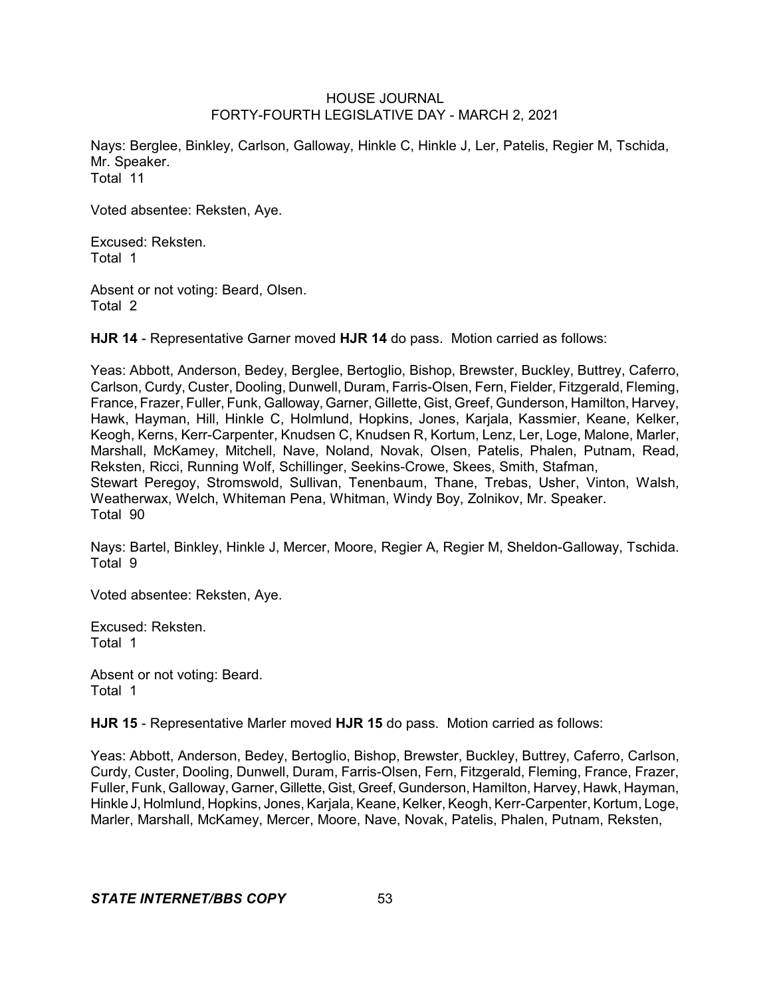Nays: Berglee, Binkley, Carlson, Galloway, Hinkle C, Hinkle J, Ler, Patelis, Regier M, Tschida, Mr. Speaker. Total 11

Voted absentee: Reksten, Aye.

Excused: Reksten. Total 1

Absent or not voting: Beard, Olsen. Total 2

**HJR 14** - Representative Garner moved **HJR 14** do pass. Motion carried as follows:

Yeas: Abbott, Anderson, Bedey, Berglee, Bertoglio, Bishop, Brewster, Buckley, Buttrey, Caferro, Carlson, Curdy, Custer, Dooling, Dunwell, Duram, Farris-Olsen, Fern, Fielder, Fitzgerald, Fleming, France, Frazer, Fuller, Funk, Galloway, Garner, Gillette, Gist, Greef, Gunderson, Hamilton, Harvey, Hawk, Hayman, Hill, Hinkle C, Holmlund, Hopkins, Jones, Karjala, Kassmier, Keane, Kelker, Keogh, Kerns, Kerr-Carpenter, Knudsen C, Knudsen R, Kortum, Lenz, Ler, Loge, Malone, Marler, Marshall, McKamey, Mitchell, Nave, Noland, Novak, Olsen, Patelis, Phalen, Putnam, Read, Reksten, Ricci, Running Wolf, Schillinger, Seekins-Crowe, Skees, Smith, Stafman, Stewart Peregoy, Stromswold, Sullivan, Tenenbaum, Thane, Trebas, Usher, Vinton, Walsh, Weatherwax, Welch, Whiteman Pena, Whitman, Windy Boy, Zolnikov, Mr. Speaker. Total 90

Nays: Bartel, Binkley, Hinkle J, Mercer, Moore, Regier A, Regier M, Sheldon-Galloway, Tschida. Total 9

Voted absentee: Reksten, Aye.

Excused: Reksten. Total 1

Absent or not voting: Beard. Total 1

**HJR 15** - Representative Marler moved **HJR 15** do pass. Motion carried as follows:

Yeas: Abbott, Anderson, Bedey, Bertoglio, Bishop, Brewster, Buckley, Buttrey, Caferro, Carlson, Curdy, Custer, Dooling, Dunwell, Duram, Farris-Olsen, Fern, Fitzgerald, Fleming, France, Frazer, Fuller, Funk, Galloway, Garner,Gillette, Gist, Greef, Gunderson, Hamilton, Harvey, Hawk, Hayman, Hinkle J, Holmlund, Hopkins, Jones, Karjala, Keane, Kelker, Keogh, Kerr-Carpenter, Kortum, Loge, Marler, Marshall, McKamey, Mercer, Moore, Nave, Novak, Patelis, Phalen, Putnam, Reksten,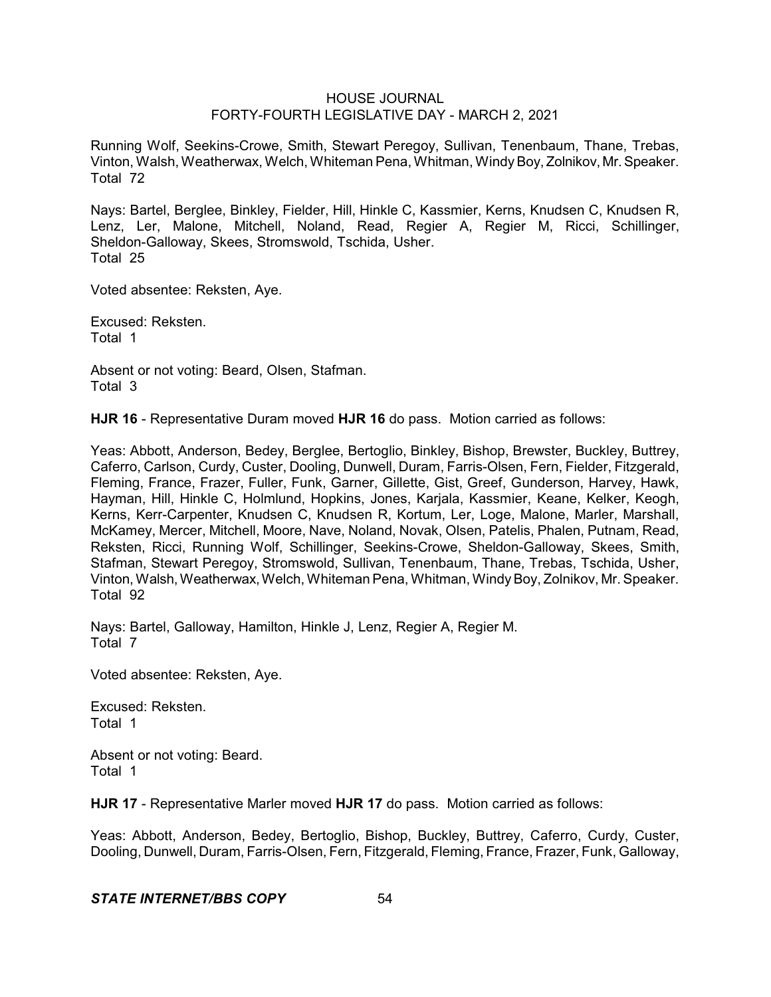Running Wolf, Seekins-Crowe, Smith, Stewart Peregoy, Sullivan, Tenenbaum, Thane, Trebas, Vinton, Walsh, Weatherwax, Welch, Whiteman Pena, Whitman, Windy Boy, Zolnikov, Mr. Speaker. Total 72

Nays: Bartel, Berglee, Binkley, Fielder, Hill, Hinkle C, Kassmier, Kerns, Knudsen C, Knudsen R, Lenz, Ler, Malone, Mitchell, Noland, Read, Regier A, Regier M, Ricci, Schillinger, Sheldon-Galloway, Skees, Stromswold, Tschida, Usher. Total 25

Voted absentee: Reksten, Aye.

Excused: Reksten. Total 1

Absent or not voting: Beard, Olsen, Stafman. Total 3

**HJR 16** - Representative Duram moved **HJR 16** do pass. Motion carried as follows:

Yeas: Abbott, Anderson, Bedey, Berglee, Bertoglio, Binkley, Bishop, Brewster, Buckley, Buttrey, Caferro, Carlson, Curdy, Custer, Dooling, Dunwell, Duram, Farris-Olsen, Fern, Fielder, Fitzgerald, Fleming, France, Frazer, Fuller, Funk, Garner, Gillette, Gist, Greef, Gunderson, Harvey, Hawk, Hayman, Hill, Hinkle C, Holmlund, Hopkins, Jones, Karjala, Kassmier, Keane, Kelker, Keogh, Kerns, Kerr-Carpenter, Knudsen C, Knudsen R, Kortum, Ler, Loge, Malone, Marler, Marshall, McKamey, Mercer, Mitchell, Moore, Nave, Noland, Novak, Olsen, Patelis, Phalen, Putnam, Read, Reksten, Ricci, Running Wolf, Schillinger, Seekins-Crowe, Sheldon-Galloway, Skees, Smith, Stafman, Stewart Peregoy, Stromswold, Sullivan, Tenenbaum, Thane, Trebas, Tschida, Usher, Vinton, Walsh,Weatherwax,Welch, Whiteman Pena, Whitman, WindyBoy, Zolnikov, Mr. Speaker. Total 92

Nays: Bartel, Galloway, Hamilton, Hinkle J, Lenz, Regier A, Regier M. Total 7

Voted absentee: Reksten, Aye.

Excused: Reksten. Total 1

Absent or not voting: Beard. Total 1

**HJR 17** - Representative Marler moved **HJR 17** do pass. Motion carried as follows:

Yeas: Abbott, Anderson, Bedey, Bertoglio, Bishop, Buckley, Buttrey, Caferro, Curdy, Custer, Dooling, Dunwell, Duram, Farris-Olsen, Fern, Fitzgerald, Fleming, France, Frazer, Funk, Galloway,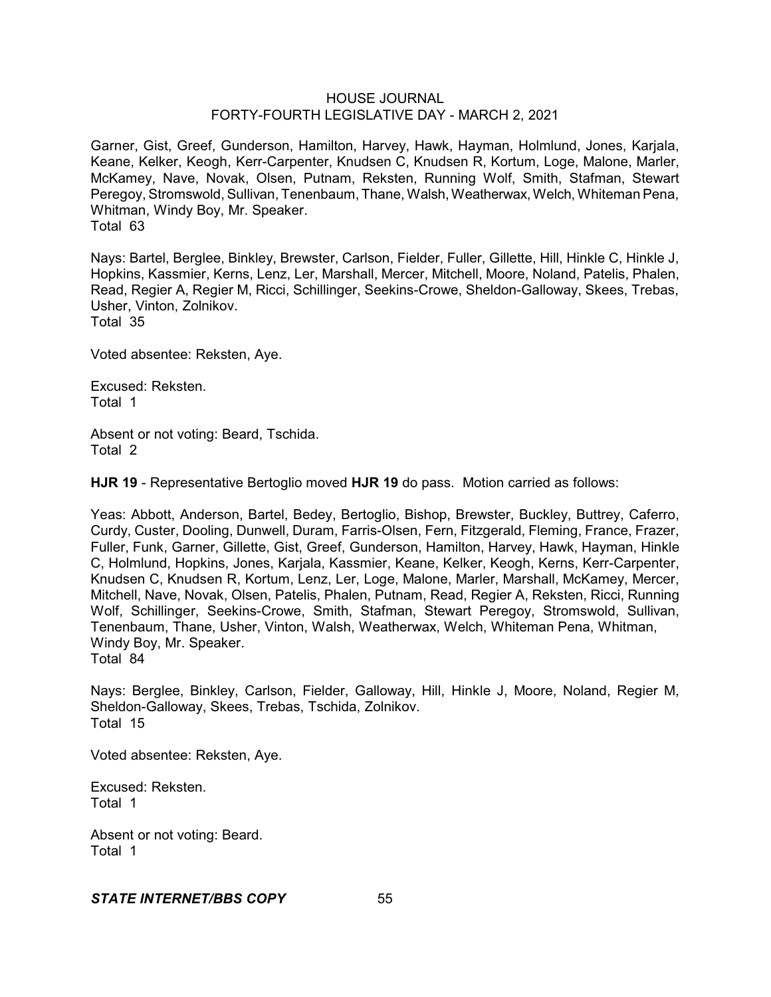Garner, Gist, Greef, Gunderson, Hamilton, Harvey, Hawk, Hayman, Holmlund, Jones, Karjala, Keane, Kelker, Keogh, Kerr-Carpenter, Knudsen C, Knudsen R, Kortum, Loge, Malone, Marler, McKamey, Nave, Novak, Olsen, Putnam, Reksten, Running Wolf, Smith, Stafman, Stewart Peregoy, Stromswold, Sullivan, Tenenbaum, Thane, Walsh, Weatherwax, Welch, Whiteman Pena, Whitman, Windy Boy, Mr. Speaker. Total 63

Nays: Bartel, Berglee, Binkley, Brewster, Carlson, Fielder, Fuller, Gillette, Hill, Hinkle C, Hinkle J, Hopkins, Kassmier, Kerns, Lenz, Ler, Marshall, Mercer, Mitchell, Moore, Noland, Patelis, Phalen, Read, Regier A, Regier M, Ricci, Schillinger, Seekins-Crowe, Sheldon-Galloway, Skees, Trebas, Usher, Vinton, Zolnikov. Total 35

Voted absentee: Reksten, Aye.

Excused: Reksten. Total 1

Absent or not voting: Beard, Tschida. Total 2

**HJR 19** - Representative Bertoglio moved **HJR 19** do pass. Motion carried as follows:

Yeas: Abbott, Anderson, Bartel, Bedey, Bertoglio, Bishop, Brewster, Buckley, Buttrey, Caferro, Curdy, Custer, Dooling, Dunwell, Duram, Farris-Olsen, Fern, Fitzgerald, Fleming, France, Frazer, Fuller, Funk, Garner, Gillette, Gist, Greef, Gunderson, Hamilton, Harvey, Hawk, Hayman, Hinkle C, Holmlund, Hopkins, Jones, Karjala, Kassmier, Keane, Kelker, Keogh, Kerns, Kerr-Carpenter, Knudsen C, Knudsen R, Kortum, Lenz, Ler, Loge, Malone, Marler, Marshall, McKamey, Mercer, Mitchell, Nave, Novak, Olsen, Patelis, Phalen, Putnam, Read, Regier A, Reksten, Ricci, Running Wolf, Schillinger, Seekins-Crowe, Smith, Stafman, Stewart Peregoy, Stromswold, Sullivan, Tenenbaum, Thane, Usher, Vinton, Walsh, Weatherwax, Welch, Whiteman Pena, Whitman, Windy Boy, Mr. Speaker. Total 84

Nays: Berglee, Binkley, Carlson, Fielder, Galloway, Hill, Hinkle J, Moore, Noland, Regier M, Sheldon-Galloway, Skees, Trebas, Tschida, Zolnikov. Total 15

Voted absentee: Reksten, Aye.

Excused: Reksten. Total 1

Absent or not voting: Beard. Total 1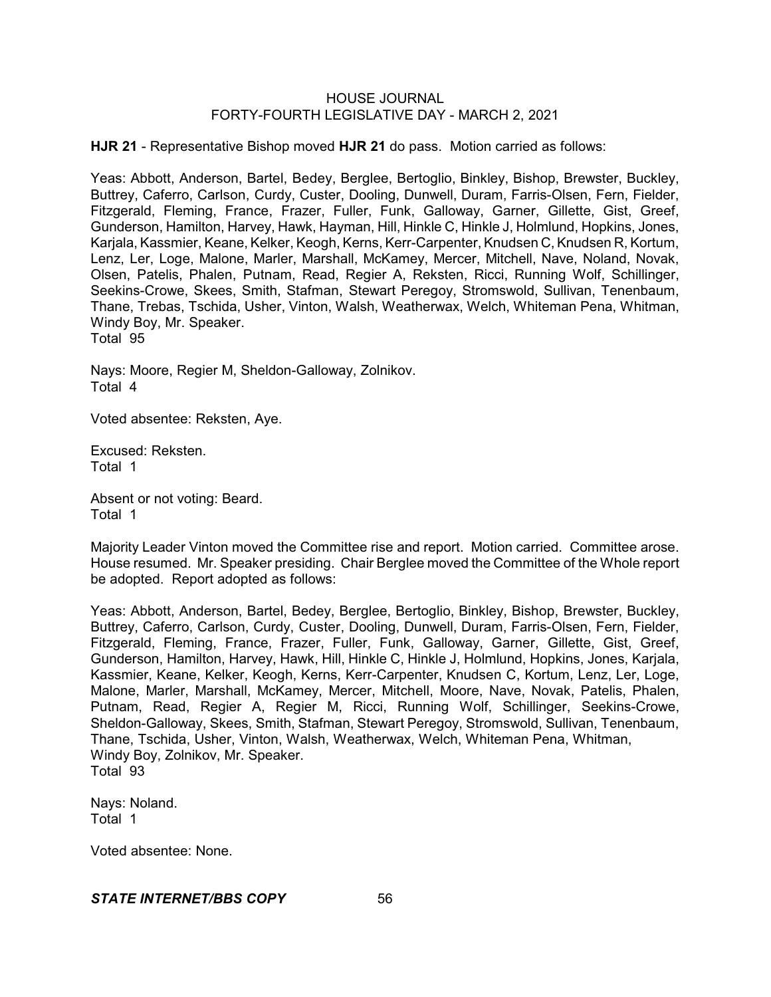**HJR 21** - Representative Bishop moved **HJR 21** do pass. Motion carried as follows:

Yeas: Abbott, Anderson, Bartel, Bedey, Berglee, Bertoglio, Binkley, Bishop, Brewster, Buckley, Buttrey, Caferro, Carlson, Curdy, Custer, Dooling, Dunwell, Duram, Farris-Olsen, Fern, Fielder, Fitzgerald, Fleming, France, Frazer, Fuller, Funk, Galloway, Garner, Gillette, Gist, Greef, Gunderson, Hamilton, Harvey, Hawk, Hayman, Hill, Hinkle C, Hinkle J, Holmlund, Hopkins, Jones, Karjala, Kassmier, Keane, Kelker, Keogh, Kerns, Kerr-Carpenter, Knudsen C, Knudsen R, Kortum, Lenz, Ler, Loge, Malone, Marler, Marshall, McKamey, Mercer, Mitchell, Nave, Noland, Novak, Olsen, Patelis, Phalen, Putnam, Read, Regier A, Reksten, Ricci, Running Wolf, Schillinger, Seekins-Crowe, Skees, Smith, Stafman, Stewart Peregoy, Stromswold, Sullivan, Tenenbaum, Thane, Trebas, Tschida, Usher, Vinton, Walsh, Weatherwax, Welch, Whiteman Pena, Whitman, Windy Boy, Mr. Speaker. Total 95

Nays: Moore, Regier M, Sheldon-Galloway, Zolnikov. Total 4

Voted absentee: Reksten, Aye.

Excused: Reksten. Total 1

Absent or not voting: Beard. Total 1

Majority Leader Vinton moved the Committee rise and report. Motion carried. Committee arose. House resumed. Mr. Speaker presiding. Chair Berglee moved the Committee of the Whole report be adopted. Report adopted as follows:

Yeas: Abbott, Anderson, Bartel, Bedey, Berglee, Bertoglio, Binkley, Bishop, Brewster, Buckley, Buttrey, Caferro, Carlson, Curdy, Custer, Dooling, Dunwell, Duram, Farris-Olsen, Fern, Fielder, Fitzgerald, Fleming, France, Frazer, Fuller, Funk, Galloway, Garner, Gillette, Gist, Greef, Gunderson, Hamilton, Harvey, Hawk, Hill, Hinkle C, Hinkle J, Holmlund, Hopkins, Jones, Karjala, Kassmier, Keane, Kelker, Keogh, Kerns, Kerr-Carpenter, Knudsen C, Kortum, Lenz, Ler, Loge, Malone, Marler, Marshall, McKamey, Mercer, Mitchell, Moore, Nave, Novak, Patelis, Phalen, Putnam, Read, Regier A, Regier M, Ricci, Running Wolf, Schillinger, Seekins-Crowe, Sheldon-Galloway, Skees, Smith, Stafman, Stewart Peregoy, Stromswold, Sullivan, Tenenbaum, Thane, Tschida, Usher, Vinton, Walsh, Weatherwax, Welch, Whiteman Pena, Whitman, Windy Boy, Zolnikov, Mr. Speaker. Total 93

Nays: Noland. Total 1

Voted absentee: None.